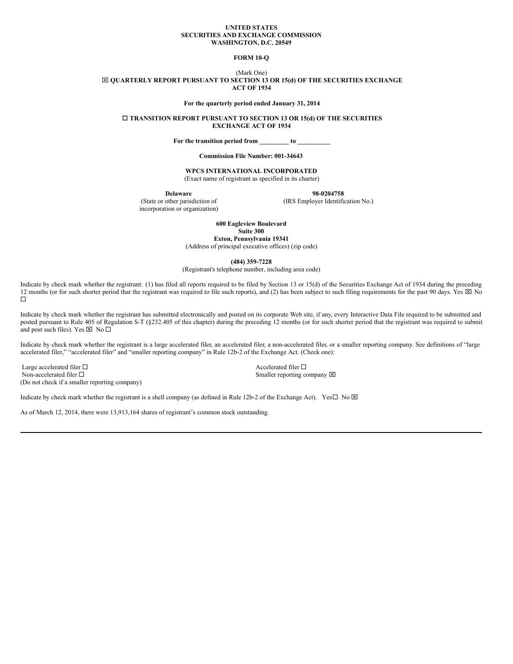### **UNITED STATES SECURITIES AND EXCHANGE COMMISSION WASHINGTON, D.C. 20549**

### **FORM 10-Q**

## (Mark One) x **QUARTERLY REPORT PURSUANT TO SECTION 13 OR 15(d) OF THE SECURITIES EXCHANGE ACT OF 1934**

**For the quarterly period ended January 31, 2014**

o **TRANSITION REPORT PURSUANT TO SECTION 13 OR 15(d) OF THE SECURITIES EXCHANGE ACT OF 1934**

**For the transition period from \_\_\_\_\_\_\_\_\_ to \_\_\_\_\_\_\_\_\_\_**

**Commission File Number: 001-34643**

# **WPCS INTERNATIONAL INCORPORATED**

(Exact name of registrant as specified in its charter)

**Delaware 98-0204758**

(State or other jurisdiction of (IRS Employer Identification No.) incorporation or organization)

**600 Eagleview Boulevard**

**Suite 300**

**Exton, Pennsylvania 19341** (Address of principal executive offices) (zip code)

**(484) 359-7228**

(Registrant's telephone number, including area code)

Indicate by check mark whether the registrant: (1) has filed all reports required to be filed by Section 13 or 15(d) of the Securities Exchange Act of 1934 during the preceding 12 months (or for such shorter period that the registrant was required to file such reports), and (2) has been subject to such filing requirements for the past 90 days. Yes  $\boxtimes$  No  $\Box$ 

Indicate by check mark whether the registrant has submitted electronically and posted on its corporate Web site, if any, every Interactive Data File required to be submitted and posted pursuant to Rule 405 of Regulation S-T (§232.405 of this chapter) during the preceding 12 months (or for such shorter period that the registrant was required to submit and post such files). Yes  $\boxtimes$  No  $\square$ 

Indicate by check mark whether the registrant is a large accelerated filer, an accelerated filer, a non-accelerated filer, or a smaller reporting company. See definitions of "large accelerated filer," "accelerated filer" and "smaller reporting company" in Rule 12b-2 of the Exchange Act. (Check one):

Large accelerated filer  $\square$  Accelerated filer  $\square$ Non-accelerated filer  $\Box$   $\hfill$  <code>Smaller reporting company  $\boxtimes$ </code> (Do not check if a smaller reporting company)

Indicate by check mark whether the registrant is a shell company (as defined in Rule 12b-2 of the Exchange Act). Yes $\Box$  No  $\boxtimes$ 

As of March 12, 2014, there were 13,913,164 shares of registrant's common stock outstanding.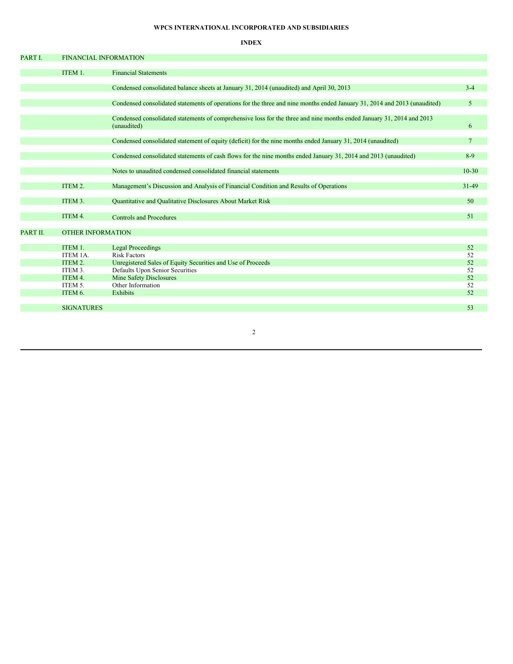# **INDEX**

| PART I.  | <b>FINANCIAL INFORMATION</b> |                                                                                                                                      |                |
|----------|------------------------------|--------------------------------------------------------------------------------------------------------------------------------------|----------------|
|          |                              |                                                                                                                                      |                |
|          | ITEM 1.                      | <b>Financial Statements</b>                                                                                                          |                |
|          |                              | Condensed consolidated balance sheets at January 31, 2014 (unaudited) and April 30, 2013                                             | $3 - 4$        |
|          |                              |                                                                                                                                      |                |
|          |                              | Condensed consolidated statements of operations for the three and nine months ended January 31, 2014 and 2013 (unaudited)            | 5              |
|          |                              |                                                                                                                                      |                |
|          |                              | Condensed consolidated statements of comprehensive loss for the three and nine months ended January 31, 2014 and 2013<br>(unaudited) | 6              |
|          |                              | Condensed consolidated statement of equity (deficit) for the nine months ended January 31, 2014 (unaudited)                          | $\overline{7}$ |
|          |                              | Condensed consolidated statements of cash flows for the nine months ended January 31, 2014 and 2013 (unaudited)                      | $8-9$          |
|          |                              |                                                                                                                                      |                |
|          |                              | Notes to unaudited condensed consolidated financial statements                                                                       | $10-30$        |
|          | ITEM 2.                      | Management's Discussion and Analysis of Financial Condition and Results of Operations                                                | 31-49          |
|          | ITEM 3.                      | Quantitative and Qualitative Disclosures About Market Risk                                                                           | 50             |
|          | ITEM 4.                      | <b>Controls and Procedures</b>                                                                                                       | 51             |
| PART II. | <b>OTHER INFORMATION</b>     |                                                                                                                                      |                |
|          |                              |                                                                                                                                      |                |
|          | ITEM 1.                      | <b>Legal Proceedings</b>                                                                                                             | 52             |
|          | ITEM 1A.                     | <b>Risk Factors</b>                                                                                                                  | 52             |
|          | ITEM 2.                      | Unregistered Sales of Equity Securities and Use of Proceeds                                                                          | 52             |
|          | ITEM 3.                      | Defaults Upon Senior Securities                                                                                                      | 52             |
|          | ITEM 4.                      | <b>Mine Safety Disclosures</b>                                                                                                       | 52             |
|          | ITEM 5.                      | Other Information                                                                                                                    | 52             |
|          | ITEM 6.                      | Exhibits                                                                                                                             | 52             |
|          | <b>SIGNATURES</b>            |                                                                                                                                      | 53             |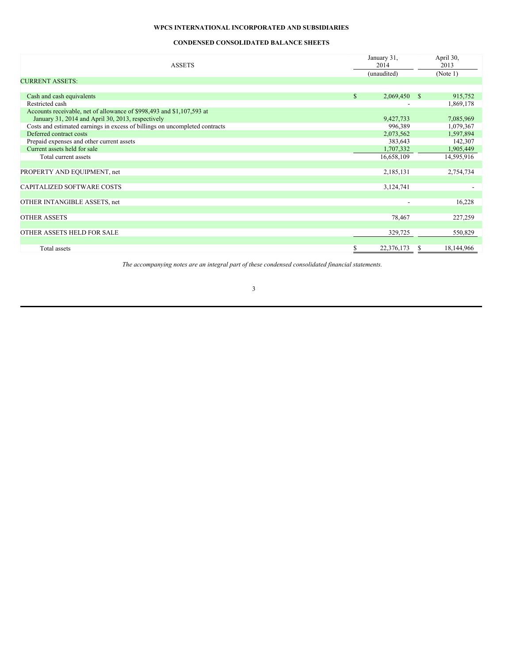# **CONDENSED CONSOLIDATED BALANCE SHEETS**

| <b>ASSETS</b>                                                               |              | January 31,<br>2014 |    | April 30,<br>2013 |
|-----------------------------------------------------------------------------|--------------|---------------------|----|-------------------|
|                                                                             |              | (unaudited)         |    | (Note 1)          |
| <b>CURRENT ASSETS:</b>                                                      |              |                     |    |                   |
| Cash and cash equivalents                                                   | $\mathbb{S}$ | 2,069,450 \$        |    | 915,752           |
| Restricted cash                                                             |              |                     |    | 1,869,178         |
| Accounts receivable, net of allowance of \$998,493 and \$1,107,593 at       |              |                     |    |                   |
| January 31, 2014 and April 30, 2013, respectively                           |              | 9,427,733           |    | 7,085,969         |
| Costs and estimated earnings in excess of billings on uncompleted contracts |              | 996,389             |    | 1,079,367         |
| Deferred contract costs                                                     |              | 2,073,562           |    | 1,597,894         |
| Prepaid expenses and other current assets                                   |              | 383,643             |    | 142,307           |
| Current assets held for sale                                                |              | 1,707,332           |    | 1,905,449         |
| Total current assets                                                        |              | 16,658,109          |    | 14,595,916        |
|                                                                             |              |                     |    |                   |
| PROPERTY AND EQUIPMENT, net                                                 |              | 2,185,131           |    | 2,754,734         |
|                                                                             |              |                     |    |                   |
| <b>CAPITALIZED SOFTWARE COSTS</b>                                           |              | 3,124,741           |    |                   |
|                                                                             |              |                     |    |                   |
| OTHER INTANGIBLE ASSETS, net                                                |              |                     |    | 16,228            |
|                                                                             |              |                     |    |                   |
| <b>OTHER ASSETS</b>                                                         |              | 78,467              |    | 227,259           |
|                                                                             |              |                     |    |                   |
| OTHER ASSETS HELD FOR SALE                                                  |              | 329,725             |    | 550,829           |
|                                                                             |              |                     |    |                   |
| Total assets                                                                | \$           | 22,376,173          | S. | 18,144,966        |

*The accompanying notes are an integral part of these condensed consolidated financial statements.*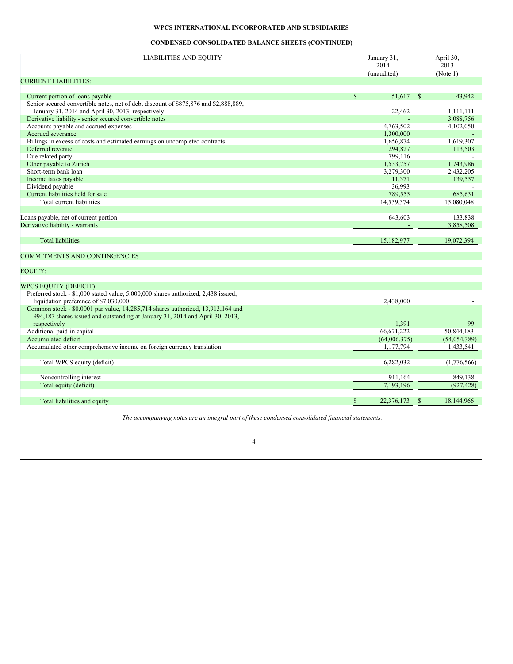# **CONDENSED CONSOLIDATED BALANCE SHEETS (CONTINUED)**

| (Note 1)<br>(unaudited)<br><b>CURRENT LIABILITIES:</b><br>$\mathbb{S}$<br>51,617 \$<br>43.942<br>Current portion of loans payable<br>Senior secured convertible notes, net of debt discount of \$875,876 and \$2,888,889,<br>January 31, 2014 and April 30, 2013, respectively<br>22,462<br>1,111,111<br>Derivative liability - senior secured convertible notes<br>3,088,756<br>Accounts payable and accrued expenses<br>4,763,502<br>4,102,050<br>Accrued severance<br>1,300,000<br>Billings in excess of costs and estimated earnings on uncompleted contracts<br>1,656,874<br>1,619,307<br>Deferred revenue<br>294,827<br>113,503<br>Due related party<br>799.116<br>Other payable to Zurich<br>1,533,757<br>1,743,986<br>Short-term bank loan<br>3,279,300<br>2,432,205<br>Income taxes payable<br>11,371<br>139,557<br>Dividend payable<br>36,993<br>Current liabilities held for sale<br>789,555<br>685,631 | <b>LIABILITIES AND EQUITY</b> | January 31,<br>2014 | April 30,<br>2013 |
|--------------------------------------------------------------------------------------------------------------------------------------------------------------------------------------------------------------------------------------------------------------------------------------------------------------------------------------------------------------------------------------------------------------------------------------------------------------------------------------------------------------------------------------------------------------------------------------------------------------------------------------------------------------------------------------------------------------------------------------------------------------------------------------------------------------------------------------------------------------------------------------------------------------------|-------------------------------|---------------------|-------------------|
|                                                                                                                                                                                                                                                                                                                                                                                                                                                                                                                                                                                                                                                                                                                                                                                                                                                                                                                    |                               |                     |                   |
|                                                                                                                                                                                                                                                                                                                                                                                                                                                                                                                                                                                                                                                                                                                                                                                                                                                                                                                    |                               |                     |                   |
|                                                                                                                                                                                                                                                                                                                                                                                                                                                                                                                                                                                                                                                                                                                                                                                                                                                                                                                    |                               |                     |                   |
|                                                                                                                                                                                                                                                                                                                                                                                                                                                                                                                                                                                                                                                                                                                                                                                                                                                                                                                    |                               |                     |                   |
|                                                                                                                                                                                                                                                                                                                                                                                                                                                                                                                                                                                                                                                                                                                                                                                                                                                                                                                    |                               |                     |                   |
|                                                                                                                                                                                                                                                                                                                                                                                                                                                                                                                                                                                                                                                                                                                                                                                                                                                                                                                    |                               |                     |                   |
|                                                                                                                                                                                                                                                                                                                                                                                                                                                                                                                                                                                                                                                                                                                                                                                                                                                                                                                    |                               |                     |                   |
|                                                                                                                                                                                                                                                                                                                                                                                                                                                                                                                                                                                                                                                                                                                                                                                                                                                                                                                    |                               |                     |                   |
|                                                                                                                                                                                                                                                                                                                                                                                                                                                                                                                                                                                                                                                                                                                                                                                                                                                                                                                    |                               |                     |                   |
|                                                                                                                                                                                                                                                                                                                                                                                                                                                                                                                                                                                                                                                                                                                                                                                                                                                                                                                    |                               |                     |                   |
|                                                                                                                                                                                                                                                                                                                                                                                                                                                                                                                                                                                                                                                                                                                                                                                                                                                                                                                    |                               |                     |                   |
|                                                                                                                                                                                                                                                                                                                                                                                                                                                                                                                                                                                                                                                                                                                                                                                                                                                                                                                    |                               |                     |                   |
|                                                                                                                                                                                                                                                                                                                                                                                                                                                                                                                                                                                                                                                                                                                                                                                                                                                                                                                    |                               |                     |                   |
|                                                                                                                                                                                                                                                                                                                                                                                                                                                                                                                                                                                                                                                                                                                                                                                                                                                                                                                    |                               |                     |                   |
|                                                                                                                                                                                                                                                                                                                                                                                                                                                                                                                                                                                                                                                                                                                                                                                                                                                                                                                    |                               |                     |                   |
|                                                                                                                                                                                                                                                                                                                                                                                                                                                                                                                                                                                                                                                                                                                                                                                                                                                                                                                    |                               |                     |                   |
| 14,539,374<br>Total current liabilities<br>15,080,048                                                                                                                                                                                                                                                                                                                                                                                                                                                                                                                                                                                                                                                                                                                                                                                                                                                              |                               |                     |                   |
|                                                                                                                                                                                                                                                                                                                                                                                                                                                                                                                                                                                                                                                                                                                                                                                                                                                                                                                    |                               |                     |                   |
| 643,603<br>133,838<br>Loans payable, net of current portion                                                                                                                                                                                                                                                                                                                                                                                                                                                                                                                                                                                                                                                                                                                                                                                                                                                        |                               |                     |                   |
| Derivative liability - warrants<br>3,858,508                                                                                                                                                                                                                                                                                                                                                                                                                                                                                                                                                                                                                                                                                                                                                                                                                                                                       |                               |                     |                   |
|                                                                                                                                                                                                                                                                                                                                                                                                                                                                                                                                                                                                                                                                                                                                                                                                                                                                                                                    |                               |                     |                   |
| <b>Total liabilities</b><br>15,182,977<br>19,072,394                                                                                                                                                                                                                                                                                                                                                                                                                                                                                                                                                                                                                                                                                                                                                                                                                                                               |                               |                     |                   |
|                                                                                                                                                                                                                                                                                                                                                                                                                                                                                                                                                                                                                                                                                                                                                                                                                                                                                                                    |                               |                     |                   |
| <b>COMMITMENTS AND CONTINGENCIES</b>                                                                                                                                                                                                                                                                                                                                                                                                                                                                                                                                                                                                                                                                                                                                                                                                                                                                               |                               |                     |                   |
|                                                                                                                                                                                                                                                                                                                                                                                                                                                                                                                                                                                                                                                                                                                                                                                                                                                                                                                    |                               |                     |                   |
| <b>EQUITY:</b>                                                                                                                                                                                                                                                                                                                                                                                                                                                                                                                                                                                                                                                                                                                                                                                                                                                                                                     |                               |                     |                   |
|                                                                                                                                                                                                                                                                                                                                                                                                                                                                                                                                                                                                                                                                                                                                                                                                                                                                                                                    |                               |                     |                   |
| <b>WPCS EQUITY (DEFICIT):</b>                                                                                                                                                                                                                                                                                                                                                                                                                                                                                                                                                                                                                                                                                                                                                                                                                                                                                      |                               |                     |                   |
| Preferred stock - \$1,000 stated value, 5,000,000 shares authorized, 2,438 issued;<br>liquidation preference of \$7,030,000                                                                                                                                                                                                                                                                                                                                                                                                                                                                                                                                                                                                                                                                                                                                                                                        |                               |                     |                   |
| 2,438,000<br>Common stock - \$0.0001 par value, 14,285,714 shares authorized, 13,913,164 and                                                                                                                                                                                                                                                                                                                                                                                                                                                                                                                                                                                                                                                                                                                                                                                                                       |                               |                     |                   |
| 994,187 shares issued and outstanding at January 31, 2014 and April 30, 2013,                                                                                                                                                                                                                                                                                                                                                                                                                                                                                                                                                                                                                                                                                                                                                                                                                                      |                               |                     |                   |
| respectively<br>1,391<br>99                                                                                                                                                                                                                                                                                                                                                                                                                                                                                                                                                                                                                                                                                                                                                                                                                                                                                        |                               |                     |                   |
| Additional paid-in capital<br>66,671,222<br>50,844,183                                                                                                                                                                                                                                                                                                                                                                                                                                                                                                                                                                                                                                                                                                                                                                                                                                                             |                               |                     |                   |
| Accumulated deficit<br>(64,006,375)<br>(54, 054, 389)                                                                                                                                                                                                                                                                                                                                                                                                                                                                                                                                                                                                                                                                                                                                                                                                                                                              |                               |                     |                   |
| Accumulated other comprehensive income on foreign currency translation<br>1,177,794<br>1,433,541                                                                                                                                                                                                                                                                                                                                                                                                                                                                                                                                                                                                                                                                                                                                                                                                                   |                               |                     |                   |
|                                                                                                                                                                                                                                                                                                                                                                                                                                                                                                                                                                                                                                                                                                                                                                                                                                                                                                                    |                               |                     |                   |
| Total WPCS equity (deficit)<br>6,282,032<br>(1,776,566)                                                                                                                                                                                                                                                                                                                                                                                                                                                                                                                                                                                                                                                                                                                                                                                                                                                            |                               |                     |                   |
|                                                                                                                                                                                                                                                                                                                                                                                                                                                                                                                                                                                                                                                                                                                                                                                                                                                                                                                    |                               |                     |                   |
| Noncontrolling interest<br>911,164<br>849,138                                                                                                                                                                                                                                                                                                                                                                                                                                                                                                                                                                                                                                                                                                                                                                                                                                                                      |                               |                     |                   |
| 7,193,196<br>(927, 428)<br>Total equity (deficit)                                                                                                                                                                                                                                                                                                                                                                                                                                                                                                                                                                                                                                                                                                                                                                                                                                                                  |                               |                     |                   |
|                                                                                                                                                                                                                                                                                                                                                                                                                                                                                                                                                                                                                                                                                                                                                                                                                                                                                                                    |                               |                     |                   |
| \$<br>22,376,173<br>18,144,966<br><sup>\$</sup><br>Total liabilities and equity                                                                                                                                                                                                                                                                                                                                                                                                                                                                                                                                                                                                                                                                                                                                                                                                                                    |                               |                     |                   |

*The accompanying notes are an integral part of these condensed consolidated financial statements.*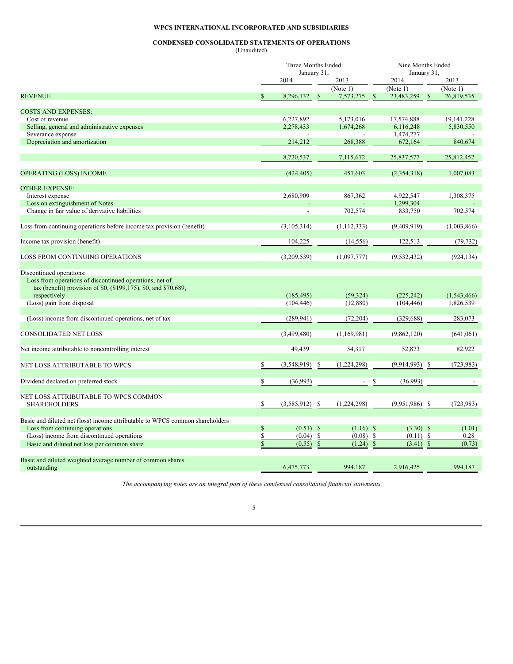# **CONDENSED CONSOLIDATED STATEMENTS OF OPERATIONS**

(Unaudited)

|                                                                              |              | Three Months Ended       |               |                           |              | Nine Months Ended |                |  |  |  |
|------------------------------------------------------------------------------|--------------|--------------------------|---------------|---------------------------|--------------|-------------------|----------------|--|--|--|
|                                                                              |              | January 31,              |               |                           |              | January 31,       |                |  |  |  |
|                                                                              |              | 2014                     |               | 2013                      |              | 2014              | 2013           |  |  |  |
|                                                                              |              |                          |               | (Note 1)                  |              | (Note 1)          | \$<br>(Note 1) |  |  |  |
| <b>REVENUE</b>                                                               |              | 8,296,132                | $\mathbb{S}$  | 7,573,275                 |              | 23,483,259        | 26,819,535     |  |  |  |
| <b>COSTS AND EXPENSES:</b>                                                   |              |                          |               |                           |              |                   |                |  |  |  |
| Cost of revenue                                                              |              | 6,227,892                |               | 5,173,016                 |              | 17,574,888        | 19, 141, 228   |  |  |  |
| Selling, general and administrative expenses                                 |              | 2,278,433                |               | 1,674,268                 |              | 6,116,248         | 5,830,550      |  |  |  |
| Severance expense                                                            |              |                          |               |                           |              | 1,474,277         |                |  |  |  |
| Depreciation and amortization                                                |              | 214,212                  |               | 268,388                   |              | 672,164           | 840,674        |  |  |  |
|                                                                              |              |                          |               |                           |              |                   |                |  |  |  |
|                                                                              |              | 8,720,537                |               | 7,115,672                 |              | 25,837,577        | 25,812,452     |  |  |  |
|                                                                              |              |                          |               |                           |              |                   |                |  |  |  |
| <b>OPERATING (LOSS) INCOME</b>                                               |              | (424, 405)               |               | 457,603                   |              | (2,354,318)       | 1,007,083      |  |  |  |
|                                                                              |              |                          |               |                           |              |                   |                |  |  |  |
| <b>OTHER EXPENSE:</b>                                                        |              |                          |               |                           |              |                   |                |  |  |  |
| Interest expense                                                             |              | 2,680,909                |               | 867,362                   |              | 4,922,547         | 1,308,375      |  |  |  |
| Loss on extinguishment of Notes                                              |              |                          |               |                           |              | 1,299,304         |                |  |  |  |
| Change in fair value of derivative liabilities                               |              | $\overline{\phantom{a}}$ |               | 702,574                   |              | 833,750           | 702,574        |  |  |  |
|                                                                              |              |                          |               |                           |              |                   |                |  |  |  |
| Loss from continuing operations before income tax provision (benefit)        |              | (3, 105, 314)            |               | (1, 112, 333)             |              | (9,409,919)       | (1,003,866)    |  |  |  |
|                                                                              |              |                          |               |                           |              |                   |                |  |  |  |
| Income tax provision (benefit)                                               |              | 104,225                  |               | (14, 556)                 |              | 122,513           | (79, 732)      |  |  |  |
|                                                                              |              |                          |               |                           |              |                   |                |  |  |  |
| <b>LOSS FROM CONTINUING OPERATIONS</b>                                       |              | (3,209,539)              |               | (1,097,777)               |              | (9, 532, 432)     | (924, 134)     |  |  |  |
| Discontinued operations:                                                     |              |                          |               |                           |              |                   |                |  |  |  |
| Loss from operations of discontinued operations, net of                      |              |                          |               |                           |              |                   |                |  |  |  |
| tax (benefit) provision of \$0, (\$199,175), \$0, and \$70,689,              |              |                          |               |                           |              |                   |                |  |  |  |
| respectively                                                                 |              | (185, 495)               |               | (59, 324)                 |              | (225, 242)        | (1, 543, 466)  |  |  |  |
| (Loss) gain from disposal                                                    |              | (104, 446)               |               | (12, 880)                 |              | (104, 446)        | 1,826,539      |  |  |  |
|                                                                              |              |                          |               |                           |              |                   |                |  |  |  |
| (Loss) income from discontinued operations, net of tax                       |              | (289, 941)               |               | (72, 204)                 |              | (329, 688)        | 283,073        |  |  |  |
|                                                                              |              |                          |               |                           |              |                   |                |  |  |  |
| <b>CONSOLIDATED NET LOSS</b>                                                 |              | (3, 499, 480)            |               | (1, 169, 981)             |              | (9,862,120)       | (641,061)      |  |  |  |
|                                                                              |              |                          |               |                           |              |                   |                |  |  |  |
| Net income attributable to noncontrolling interest                           |              | 49,439                   |               | 54,317                    |              | 52,873            | 82,922         |  |  |  |
|                                                                              |              |                          |               |                           |              |                   |                |  |  |  |
| NET LOSS ATTRIBUTABLE TO WPCS                                                | \$           | (3,548,919)              | <sup>\$</sup> | (1,224,298)               |              | $(9,914,993)$ \$  | (723, 983)     |  |  |  |
|                                                                              |              |                          |               |                           |              |                   |                |  |  |  |
| Dividend declared on preferred stock                                         | \$           | (36,993)                 |               | $\mathbb{Z}^{\mathbb{Z}}$ | \$           | (36,993)          |                |  |  |  |
|                                                                              |              |                          |               |                           |              |                   |                |  |  |  |
| NET LOSS ATTRIBUTABLE TO WPCS COMMON                                         |              |                          |               |                           |              |                   |                |  |  |  |
| <b>SHAREHOLDERS</b>                                                          | \$           | $(3,585,912)$ \$         |               | (1,224,298)               |              | $(9,951,986)$ \$  | (723, 983)     |  |  |  |
|                                                                              |              |                          |               |                           |              |                   |                |  |  |  |
| Basic and diluted net (loss) income attributable to WPCS common shareholders |              |                          |               |                           |              |                   |                |  |  |  |
| Loss from continuing operations                                              | $\mathbb{S}$ | $(0.51)$ \$              |               | $(1.16)$ \$               |              | $(3.30)$ \$       | (1.01)         |  |  |  |
| (Loss) income from discontinued operations                                   | \$           | (0.04)                   | \$            | (0.08)                    | \$           | $(0.11)$ \$       | 0.28           |  |  |  |
| Basic and diluted net loss per common share                                  | $\mathbf S$  | (0.55)                   | $\mathbb{S}$  | (1.24)                    | $\mathbb{S}$ | $(3.41)$ \$       | (0.73)         |  |  |  |
|                                                                              |              |                          |               |                           |              |                   |                |  |  |  |
| Basic and diluted weighted average number of common shares                   |              |                          |               |                           |              |                   |                |  |  |  |
| outstanding                                                                  |              | 6,475,773                |               | 994,187                   |              | 2,916,425         | 994,187        |  |  |  |

*The accompanying notes are an integral part of these condensed consolidated financial statements.*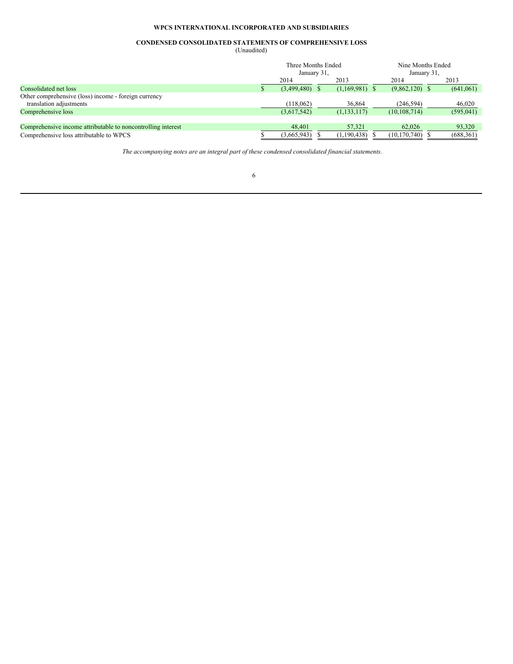# **CONDENSED CONSOLIDATED STATEMENTS OF COMPREHENSIVE LOSS**

(Unaudited)

|                                                              | Three Months Ended<br>January 31, |                  |  |                  |  |                  | Nine Months Ended<br>January 31, |            |  |  |
|--------------------------------------------------------------|-----------------------------------|------------------|--|------------------|--|------------------|----------------------------------|------------|--|--|
|                                                              |                                   | 2014             |  | 2013             |  | 2014             |                                  | 2013       |  |  |
| Consolidated net loss                                        |                                   | $(3,499,480)$ \$ |  | $(1,169,981)$ \$ |  | $(9,862,120)$ \$ |                                  | (641,061)  |  |  |
| Other comprehensive (loss) income - foreign currency         |                                   |                  |  |                  |  |                  |                                  |            |  |  |
| translation adjustments                                      |                                   | (118,062)        |  | 36,864           |  | (246, 594)       |                                  | 46,020     |  |  |
| Comprehensive loss                                           |                                   | (3,617,542)      |  | (1,133,117)      |  | (10, 108, 714)   |                                  | (595, 041) |  |  |
|                                                              |                                   |                  |  |                  |  |                  |                                  |            |  |  |
| Comprehensive income attributable to noncontrolling interest |                                   | 48,401           |  | 57,321           |  | 62,026           |                                  | 93,320     |  |  |
| Comprehensive loss attributable to WPCS                      |                                   | (3,665,943)      |  | (1, 190, 438)    |  | (10, 170, 740)   |                                  | (688, 361) |  |  |

*The accompanying notes are an integral part of these condensed consolidated financial statements.*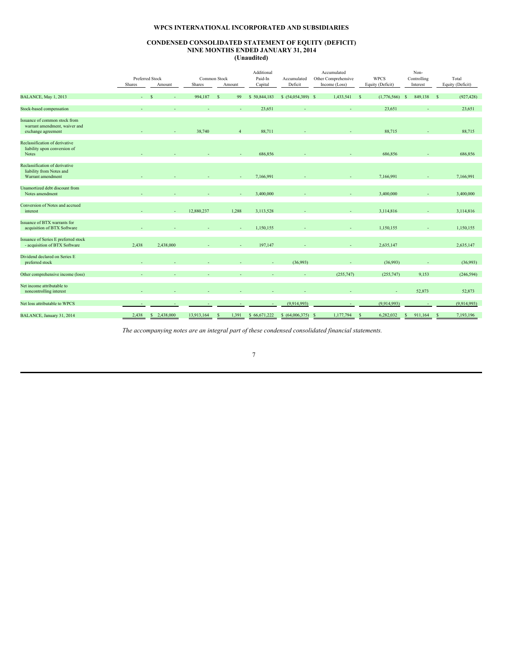### **CONDENSED CONSOLIDATED STATEMENT OF EQUITY (DEFICIT) NINE MONTHS ENDED JANUARY 31, 2014 (Unaudited)**

|                                                                                      | Shares | Preferred Stock<br>Amount | Common Stock<br>Shares | Amount           | Additional<br>Paid-In<br>Capital | Accumulated<br>Deficit | Accumulated<br>Other Comprehensive<br>Income (Loss) | <b>WPCS</b><br>Equity (Deficit) | Non-<br>Controlling<br>Interest | Total<br>Equity (Deficit) |
|--------------------------------------------------------------------------------------|--------|---------------------------|------------------------|------------------|----------------------------------|------------------------|-----------------------------------------------------|---------------------------------|---------------------------------|---------------------------|
| BALANCE, May 1, 2013                                                                 | $-$ S  |                           | 994,187                | $^{\circ}$<br>99 | \$50,844,183                     | $$ (54,054,389)$ \ \$  | 1,433,541 \$                                        | (1,776,566)                     | 849,138 \$<br><sup>S</sup>      | (927, 428)                |
| Stock-based compensation                                                             |        |                           |                        |                  | 23,651                           |                        |                                                     | 23,651                          |                                 | 23,651                    |
| Issuance of common stock from<br>warrant amendment, waiver and<br>exchange agreement |        |                           | 38,740                 | $\overline{A}$   | 88,711                           |                        |                                                     | 88,715                          |                                 | 88,715                    |
| Reclassification of derivative<br>liability upon conversion of<br><b>Notes</b>       |        |                           |                        |                  | 686,856                          |                        |                                                     | 686,856                         |                                 | 686,856                   |
| Reclassification of derivative<br>liability from Notes and<br>Warrant amendment      |        |                           |                        |                  | 7,166,991                        |                        |                                                     | 7,166,991                       |                                 | 7,166,991                 |
| Unamortized debt discount from<br>Notes amendment                                    |        |                           |                        |                  | 3,400,000                        |                        |                                                     | 3,400,000                       |                                 | 3,400,000                 |
| Conversion of Notes and accrued<br>interest                                          |        |                           | 12,880,237             | 1,288            | 3,113,528                        |                        |                                                     | 3,114,816                       |                                 | 3,114,816                 |
| Issuance of BTX warrants for<br>acquisition of BTX Software                          |        |                           |                        |                  | 1,150,155                        |                        |                                                     | 1,150,155                       |                                 | 1,150,155                 |
| Issuance of Series E preferred stock<br>- acquisition of BTX Software                | 2,438  | 2,438,000                 |                        |                  | 197,147                          |                        |                                                     | 2,635,147                       |                                 | 2,635,147                 |
| Dividend declared on Series E<br>preferred stock                                     |        |                           |                        |                  |                                  | (36,993)               |                                                     | (36.993)                        |                                 | (36,993)                  |
| Other comprehensive income (loss)                                                    |        |                           |                        |                  |                                  |                        | (255,747)                                           | (255,747)                       | 9,153                           | (246, 594)                |
| Net income attributable to<br>noncontrolling interest                                |        |                           |                        |                  |                                  |                        |                                                     |                                 | 52,873                          | 52,873                    |
| Net loss attributable to WPCS                                                        |        |                           |                        |                  | $\sim$                           | (9.914.993)            |                                                     | (9,914,993)                     |                                 | (9,914,993)               |
| BALANCE, January 31, 2014                                                            | 2,438  | \$2,438,000               | 13,913,164             | 1,391<br>-S      | \$66,671,222                     | \$ (64,006,375) \$     | 1,177,794                                           | 6,282,032                       | 911,164<br>-S                   | 7,193,196                 |

*The accompanying notes are an integral part of these condensed consolidated financial statements.*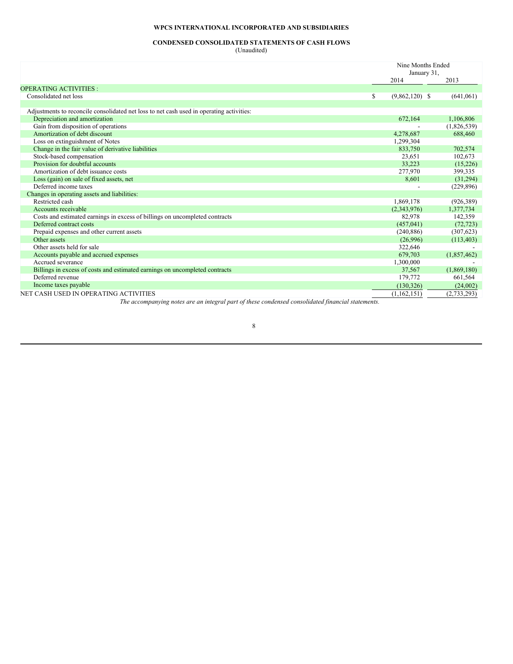# **CONDENSED CONSOLIDATED STATEMENTS OF CASH FLOWS**

(Unaudited)

|                                                                                          | Nine Months Ended<br>January 31, |  |             |
|------------------------------------------------------------------------------------------|----------------------------------|--|-------------|
|                                                                                          | 2014                             |  | 2013        |
| <b>OPERATING ACTIVITIES:</b>                                                             |                                  |  |             |
| Consolidated net loss                                                                    | \$<br>$(9,862,120)$ \$           |  | (641,061)   |
|                                                                                          |                                  |  |             |
| Adjustments to reconcile consolidated net loss to net cash used in operating activities: |                                  |  |             |
| Depreciation and amortization                                                            | 672,164                          |  | 1,106,806   |
| Gain from disposition of operations                                                      |                                  |  | (1,826,539) |
| Amortization of debt discount                                                            | 4,278,687                        |  | 688,460     |
| Loss on extinguishment of Notes                                                          | 1,299,304                        |  |             |
| Change in the fair value of derivative liabilities                                       | 833,750                          |  | 702,574     |
| Stock-based compensation                                                                 | 23,651                           |  | 102,673     |
| Provision for doubtful accounts                                                          | 33,223                           |  | (15,226)    |
| Amortization of debt issuance costs                                                      | 277,970                          |  | 399,335     |
| Loss (gain) on sale of fixed assets, net                                                 | 8.601                            |  | (31,294)    |
| Deferred income taxes                                                                    |                                  |  | (229, 896)  |
| Changes in operating assets and liabilities:                                             |                                  |  |             |
| Restricted cash                                                                          | 1,869,178                        |  | (926, 389)  |
| Accounts receivable                                                                      | (2,343,976)                      |  | 1,377,734   |
| Costs and estimated earnings in excess of billings on uncompleted contracts              | 82,978                           |  | 142,359     |
| Deferred contract costs                                                                  | (457, 041)                       |  | (72, 723)   |
| Prepaid expenses and other current assets                                                | (240, 886)                       |  | (307, 623)  |
| Other assets                                                                             | (26,996)                         |  | (113, 403)  |
| Other assets held for sale                                                               | 322,646                          |  |             |
| Accounts payable and accrued expenses                                                    | 679,703                          |  | (1,857,462) |
| Accrued severance                                                                        | 1,300,000                        |  |             |
| Billings in excess of costs and estimated earnings on uncompleted contracts              | 37,567                           |  | (1,869,180) |
| Deferred revenue                                                                         | 179,772                          |  | 661,564     |
| Income taxes payable                                                                     | (130, 326)                       |  | (24,002)    |
| NET CASH USED IN OPERATING ACTIVITIES                                                    | (1.162.151)                      |  | (2,733,293) |

*The accompanying notes are an integral part of these condensed consolidated financial statements.*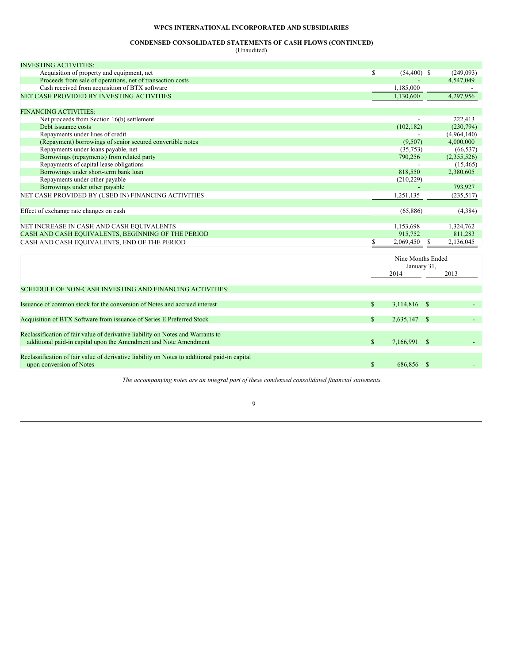# **CONDENSED CONSOLIDATED STATEMENTS OF CASH FLOWS (CONTINUED)**

(Unaudited)

| <b>INVESTING ACTIVITIES:</b>                                                                  |               |                   |                            |
|-----------------------------------------------------------------------------------------------|---------------|-------------------|----------------------------|
| Acquisition of property and equipment, net                                                    | \$            | $(54,400)$ \$     | (249,093)                  |
| Proceeds from sale of operations, net of transaction costs                                    |               |                   | 4,547,049                  |
| Cash received from acquisition of BTX software                                                |               | 1,185,000         |                            |
| NET CASH PROVIDED BY INVESTING ACTIVITIES                                                     |               | 1,130,600         | 4,297,956                  |
|                                                                                               |               |                   |                            |
| <b>FINANCING ACTIVITIES:</b>                                                                  |               |                   |                            |
| Net proceeds from Section 16(b) settlement                                                    |               |                   | 222,413                    |
| Debt issuance costs                                                                           |               | (102, 182)        | (230, 794)                 |
| Repayments under lines of credit                                                              |               | $\blacksquare$    | (4,964,140)                |
| (Repayment) borrowings of senior secured convertible notes                                    |               | (9,507)           | 4,000,000                  |
| Repayments under loans payable, net                                                           |               | (35,753)          | (66, 537)                  |
| Borrowings (repayments) from related party                                                    |               | 790,256           | (2,355,526)                |
| Repayments of capital lease obligations                                                       |               |                   | (15, 465)                  |
| Borrowings under short-term bank loan                                                         |               | 818,550           | 2,380,605                  |
| Repayments under other payable                                                                |               | (210, 229)        |                            |
| Borrowings under other payable                                                                |               |                   | 793,927                    |
| NET CASH PROVIDED BY (USED IN) FINANCING ACTIVITIES                                           |               | 1,251,135         | (235, 517)                 |
|                                                                                               |               |                   |                            |
| Effect of exchange rate changes on cash                                                       |               | (65,886)          | (4,384)                    |
|                                                                                               |               |                   |                            |
| NET INCREASE IN CASH AND CASH EQUIVALENTS                                                     |               | 1,153,698         | 1,324,762                  |
| CASH AND CASH EQUIVALENTS, BEGINNING OF THE PERIOD                                            |               | 915,752           | 811,283                    |
| CASH AND CASH EQUIVALENTS, END OF THE PERIOD                                                  | S             | 2,069,450         | 2,136,045<br><sup>\$</sup> |
|                                                                                               |               |                   |                            |
|                                                                                               |               | Nine Months Ended |                            |
|                                                                                               |               | January 31,       |                            |
|                                                                                               |               | 2014              | 2013                       |
|                                                                                               |               |                   |                            |
| SCHEDULE OF NON-CASH INVESTING AND FINANCING ACTIVITIES:                                      |               |                   |                            |
|                                                                                               |               |                   |                            |
| Issuance of common stock for the conversion of Notes and accrued interest                     | $\mathbb{S}$  | 3,114,816 \$      |                            |
|                                                                                               |               |                   |                            |
| Acquisition of BTX Software from issuance of Series E Preferred Stock                         | $\mathbb{S}$  | $2,635,147$ \$    |                            |
|                                                                                               |               |                   |                            |
| Reclassification of fair value of derivative liability on Notes and Warrants to               |               |                   |                            |
| additional paid-in capital upon the Amendment and Note Amendment                              | $\mathbb{S}$  | 7.166.991 \$      |                            |
|                                                                                               |               |                   |                            |
| Reclassification of fair value of derivative liability on Notes to additional paid-in capital |               |                   |                            |
| upon conversion of Notes                                                                      | $\mathsf{\$}$ | 686.856 \$        |                            |

*The accompanying notes are an integral part of these condensed consolidated financial statements.*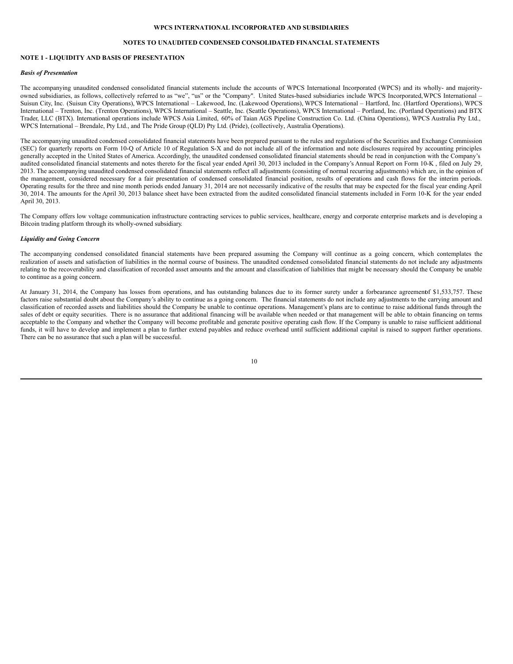# **NOTES TO UNAUDITED CONDENSED CONSOLIDATED FINANCIAL STATEMENTS**

## **NOTE 1 - LIQUIDITY AND BASIS OF PRESENTATION**

## *Basis of Presentation*

The accompanying unaudited condensed consolidated financial statements include the accounts of WPCS International Incorporated (WPCS) and its wholly- and majorityowned subsidiaries, as follows, collectively referred to as "we", "us" or the "Company". United States-based subsidiaries include WPCS Incorporated,WPCS International – Suisun City, Inc. (Suisun City Operations), WPCS International – Lakewood, Inc. (Lakewood Operations), WPCS International – Hartford, Inc. (Hartford Operations), WPCS International – Trenton, Inc. (Trenton Operations), WPCS International – Seattle, Inc. (Seattle Operations), WPCS International – Portland, Inc. (Portland Operations) and BTX Trader, LLC (BTX). International operations include WPCS Asia Limited, 60% of Taian AGS Pipeline Construction Co. Ltd. (China Operations), WPCS Australia Pty Ltd., WPCS International – Brendale, Pty Ltd., and The Pride Group (QLD) Pty Ltd. (Pride), (collectively, Australia Operations).

The accompanying unaudited condensed consolidated financial statements have been prepared pursuant to the rules and regulations of the Securities and Exchange Commission (SEC) for quarterly reports on Form 10-Q of Article 10 of Regulation S-X and do not include all of the information and note disclosures required by accounting principles generally accepted in the United States of America. Accordingly, the unaudited condensed consolidated financial statements should be read in conjunction with the Company's audited consolidated financial statements and notes thereto for the fiscal year ended April 30, 2013 included in the Company's Annual Report on Form 10-K , filed on July 29, 2013. The accompanying unaudited condensed consolidated financial statements reflect all adjustments (consisting of normal recurring adjustments) which are, in the opinion of the management, considered necessary for a fair presentation of condensed consolidated financial position, results of operations and cash flows for the interim periods. Operating results for the three and nine month periods ended January 31, 2014 are not necessarily indicative of the results that may be expected for the fiscal year ending April 30, 2014. The amounts for the April 30, 2013 balance sheet have been extracted from the audited consolidated financial statements included in Form 10-K for the year ended April 30, 2013.

The Company offers low voltage communication infrastructure contracting services to public services, healthcare, energy and corporate enterprise markets and is developing a Bitcoin trading platform through its wholly-owned subsidiary.

### *Liquidity and Going Concern*

The accompanying condensed consolidated financial statements have been prepared assuming the Company will continue as a going concern, which contemplates the realization of assets and satisfaction of liabilities in the normal course of business. The unaudited condensed consolidated financial statements do not include any adjustments relating to the recoverability and classification of recorded asset amounts and the amount and classification of liabilities that might be necessary should the Company be unable to continue as a going concern.

At January 31, 2014, the Company has losses from operations, and has outstanding balances due to its former surety under a forbearance agreementof \$1,533,757. These factors raise substantial doubt about the Company's ability to continue as a going concern. The financial statements do not include any adjustments to the carrying amount and classification of recorded assets and liabilities should the Company be unable to continue operations. Management's plans are to continue to raise additional funds through the sales of debt or equity securities. There is no assurance that additional financing will be available when needed or that management will be able to obtain financing on terms acceptable to the Company and whether the Company will become profitable and generate positive operating cash flow. If the Company is unable to raise sufficient additional funds, it will have to develop and implement a plan to further extend payables and reduce overhead until sufficient additional capital is raised to support further operations. There can be no assurance that such a plan will be successful.

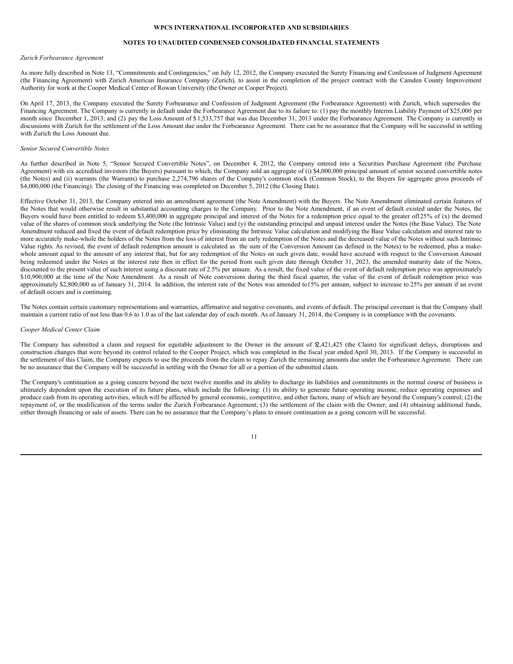# **NOTES TO UNAUDITED CONDENSED CONSOLIDATED FINANCIAL STATEMENTS**

#### *Zurich Forbearance Agreement*

As more fully described in Note 13, "Commitments and Contingencies," on July 12, 2012, the Company executed the Surety Financing and Confession of Judgment Agreement (the Financing Agreement) with Zurich American Insurance Company (Zurich), to assist in the completion of the project contract with the Camden County Improvement Authority for work at the Cooper Medical Center of Rowan University (the Owner or Cooper Project).

On April 17, 2013, the Company executed the Surety Forbearance and Confession of Judgment Agreement (the Forbearance Agreement) with Zurich, which supersedes the Financing Agreement. The Company is currently in default under the Forbearance Agreement due to its failure to: (1) pay the monthly Interim Liability Payment of \$25,000 per month since December 1, 2013; and (2) pay the Loss Amount of \$1,533,757 that was due December 31, 2013 under the Forbearance Agreement. The Company is currently in discussions with Zurich for the settlement of the Loss Amount due under the Forbearance Agreement. There can be no assurance that the Company will be successful in settling with Zurich the Loss Amount due.

## *Senior Secured Convertible Notes*

As further described in Note 5, "Senior Secured Convertible Notes", on December 4, 2012, the Company entered into a Securities Purchase Agreement (the Purchase Agreement) with six accredited investors (the Buyers) pursuant to which, the Company sold an aggregate of (i) \$4,000,000 principal amount of senior secured convertible notes (the Notes) and (ii) warrants (the Warrants) to purchase 2,274,796 shares of the Company's common stock (Common Stock), to the Buyers for aggregate gross proceeds of \$4,000,000 (the Financing). The closing of the Financing was completed on December 5, 2012 (the Closing Date).

Effective October 31, 2013, the Company entered into an amendment agreement (the Note Amendment) with the Buyers. The Note Amendment eliminated certain features of the Notes that would otherwise result in substantial accounting charges to the Company. Prior to the Note Amendment, if an event of default existed under the Notes, the Buyers would have been entitled to redeem \$3,400,000 in aggregate principal and interest of the Notes for a redemption price equal to the greater of125% of (x) the deemed value of the shares of common stock underlying the Note (the Intrinsic Value) and (y) the outstanding principal and unpaid interest under the Notes (the Base Value). The Note Amendment reduced and fixed the event of default redemption price by eliminating the Intrinsic Value calculation and modifying the Base Value calculation and interest rate to more accurately make-whole the holders of the Notes from the loss of interest from an early redemption of the Notes and the decreased value of the Notes without such Intrinsic Value rights. As revised, the event of default redemption amount is calculated as the sum of the Conversion Amount (as defined in the Notes) to be redeemed, plus a makewhole amount equal to the amount of any interest that, but for any redemption of the Notes on such given date, would have accrued with respect to the Conversion Amount being redeemed under the Notes at the interest rate then in effect for the period from such given date through October 31, 2023, the amended maturity date of the Notes, discounted to the present value of such interest using a discount rate of 2.5% per annum. As a result, the fixed value of the event of default redemption price was approximately \$10,900,000 at the time of the Note Amendment. As a result of Note conversions during the third fiscal quarter, the value of the event of default redemption price was approximately \$2,800,000 as of January 31, 2014. In addition, the interest rate of the Notes was amended to15% per annum, subject to increase to 25% per annum if an event of default occurs and is continuing.

The Notes contain certain customary representations and warranties, affirmative and negative covenants, and events of default. The principal covenant is that the Company shall maintain a current ratio of not less than 0.6 to 1.0 as of the last calendar day of each month. As of January 31, 2014, the Company is in compliance with the covenants.

#### *Cooper Medical Center Claim*

The Company has submitted a claim and request for equitable adjustment to the Owner in the amount of \$2,421,425 (the Claim) for significant delays, disruptions and construction changes that were beyond its control related to the Cooper Project, which was completed in the fiscal year ended April 30, 2013. If the Company is successful in the settlement of this Claim, the Company expects to use the proceeds from the claim to repay Zurich the remaining amounts due under the Forbearance Agreement. There can be no assurance that the Company will be successful in settling with the Owner for all or a portion of the submitted claim.

The Company's continuation as a going concern beyond the next twelve months and its ability to discharge its liabilities and commitments in the normal course of business is ultimately dependent upon the execution of its future plans, which include the following: (1) its ability to generate future operating income, reduce operating expenses and produce cash from its operating activities, which will be affected by general economic, competitive, and other factors, many of which are beyond the Company's control; (2) the repayment of, or the modification of the terms under the Zurich Forbearance Agreement; (3) the settlement of the claim with the Owner; and (4) obtaining additional funds, either through financing or sale of assets. There can be no assurance that the Company's plans to ensure continuation as a going concern will be successful.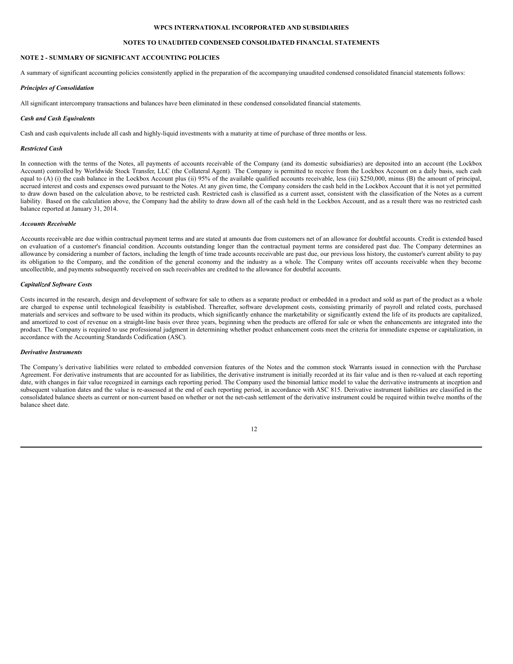# **NOTES TO UNAUDITED CONDENSED CONSOLIDATED FINANCIAL STATEMENTS**

## **NOTE 2 - SUMMARY OF SIGNIFICANT ACCOUNTING POLICIES**

A summary of significant accounting policies consistently applied in the preparation of the accompanying unaudited condensed consolidated financial statements follows:

#### *Principles of Consolidation*

All significant intercompany transactions and balances have been eliminated in these condensed consolidated financial statements.

#### *Cash and Cash Equivalents*

Cash and cash equivalents include all cash and highly-liquid investments with a maturity at time of purchase of three months or less.

#### *Restricted Cash*

In connection with the terms of the Notes, all payments of accounts receivable of the Company (and its domestic subsidiaries) are deposited into an account (the Lockbox Account) controlled by Worldwide Stock Transfer, LLC (the Collateral Agent). The Company is permitted to receive from the Lockbox Account on a daily basis, such cash equal to (A) (i) the cash balance in the Lockbox Account plus (ii) 95% of the available qualified accounts receivable, less (iii) \$250,000, minus (B) the amount of principal, accrued interest and costs and expenses owed pursuant to the Notes. At any given time, the Company considers the cash held in the Lockbox Account that it is not yet permitted to draw down based on the calculation above, to be restricted cash. Restricted cash is classified as a current asset, consistent with the classification of the Notes as a current liability. Based on the calculation above, the Company had the ability to draw down all of the cash held in the Lockbox Account, and as a result there was no restricted cash balance reported at January 31, 2014.

#### *Accounts Receivable*

Accounts receivable are due within contractual payment terms and are stated at amounts due from customers net of an allowance for doubtful accounts. Credit is extended based on evaluation of a customer's financial condition. Accounts outstanding longer than the contractual payment terms are considered past due. The Company determines an allowance by considering a number of factors, including the length of time trade accounts receivable are past due, our previous loss history, the customer's current ability to pay its obligation to the Company, and the condition of the general economy and the industry as a whole. The Company writes off accounts receivable when they become uncollectible, and payments subsequently received on such receivables are credited to the allowance for doubtful accounts.

#### *Capitalized Software Costs*

Costs incurred in the research, design and development of software for sale to others as a separate product or embedded in a product and sold as part of the product as a whole are charged to expense until technological feasibility is established. Thereafter, software development costs, consisting primarily of payroll and related costs, purchased materials and services and software to be used within its products, which significantly enhance the marketability or significantly extend the life of its products are capitalized, and amortized to cost of revenue on a straight-line basis over three years, beginning when the products are offered for sale or when the enhancements are integrated into the product. The Company is required to use professional judgment in determining whether product enhancement costs meet the criteria for immediate expense or capitalization, in accordance with the Accounting Standards Codification (ASC).

#### *Derivative Instruments*

The Company's derivative liabilities were related to embedded conversion features of the Notes and the common stock Warrants issued in connection with the Purchase Agreement. For derivative instruments that are accounted for as liabilities, the derivative instrument is initially recorded at its fair value and is then re-valued at each reporting date, with changes in fair value recognized in earnings each reporting period. The Company used the binomial lattice model to value the derivative instruments at inception and subsequent valuation dates and the value is re-assessed at the end of each reporting period, in accordance with ASC 815. Derivative instrument liabilities are classified in the consolidated balance sheets as current or non-current based on whether or not the net-cash settlement of the derivative instrument could be required within twelve months of the balance sheet date.

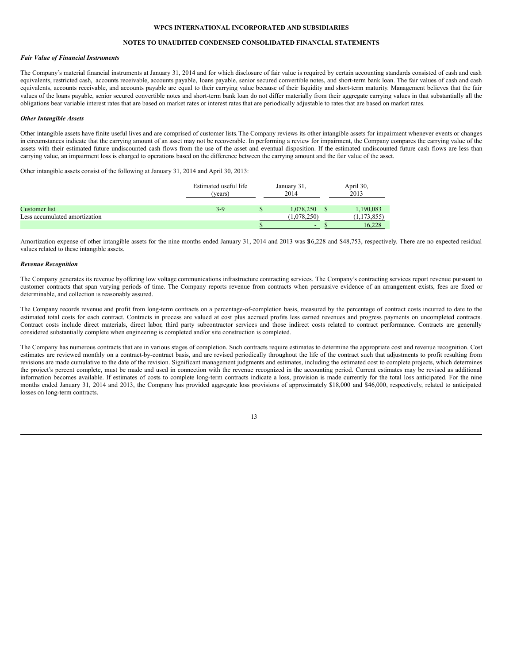# **NOTES TO UNAUDITED CONDENSED CONSOLIDATED FINANCIAL STATEMENTS**

### *Fair Value of Financial Instruments*

The Company's material financial instruments at January 31, 2014 and for which disclosure of fair value is required by certain accounting standards consisted of cash and cash equivalents, restricted cash, accounts receivable, accounts payable, loans payable, senior secured convertible notes, and short-term bank loan. The fair values of cash and cash equivalents, accounts receivable, and accounts payable are equal to their carrying value because of their liquidity and short-term maturity. Management believes that the fair values of the loans payable, senior secured convertible notes and short-term bank loan do not differ materially from their aggregate carrying values in that substantially all the obligations bear variable interest rates that are based on market rates or interest rates that are periodically adjustable to rates that are based on market rates.

## *Other Intangible Assets*

Other intangible assets have finite useful lives and are comprised of customer lists.The Company reviews its other intangible assets for impairment whenever events or changes in circumstances indicate that the carrying amount of an asset may not be recoverable. In performing a review for impairment, the Company compares the carrying value of the assets with their estimated future undiscounted cash flows from the use of the asset and eventual disposition. If the estimated undiscounted future cash flows are less than carrying value, an impairment loss is charged to operations based on the difference between the carrying amount and the fair value of the asset.

Other intangible assets consist of the following at January 31, 2014 and April 30, 2013:

|                               | Estimated useful life<br>(years) | January 31,<br>2014      | April 30,<br>2013 |
|-------------------------------|----------------------------------|--------------------------|-------------------|
| Customer list                 | $3-9$                            | 1.078.250                | 1,190,083         |
| Less accumulated amortization |                                  | (1,078,250)              | 1,173,855)        |
|                               |                                  | $\overline{\phantom{0}}$ | 16.228            |

Amortization expense of other intangible assets for the nine months ended January 31, 2014 and 2013 was \$16,228 and \$48,753, respectively. There are no expected residual values related to these intangible assets.

#### *Revenue Recognition*

The Company generates its revenue by offering low voltage communications infrastructure contracting services. The Company's contracting services report revenue pursuant to customer contracts that span varying periods of time. The Company reports revenue from contracts when persuasive evidence of an arrangement exists, fees are fixed or determinable, and collection is reasonably assured.

The Company records revenue and profit from long-term contracts on a percentage-of-completion basis, measured by the percentage of contract costs incurred to date to the estimated total costs for each contract. Contracts in process are valued at cost plus accrued profits less earned revenues and progress payments on uncompleted contracts. Contract costs include direct materials, direct labor, third party subcontractor services and those indirect costs related to contract performance. Contracts are generally considered substantially complete when engineering is completed and/or site construction is completed.

The Company has numerous contracts that are in various stages of completion. Such contracts require estimates to determine the appropriate cost and revenue recognition. Cost estimates are reviewed monthly on a contract-by-contract basis, and are revised periodically throughout the life of the contract such that adjustments to profit resulting from revisions are made cumulative to the date of the revision. Significant management judgments and estimates, including the estimated cost to complete projects, which determines the project's percent complete, must be made and used in connection with the revenue recognized in the accounting period. Current estimates may be revised as additional information becomes available. If estimates of costs to complete long-term contracts indicate a loss, provision is made currently for the total loss anticipated. For the nine months ended January 31, 2014 and 2013, the Company has provided aggregate loss provisions of approximately \$18,000 and \$46,000, respectively, related to anticipated losses on long-term contracts.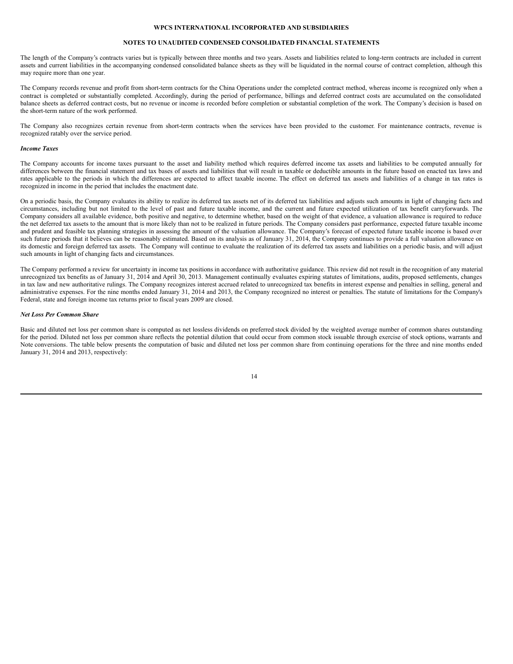## **NOTES TO UNAUDITED CONDENSED CONSOLIDATED FINANCIAL STATEMENTS**

The length of the Company's contracts varies but is typically between three months and two years. Assets and liabilities related to long-term contracts are included in current assets and current liabilities in the accompanying condensed consolidated balance sheets as they will be liquidated in the normal course of contract completion, although this may require more than one year.

The Company records revenue and profit from short-term contracts for the China Operations under the completed contract method, whereas income is recognized only when a contract is completed or substantially completed. Accordingly, during the period of performance, billings and deferred contract costs are accumulated on the consolidated balance sheets as deferred contract costs, but no revenue or income is recorded before completion or substantial completion of the work. The Company's decision is based on the short-term nature of the work performed.

The Company also recognizes certain revenue from short-term contracts when the services have been provided to the customer. For maintenance contracts, revenue is recognized ratably over the service period.

### *Income Taxes*

The Company accounts for income taxes pursuant to the asset and liability method which requires deferred income tax assets and liabilities to be computed annually for differences between the financial statement and tax bases of assets and liabilities that will result in taxable or deductible amounts in the future based on enacted tax laws and rates applicable to the periods in which the differences are expected to affect taxable income. The effect on deferred tax assets and liabilities of a change in tax rates is recognized in income in the period that includes the enactment date.

On a periodic basis, the Company evaluates its ability to realize its deferred tax assets net of its deferred tax liabilities and adjusts such amounts in light of changing facts and circumstances, including but not limited to the level of past and future taxable income, and the current and future expected utilization of tax benefit carryforwards. The Company considers all available evidence, both positive and negative, to determine whether, based on the weight of that evidence, a valuation allowance is required to reduce the net deferred tax assets to the amount that is more likely than not to be realized in future periods. The Company considers past performance, expected future taxable income and prudent and feasible tax planning strategies in assessing the amount of the valuation allowance. The Company's forecast of expected future taxable income is based over such future periods that it believes can be reasonably estimated. Based on its analysis as of January 31, 2014, the Company continues to provide a full valuation allowance on its domestic and foreign deferred tax assets. The Company will continue to evaluate the realization of its deferred tax assets and liabilities on a periodic basis, and will adjust such amounts in light of changing facts and circumstances.

The Company performed a review for uncertainty in income tax positions in accordance with authoritative guidance. This review did not result in the recognition of any material unrecognized tax benefits as of January 31, 2014 and April 30, 2013. Management continually evaluates expiring statutes of limitations, audits, proposed settlements, changes in tax law and new authoritative rulings. The Company recognizes interest accrued related to unrecognized tax benefits in interest expense and penalties in selling, general and administrative expenses. For the nine months ended January 31, 2014 and 2013, the Company recognized no interest or penalties. The statute of limitations for the Company's Federal, state and foreign income tax returns prior to fiscal years 2009 are closed.

## *Net Loss Per Common Share*

Basic and diluted net loss per common share is computed as net lossless dividends on preferred stock divided by the weighted average number of common shares outstanding for the period. Diluted net loss per common share reflects the potential dilution that could occur from common stock issuable through exercise of stock options, warrants and Note conversions. The table below presents the computation of basic and diluted net loss per common share from continuing operations for the three and nine months ended January 31, 2014 and 2013, respectively:

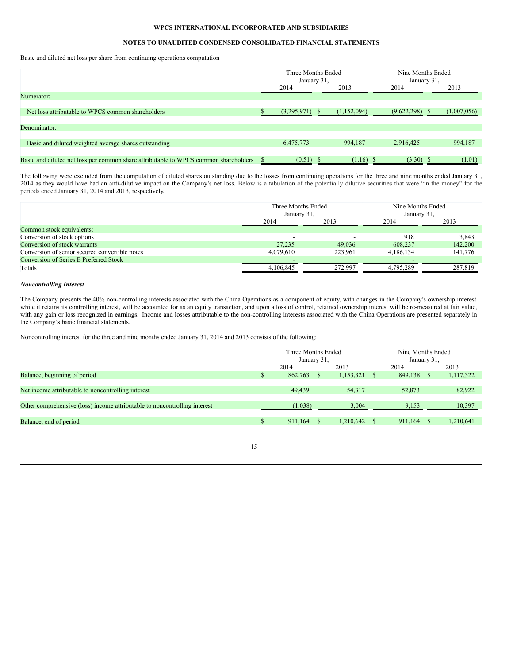# **NOTES TO UNAUDITED CONDENSED CONSOLIDATED FINANCIAL STATEMENTS**

Basic and diluted net loss per share from continuing operations computation

|                                                                                      |      | Three Months Ended<br>January 31, |  |             | Nine Months Ended<br>January 31, |  |             |
|--------------------------------------------------------------------------------------|------|-----------------------------------|--|-------------|----------------------------------|--|-------------|
|                                                                                      | 2014 |                                   |  | 2013        | 2014                             |  | 2013        |
| Numerator:                                                                           |      |                                   |  |             |                                  |  |             |
|                                                                                      |      |                                   |  |             |                                  |  |             |
| Net loss attributable to WPCS common shareholders                                    |      | (3,295,971)                       |  | (1,152,094) | (9,622,298)                      |  | (1,007,056) |
|                                                                                      |      |                                   |  |             |                                  |  |             |
| Denominator:                                                                         |      |                                   |  |             |                                  |  |             |
|                                                                                      |      |                                   |  |             |                                  |  |             |
| Basic and diluted weighted average shares outstanding                                |      | 6.475.773                         |  | 994.187     | 2.916.425                        |  | 994.187     |
|                                                                                      |      |                                   |  |             |                                  |  |             |
| Basic and diluted net loss per common share attributable to WPCS common shareholders |      | (0.51)                            |  | $(1.16)$ \$ | $(3.30)$ \$                      |  | (1.01)      |

The following were excluded from the computation of diluted shares outstanding due to the losses from continuing operations for the three and nine months ended January 31, 2014 as they would have had an anti-dilutive impact on the Company's net loss. Below is a tabulation of the potentially dilutive securities that were "in the money" for the periods ended January 31, 2014 and 2013, respectively.

|                                                | Three Months Ended       |         | Nine Months Ended |         |
|------------------------------------------------|--------------------------|---------|-------------------|---------|
|                                                | January 31,              |         | January 31,       |         |
|                                                | 2014                     | 2013    | 2014              | 2013    |
| Common stock equivalents:                      |                          |         |                   |         |
| Conversion of stock options                    | $\overline{\phantom{0}}$ |         | 918               | 3,843   |
| Conversion of stock warrants                   | 27,235                   | 49,036  | 608,237           | 142,200 |
| Conversion of senior secured convertible notes | 4,079,610                | 223.961 | 4,186,134         | 141,776 |
| Conversion of Series E Preferred Stock         |                          |         |                   |         |
| Totals                                         | 4,106,845                | 272,997 | 4.795.289         | 287,819 |

## *Noncontrolling Interest*

The Company presents the 40% non-controlling interests associated with the China Operations as a component of equity, with changes in the Company's ownership interest while it retains its controlling interest, will be accounted for as an equity transaction, and upon a loss of control, retained ownership interest will be re-measured at fair value, with any gain or loss recognized in earnings. Income and losses attributable to the non-controlling interests associated with the China Operations are presented separately in the Company's basic financial statements.

Noncontrolling interest for the three and nine months ended January 31, 2014 and 2013 consists of the following:

|                                                                           | Three Months Ended<br>January 31, |         |  |           |  | Nine Months Ended<br>January 31, |  |           |  |
|---------------------------------------------------------------------------|-----------------------------------|---------|--|-----------|--|----------------------------------|--|-----------|--|
|                                                                           |                                   | 2014    |  | 2013      |  | 2014                             |  | 2013      |  |
| Balance, beginning of period                                              |                                   | 862,763 |  | 1,153,321 |  | 849.138                          |  | 1,117,322 |  |
|                                                                           |                                   |         |  |           |  |                                  |  |           |  |
| Net income attributable to noncontrolling interest                        |                                   | 49.439  |  | 54,317    |  | 52,873                           |  | 82,922    |  |
|                                                                           |                                   |         |  |           |  |                                  |  |           |  |
| Other comprehensive (loss) income attributable to noncontrolling interest |                                   | (1,038) |  | 3,004     |  | 9,153                            |  | 10,397    |  |
|                                                                           |                                   |         |  |           |  |                                  |  |           |  |
| Balance, end of period                                                    |                                   | 911.164 |  | 1.210.642 |  | 911.164                          |  | 1,210,641 |  |

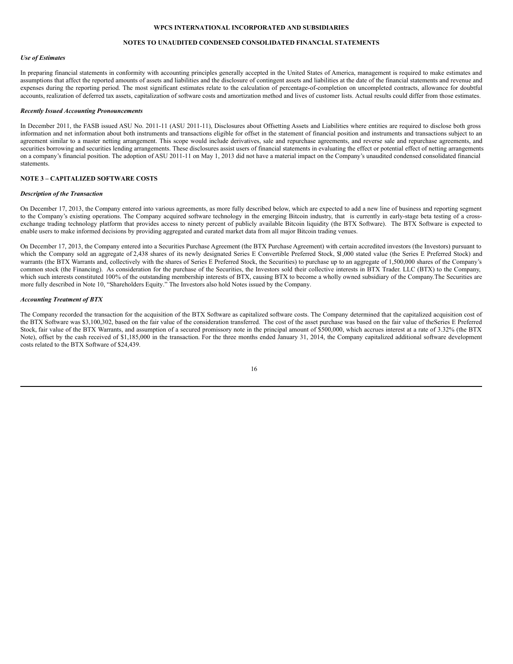# **NOTES TO UNAUDITED CONDENSED CONSOLIDATED FINANCIAL STATEMENTS**

#### *Use of Estimates*

In preparing financial statements in conformity with accounting principles generally accepted in the United States of America, management is required to make estimates and assumptions that affect the reported amounts of assets and liabilities and the disclosure of contingent assets and liabilities at the date of the financial statements and revenue and expenses during the reporting period. The most significant estimates relate to the calculation of percentage-of-completion on uncompleted contracts, allowance for doubtful accounts, realization of deferred tax assets, capitalization of software costs and amortization method and lives of customer lists. Actual results could differ from those estimates.

#### *Recently Issued Accounting Pronouncements*

In December 2011, the FASB issued ASU No. 2011-11 (ASU 2011-11), Disclosures about Offsetting Assets and Liabilities where entities are required to disclose both gross information and net information about both instruments and transactions eligible for offset in the statement of financial position and instruments and transactions subject to an agreement similar to a master netting arrangement. This scope would include derivatives, sale and repurchase agreements, and reverse sale and repurchase agreements, and securities borrowing and securities lending arrangements. These disclosures assist users of financial statements in evaluating the effect or potential effect of netting arrangements on a company's financial position. The adoption of ASU 2011-11 on May 1, 2013 did not have a material impact on the Company's unaudited condensed consolidated financial statements.

### **NOTE 3 – CAPITALIZED SOFTWARE COSTS**

#### *Description of the Transaction*

On December 17, 2013, the Company entered into various agreements, as more fully described below, which are expected to add a new line of business and reporting segment to the Company's existing operations. The Company acquired software technology in the emerging Bitcoin industry, that is currently in early-stage beta testing of a crossexchange trading technology platform that provides access to ninety percent of publicly available Bitcoin liquidity (the BTX Software). The BTX Software is expected to enable users to make informed decisions by providing aggregated and curated market data from all major Bitcoin trading venues.

On December 17, 2013, the Company entered into a Securities Purchase Agreement (the BTX Purchase Agreement) with certain accredited investors (the Investors) pursuant to which the Company sold an aggregate of 2,438 shares of its newly designated Series E Convertible Preferred Stock, \$1,000 stated value (the Series E Preferred Stock) and warrants (the BTX Warrants and, collectively with the shares of Series E Preferred Stock, the Securities) to purchase up to an aggregate of 1,500,000 shares of the Company's common stock (the Financing). As consideration for the purchase of the Securities, the Investors sold their collective interests in BTX Trader. LLC (BTX) to the Company, which such interests constituted 100% of the outstanding membership interests of BTX, causing BTX to become a wholly owned subsidiary of the Company. The Securities are more fully described in Note 10, "Shareholders Equity." The Investors also hold Notes issued by the Company.

#### *Accounting Treatment of BTX*

The Company recorded the transaction for the acquisition of the BTX Software as capitalized software costs. The Company determined that the capitalized acquisition cost of the BTX Software was \$3,100,302, based on the fair value of the consideration transferred. The cost of the asset purchase was based on the fair value of theSeries E Preferred Stock, fair value of the BTX Warrants, and assumption of a secured promissory note in the principal amount of \$500,000, which accrues interest at a rate of 3.32% (the BTX Note), offset by the cash received of \$1,185,000 in the transaction. For the three months ended January 31, 2014, the Company capitalized additional software development costs related to the BTX Software of \$24,439.

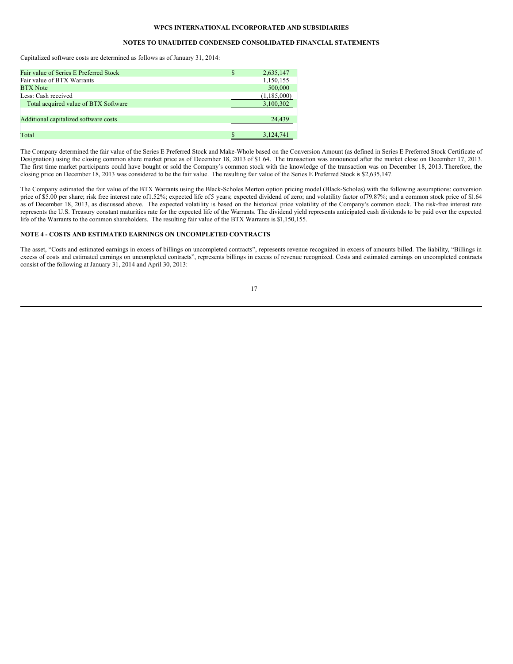# **NOTES TO UNAUDITED CONDENSED CONSOLIDATED FINANCIAL STATEMENTS**

Capitalized software costs are determined as follows as of January 31, 2014:

| Fair value of Series E Preferred Stock | 2,635,147   |
|----------------------------------------|-------------|
| Fair value of BTX Warrants             | 1,150,155   |
| <b>BTX</b> Note                        | 500,000     |
| Less: Cash received                    | (1,185,000) |
| Total acquired value of BTX Software   | 3,100,302   |
|                                        |             |
| Additional capitalized software costs  | 24,439      |
|                                        |             |
| Total                                  | 3,124,741   |
|                                        |             |

The Company determined the fair value of the Series E Preferred Stock and Make-Whole based on the Conversion Amount (as defined in Series E Preferred Stock Certificate of Designation) using the closing common share market price as of December 18, 2013 of \$1.64. The transaction was announced after the market close on December 17, 2013. The first time market participants could have bought or sold the Company's common stock with the knowledge of the transaction was on December 18, 2013. Therefore, the closing price on December 18, 2013 was considered to be the fair value. The resulting fair value of the Series E Preferred Stock is \$2,635,147.

The Company estimated the fair value of the BTX Warrants using the Black-Scholes Merton option pricing model (Black-Scholes) with the following assumptions: conversion price of \$5.00 per share; risk free interest rate of1.52%; expected life of5 years; expected dividend of zero; and volatility factor of 79.87%; and a common stock price of \$1.64 as of December 18, 2013, as discussed above. The expected volatility is based on the historical price volatility of the Company's common stock. The risk-free interest rate represents the U.S. Treasury constant maturities rate for the expected life of the Warrants. The dividend yield represents anticipated cash dividends to be paid over the expected life of the Warrants to the common shareholders. The resulting fair value of the BTX Warrants is \$1,150,155.

### **NOTE 4 - COSTS AND ESTIMATED EARNINGS ON UNCOMPLETED CONTRACTS**

The asset, "Costs and estimated earnings in excess of billings on uncompleted contracts", represents revenue recognized in excess of amounts billed. The liability, "Billings in excess of costs and estimated earnings on uncompleted contracts", represents billings in excess of revenue recognized. Costs and estimated earnings on uncompleted contracts consist of the following at January 31, 2014 and April 30, 2013: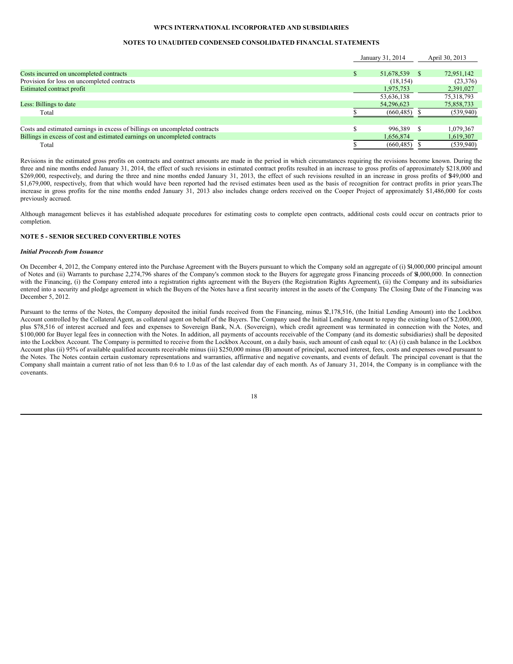# **NOTES TO UNAUDITED CONDENSED CONSOLIDATED FINANCIAL STATEMENTS**

|   | January 31, 2014 |  | April 30, 2013 |
|---|------------------|--|----------------|
|   |                  |  |                |
| S |                  |  | 72,951,142     |
|   | (18, 154)        |  | (23, 376)      |
|   | 1,975,753        |  | 2,391,027      |
|   | 53,636,138       |  | 75,318,793     |
|   | 54,296,623       |  | 75,858,733     |
|   | (660, 485)       |  | (539, 940)     |
|   |                  |  |                |
|   | 996.389          |  | 1,079,367      |
|   | 1,656,874        |  | 1,619,307      |
|   | (660, 485)       |  | (539, 940)     |
|   |                  |  | 51,678,539 \$  |

Revisions in the estimated gross profits on contracts and contract amounts are made in the period in which circumstances requiring the revisions become known. During the three and nine months ended January 31, 2014, the effect of such revisions in estimated contract profits resulted in an increase to gross profits of approximately \$218,000 and \$269,000, respectively, and during the three and nine months ended January 31, 2013, the effect of such revisions resulted in an increase in gross profits of \$49,000 and \$1,679,000, respectively, from that which would have been reported had the revised estimates been used as the basis of recognition for contract profits in prior years.The increase in gross profits for the nine months ended January 31, 2013 also includes change orders received on the Cooper Project of approximately \$1,486,000 for costs previously accrued.

Although management believes it has established adequate procedures for estimating costs to complete open contracts, additional costs could occur on contracts prior to completion.

#### **NOTE 5 - SENIOR SECURED CONVERTIBLE NOTES**

#### *Initial Proceeds from Issuance*

On December 4, 2012, the Company entered into the Purchase Agreement with the Buyers pursuant to which the Company sold an aggregate of (i) \$4,000,000 principal amount of Notes and (ii) Warrants to purchase 2,274,796 shares of the Company's common stock to the Buyers for aggregate gross Financing proceeds of \$4,000,000. In connection with the Financing, (i) the Company entered into a registration rights agreement with the Buyers (the Registration Rights Agreement), (ii) the Company and its subsidiaries entered into a security and pledge agreement in which the Buyers of the Notes have a first security interest in the assets of the Company. The Closing Date of the Financing was December 5, 2012.

Pursuant to the terms of the Notes, the Company deposited the initial funds received from the Financing, minus \$2,178,516, (the Initial Lending Amount) into the Lockbox Account controlled by the Collateral Agent, as collateral agent on behalf of the Buyers. The Company used the Initial Lending Amount to repay the existing loan of \$ 2,000,000, plus \$78,516 of interest accrued and fees and expenses to Sovereign Bank, N.A. (Sovereign), which credit agreement was terminated in connection with the Notes, and \$100,000 for Buyer legal fees in connection with the Notes. In addition, all payments of accounts receivable of the Company (and its domestic subsidiaries) shall be deposited into the Lockbox Account. The Company is permitted to receive from the Lockbox Account, on a daily basis, such amount of cash equal to: (A) (i) cash balance in the Lockbox Account plus (ii) 95% of available qualified accounts receivable minus (iii) \$250,000 minus (B) amount of principal, accrued interest, fees, costs and expenses owed pursuant to the Notes. The Notes contain certain customary representations and warranties, affirmative and negative covenants, and events of default. The principal covenant is that the Company shall maintain a current ratio of not less than 0.6 to 1.0 as of the last calendar day of each month. As of January 31, 2014, the Company is in compliance with the covenants.

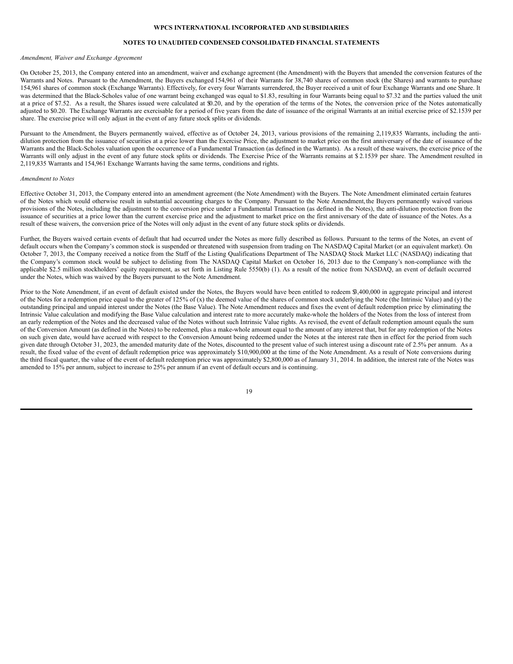# **NOTES TO UNAUDITED CONDENSED CONSOLIDATED FINANCIAL STATEMENTS**

#### *Amendment, Waiver and Exchange Agreement*

On October 25, 2013, the Company entered into an amendment, waiver and exchange agreement (the Amendment) with the Buyers that amended the conversion features of the Warrants and Notes. Pursuant to the Amendment, the Buyers exchanged 154,961 of their Warrants for 38,740 shares of common stock (the Shares) and warrants to purchase 154,961 shares of common stock (Exchange Warrants). Effectively, for every four Warrants surrendered, the Buyer received a unit of four Exchange Warrants and one Share. It was determined that the Black-Scholes value of one warrant being exchanged was equal to \$1.83, resulting in four Warrants being equal to \$7.32 and the parties valued the unit at a price of \$7.52. As a result, the Shares issued were calculated at \$0.20, and by the operation of the terms of the Notes, the conversion price of the Notes automatically adjusted to \$0.20. The Exchange Warrants are exercisable for a period of five years from the date of issuance of the original Warrants at an initial exercise price of \$2.1539 per share. The exercise price will only adjust in the event of any future stock splits or dividends.

Pursuant to the Amendment, the Buyers permanently waived, effective as of October 24, 2013, various provisions of the remaining 2,119,835 Warrants, including the antidilution protection from the issuance of securities at a price lower than the Exercise Price, the adjustment to market price on the first anniversary of the date of issuance of the Warrants and the Black-Scholes valuation upon the occurrence of a Fundamental Transaction (as defined in the Warrants). As a result of these waivers, the exercise price of the Warrants will only adjust in the event of any future stock splits or dividends. The Exercise Price of the Warrants remains at \$2.1539 per share. The Amendment resulted in 2,119,835 Warrants and 154,961 Exchange Warrants having the same terms, conditions and rights.

#### *Amendment to Notes*

Effective October 31, 2013, the Company entered into an amendment agreement (the Note Amendment) with the Buyers. The Note Amendment eliminated certain features of the Notes which would otherwise result in substantial accounting charges to the Company. Pursuant to the Note Amendment,the Buyers permanently waived various provisions of the Notes, including the adjustment to the conversion price under a Fundamental Transaction (as defined in the Notes), the anti-dilution protection from the issuance of securities at a price lower than the current exercise price and the adjustment to market price on the first anniversary of the date of issuance of the Notes. As a result of these waivers, the conversion price of the Notes will only adjust in the event of any future stock splits or dividends.

Further, the Buyers waived certain events of default that had occurred under the Notes as more fully described as follows. Pursuant to the terms of the Notes, an event of default occurs when the Company's common stock is suspended or threatened with suspension from trading on The NASDAQ Capital Market (or an equivalent market). On October 7, 2013, the Company received a notice from the Staff of the Listing Qualifications Department of The NASDAQ Stock Market LLC (NASDAQ) indicating that the Company's common stock would be subject to delisting from The NASDAQ Capital Market on October 16, 2013 due to the Company's non-compliance with the applicable \$2.5 million stockholders' equity requirement, as set forth in Listing Rule 5550(b) (1). As a result of the notice from NASDAQ, an event of default occurred under the Notes, which was waived by the Buyers pursuant to the Note Amendment.

Prior to the Note Amendment, if an event of default existed under the Notes, the Buyers would have been entitled to redeem \$3,400,000 in aggregate principal and interest of the Notes for a redemption price equal to the greater of  $125\%$  of (x) the deemed value of the shares of common stock underlying the Note (the Intrinsic Value) and (y) the outstanding principal and unpaid interest under the Notes (the Base Value). The Note Amendment reduces and fixes the event of default redemption price by eliminating the Intrinsic Value calculation and modifying the Base Value calculation and interest rate to more accurately make-whole the holders of the Notes from the loss of interest from an early redemption of the Notes and the decreased value of the Notes without such Intrinsic Value rights. As revised, the event of default redemption amount equals the sum of the Conversion Amount (as defined in the Notes) to be redeemed, plus a make-whole amount equal to the amount of any interest that, but for any redemption of the Notes on such given date, would have accrued with respect to the Conversion Amount being redeemed under the Notes at the interest rate then in effect for the period from such given date through October 31, 2023, the amended maturity date of the Notes, discounted to the present value of such interest using a discount rate of 2.5% per annum. As a result, the fixed value of the event of default redemption price was approximately \$10,900,000 at the time of the Note Amendment. As a result of Note conversions during the third fiscal quarter, the value of the event of default redemption price was approximately \$2,800,000 as of January 31, 2014. In addition, the interest rate of the Notes was amended to 15% per annum, subject to increase to 25% per annum if an event of default occurs and is continuing.

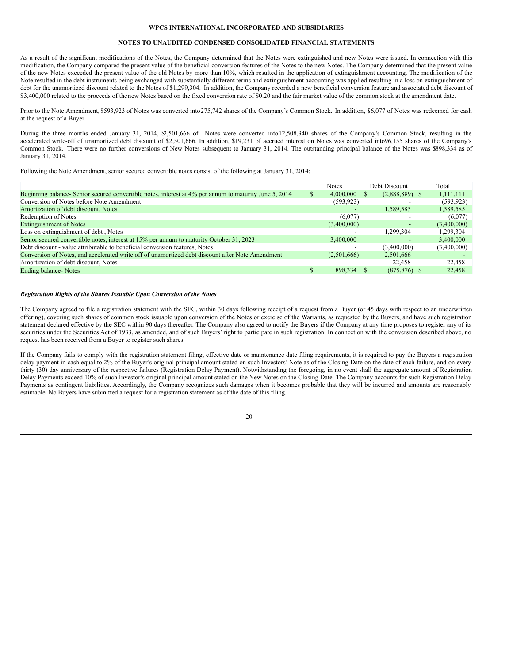## **NOTES TO UNAUDITED CONDENSED CONSOLIDATED FINANCIAL STATEMENTS**

As a result of the significant modifications of the Notes, the Company determined that the Notes were extinguished and new Notes were issued. In connection with this modification, the Company compared the present value of the beneficial conversion features of the Notes to the new Notes. The Company determined that the present value of the new Notes exceeded the present value of the old Notes by more than 10%, which resulted in the application of extinguishment accounting. The modification of the Note resulted in the debt instruments being exchanged with substantially different terms and extinguishment accounting was applied resulting in a loss on extinguishment of debt for the unamortized discount related to the Notes of \$1,299,304. In addition, the Company recorded a new beneficial conversion feature and associated debt discount of \$3,400,000 related to the proceeds of thenew Notes based on the fixed conversion rate of \$0.20 and the fair market value of the common stock at the amendment date.

Prior to the Note Amendment, \$593,923 of Notes was converted into 275,742 shares of the Company's Common Stock. In addition, \$6,077 of Notes was redeemed for cash at the request of a Buyer.

During the three months ended January 31, 2014, \$2,501,666 of Notes were converted into12,508,340 shares of the Company's Common Stock, resulting in the accelerated write-off of unamortized debt discount of \$2,501,666. In addition, \$19,231 of accrued interest on Notes was converted into96,155 shares of the Company's Common Stock. There were no further conversions of New Notes subsequent to January 31, 2014. The outstanding principal balance of the Notes was \$898,334 as of January 31, 2014.

Following the Note Amendment, senior secured convertible notes consist of the following at January 31, 2014:

|                                                                                                       | <b>Notes</b> | Debt Discount            | Total       |
|-------------------------------------------------------------------------------------------------------|--------------|--------------------------|-------------|
| Beginning balance-Senior secured convertible notes, interest at 4% per annum to maturity June 5, 2014 | 4,000,000    | $(2,888,889)$ \$         | 1,111,111   |
| Conversion of Notes before Note Amendment                                                             | (593, 923)   |                          | (593, 923)  |
| Amortization of debt discount, Notes                                                                  |              | 1,589,585                | 1,589,585   |
| Redemption of Notes                                                                                   | (6,077)      |                          | (6,077)     |
| <b>Extinguishment of Notes</b>                                                                        | (3,400,000)  | $\overline{\phantom{0}}$ | (3,400,000) |
| Loss on extinguishment of debt, Notes                                                                 |              | 1,299,304                | 1,299,304   |
| Senior secured convertible notes, interest at 15% per annum to maturity October 31, 2023              | 3.400,000    | -                        | 3,400,000   |
| Debt discount - value attributable to beneficial conversion features, Notes                           |              | (3,400,000)              | (3,400,000) |
| Conversion of Notes, and accelerated write off of unamortized debt discount after Note Amendment      | (2,501,666)  | 2,501,666                |             |
| Amortization of debt discount, Notes                                                                  |              | 22,458                   | 22,458      |
| <b>Ending balance-Notes</b>                                                                           | 898.334      | (875, 876)               | 22,458      |

#### *Registration Rights of the Shares Issuable Upon Conversion of the Notes*

The Company agreed to file a registration statement with the SEC, within 30 days following receipt of a request from a Buyer (or 45 days with respect to an underwritten offering), covering such shares of common stock issuable upon conversion of the Notes or exercise of the Warrants, as requested by the Buyers, and have such registration statement declared effective by the SEC within 90 days thereafter. The Company also agreed to notify the Buyers if the Company at any time proposes to register any of its securities under the Securities Act of 1933, as amended, and of such Buyers' right to participate in such registration. In connection with the conversion described above, no request has been received from a Buyer to register such shares.

If the Company fails to comply with the registration statement filing, effective date or maintenance date filing requirements, it is required to pay the Buyers a registration delay payment in cash equal to 2% of the Buyer's original principal amount stated on such Investors' Note as of the Closing Date on the date of each failure, and on every thirty (30) day anniversary of the respective failures (Registration Delay Payment). Notwithstanding the foregoing, in no event shall the aggregate amount of Registration Delay Payments exceed 10% of such Investor's original principal amount stated on the New Notes on the Closing Date. The Company accounts for such Registration Delay Payments as contingent liabilities. Accordingly, the Company recognizes such damages when it becomes probable that they will be incurred and amounts are reasonably estimable. No Buyers have submitted a request for a registration statement as of the date of this filing.

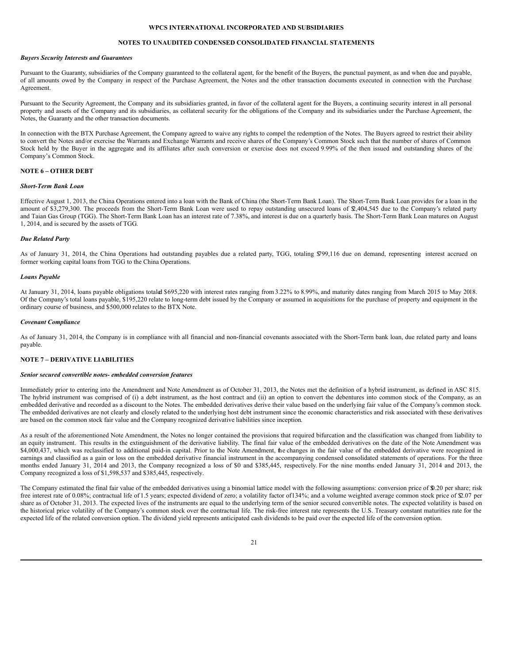## **NOTES TO UNAUDITED CONDENSED CONSOLIDATED FINANCIAL STATEMENTS**

#### *Buyers Security Interests and Guarantees*

Pursuant to the Guaranty, subsidiaries of the Company guaranteed to the collateral agent, for the benefit of the Buyers, the punctual payment, as and when due and payable, of all amounts owed by the Company in respect of the Purchase Agreement, the Notes and the other transaction documents executed in connection with the Purchase Agreement.

Pursuant to the Security Agreement, the Company and its subsidiaries granted, in favor of the collateral agent for the Buyers, a continuing security interest in all personal property and assets of the Company and its subsidiaries, as collateral security for the obligations of the Company and its subsidiaries under the Purchase Agreement, the Notes, the Guaranty and the other transaction documents.

In connection with the BTX Purchase Agreement, the Company agreed to waive any rights to compel the redemption of the Notes. The Buyers agreed to restrict their ability to convert the Notes and/or exercise the Warrants and Exchange Warrants and receive shares of the Company's Common Stock such that the number of shares of Common Stock held by the Buyer in the aggregate and its affiliates after such conversion or exercise does not exceed 9.99% of the then issued and outstanding shares of the Company's Common Stock.

# **NOTE 6 – OTHER DEBT**

#### *Short-Term Bank Loan*

Effective August 1, 2013, the China Operations entered into a loan with the Bank of China (the Short-Term Bank Loan). The Short-Term Bank Loan provides for a loan in the amount of \$3,279,300. The proceeds from the Short-Term Bank Loan were used to repay outstanding unsecured loans of \$2,404,545 due to the Company's related party and Taian Gas Group (TGG). The Short-Term Bank Loan has an interest rate of 7.38%, and interest is due on a quarterly basis. The Short-Term Bank Loan matures on August 1, 2014, and is secured by the assets of TGG.

### *Due Related Party*

As of January 31, 2014, the China Operations had outstanding payables due a related party, TGG, totaling \$799,116 due on demand, representing interest accrued on former working capital loans from TGG to the China Operations.

### *Loans Payable*

At January 31, 2014, loans payable obligations totaled \$695,220 with interest rates ranging from 3.22% to 8.99%, and maturity dates ranging from March 2015 to May 2018. Of the Company's total loans payable, \$195,220 relate to long-term debt issued by the Company or assumed in acquisitions for the purchase of property and equipment in the ordinary course of business, and \$500,000 relates to the BTX Note.

#### *Covenant Compliance*

As of January 31, 2014, the Company is in compliance with all financial and non-financial covenants associated with the Short-Term bank loan, due related party and loans payable.

## **NOTE 7 – DERIVATIVE LIABILITIES**

#### *Senior secured convertible notes- embedded conversion features*

Immediately prior to entering into the Amendment and Note Amendment as of October 31, 2013, the Notes met the definition of a hybrid instrument, as defined in ASC 815. The hybrid instrument was comprised of (i) a debt instrument, as the host contract and (ii) an option to convert the debentures into common stock of the Company, as an embedded derivative and recorded as a discount to the Notes. The embedded derivatives derive their value based on the underlying fair value of the Company's common stock. The embedded derivatives are not clearly and closely related to the underlying host debt instrument since the economic characteristics and risk associated with these derivatives are based on the common stock fair value and the Company recognized derivative liabilities since inception.

As a result of the aforementioned Note Amendment, the Notes no longer contained the provisions that required bifurcation and the classification was changed from liability to an equity instrument. This results in the extinguishment of the derivative liability. The final fair value of the embedded derivatives on the date of the Note Amendment was \$4,000,437, which was reclassified to additional paid-in capital. Prior to the Note Amendment, the changes in the fair value of the embedded derivative were recognized in earnings and classified as a gain or loss on the embedded derivative financial instrument in the accompanying condensed consolidated statements of operations. For the three months ended January 31, 2014 and 2013, the Company recognized a loss of \$0 and \$385,445, respectively. For the nine months ended January 31, 2014 and 2013, the Company recognized a loss of \$1,598,537 and \$385,445, respectively.

The Company estimated the final fair value of the embedded derivatives using a binomial lattice model with the following assumptions: conversion price of \$0.20 per share; risk free interest rate of 0.08%; contractual life of 1.5 years; expected dividend of zero; a volatility factor of 134%; and a volume weighted average common stock price of \$2.07 per share as of October 31, 2013. The expected lives of the instruments are equal to the underlying term of the senior secured convertible notes. The expected volatility is based on the historical price volatility of the Company's common stock over the contractual life. The risk-free interest rate represents the U.S. Treasury constant maturities rate for the expected life of the related conversion option. The dividend yield represents anticipated cash dividends to be paid over the expected life of the conversion option.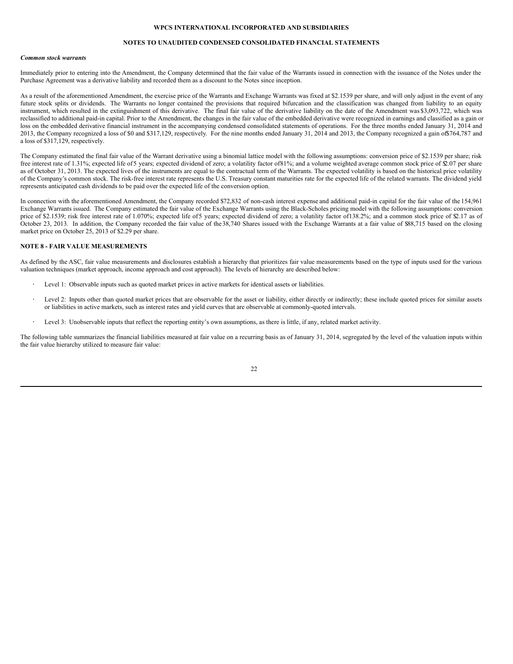# **NOTES TO UNAUDITED CONDENSED CONSOLIDATED FINANCIAL STATEMENTS**

#### *Common stock warrants*

Immediately prior to entering into the Amendment, the Company determined that the fair value of the Warrants issued in connection with the issuance of the Notes under the Purchase Agreement was a derivative liability and recorded them as a discount to the Notes since inception.

As a result of the aforementioned Amendment, the exercise price of the Warrants and Exchange Warrants was fixed at \$2.1539 per share, and will only adjust in the event of any future stock splits or dividends. The Warrants no longer contained the provisions that required bifurcation and the classification was changed from liability to an equity instrument, which resulted in the extinguishment of this derivative. The final fair value of the derivative liability on the date of the Amendment was \$3,093,722, which was reclassified to additional paid-in capital. Prior to the Amendment, the changes in the fair value of the embedded derivative were recognized in earnings and classified as a gain or loss on the embedded derivative financial instrument in the accompanying condensed consolidated statements of operations. For the three months ended January 31, 2014 and 2013, the Company recognized a loss of \$0 and \$317,129, respectively. For the nine months ended January 31, 2014 and 2013, the Company recognized a gain of\$764,787 and a loss of \$317,129, respectively.

The Company estimated the final fair value of the Warrant derivative using a binomial lattice model with the following assumptions: conversion price of \$2.1539 per share; risk free interest rate of 1.31%; expected life of5 years; expected dividend of zero; a volatility factor of 81%; and a volume weighted average common stock price of \$2.07 per share as of October 31, 2013. The expected lives of the instruments are equal to the contractual term of the Warrants. The expected volatility is based on the historical price volatility of the Company's common stock. The risk-free interest rate represents the U.S. Treasury constant maturities rate for the expected life of the related warrants. The dividend yield represents anticipated cash dividends to be paid over the expected life of the conversion option.

In connection with the aforementioned Amendment, the Company recorded \$72,832 of non-cash interest expense and additional paid-in capital for the fair value of the 154,961 Exchange Warrants issued. The Company estimated the fair value of the Exchange Warrants using the Black-Scholes pricing model with the following assumptions: conversion price of \$2.1539; risk free interest rate of 1.070%; expected life of5 years; expected dividend of zero; a volatility factor of138.2%; and a common stock price of \$2.17 as of October 23, 2013. In addition, the Company recorded the fair value of the38,740 Shares issued with the Exchange Warrants at a fair value of \$88,715 based on the closing market price on October 25, 2013 of \$2.29 per share.

### **NOTE 8 - FAIR VALUE MEASUREMENTS**

As defined by the ASC, fair value measurements and disclosures establish a hierarchy that prioritizes fair value measurements based on the type of inputs used for the various valuation techniques (market approach, income approach and cost approach). The levels of hierarchy are described below:

- Level 1: Observable inputs such as quoted market prices in active markets for identical assets or liabilities.
- Level 2: Inputs other than quoted market prices that are observable for the asset or liability, either directly or indirectly; these include quoted prices for similar assets or liabilities in active markets, such as interest rates and yield curves that are observable at commonly-quoted intervals.
- Level 3: Unobservable inputs that reflect the reporting entity's own assumptions, as there is little, if any, related market activity.

The following table summarizes the financial liabilities measured at fair value on a recurring basis as of January 31, 2014, segregated by the level of the valuation inputs within the fair value hierarchy utilized to measure fair value:

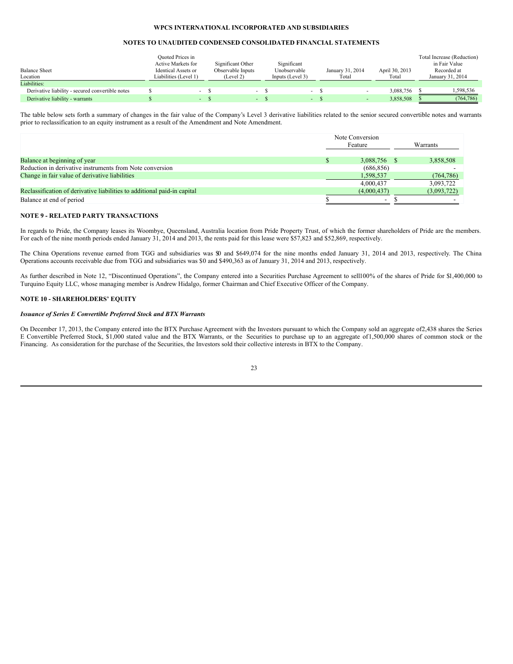# **NOTES TO UNAUDITED CONDENSED CONSOLIDATED FINANCIAL STATEMENTS**

| <b>Balance Sheet</b><br>Location<br>Liabilities: | Quoted Prices in<br>Active Markets for<br>Identical Assets or<br>Liabilities (Level 1) |     | Significant Other<br>Observable Inputs<br>(Level 2) | Significant<br>Unobservable<br>Inputs (Level 3) |        | January 31, 2014<br>Total | April 30, 2013<br>Total | Total Increase (Reduction)<br>in Fair Value<br>Recorded at<br>January 31, 2014 |
|--------------------------------------------------|----------------------------------------------------------------------------------------|-----|-----------------------------------------------------|-------------------------------------------------|--------|---------------------------|-------------------------|--------------------------------------------------------------------------------|
| Derivative liability - secured convertible notes |                                                                                        |     | $\sim$                                              |                                                 | . .    |                           | 3.088.756               | 1.598.536                                                                      |
| Derivative liability - warrants                  |                                                                                        | . . | $\sim$                                              |                                                 | $\sim$ |                           | 3,858,508               | (764, 786)                                                                     |

The table below sets forth a summary of changes in the fair value of the Company's Level 3 derivative liabilities related to the senior secured convertible notes and warrants prior to reclassification to an equity instrument as a result of the Amendment and Note Amendment.

|                                                                          |         | Note Conversion          |             |  |  |  |  |  |  |
|--------------------------------------------------------------------------|---------|--------------------------|-------------|--|--|--|--|--|--|
|                                                                          | Feature |                          | Warrants    |  |  |  |  |  |  |
| Balance at beginning of year                                             |         | 3,088,756 \$             | 3,858,508   |  |  |  |  |  |  |
| Reduction in derivative instruments from Note conversion                 |         | (686, 856)               |             |  |  |  |  |  |  |
| Change in fair value of derivative liabilities                           |         | 1,598,537                | (764, 786)  |  |  |  |  |  |  |
|                                                                          |         | 4,000,437                | 3,093,722   |  |  |  |  |  |  |
| Reclassification of derivative liabilities to additional paid-in capital |         | (4,000,437)              | (3,093,722) |  |  |  |  |  |  |
| Balance at end of period                                                 |         | $\overline{\phantom{0}}$ |             |  |  |  |  |  |  |

#### **NOTE 9 - RELATED PARTY TRANSACTIONS**

In regards to Pride, the Company leases its Woombye, Queensland, Australia location from Pride Property Trust, of which the former shareholders of Pride are the members. For each of the nine month periods ended January 31, 2014 and 2013, the rents paid for this lease were \$57,823 and \$52,869, respectively.

The China Operations revenue earned from TGG and subsidiaries was \$0 and \$649,074 for the nine months ended January 31, 2014 and 2013, respectively. The China Operations accounts receivable due from TGG and subsidiaries was \$0 and \$490,363 as of January 31, 2014 and 2013, respectively.

As further described in Note 12, "Discontinued Operations", the Company entered into a Securities Purchase Agreement to sell100% of the shares of Pride for \$1,400,000 to Turquino Equity LLC, whose managing member is Andrew Hidalgo, former Chairman and Chief Executive Officer of the Company.

# **NOTE 10 - SHAREHOLDERS' EQUITY**

### *Issuance of Series E Convertible Preferred Stock and BTX Warrants*

On December 17, 2013, the Company entered into the BTX Purchase Agreement with the Investors pursuant to which the Company sold an aggregate of2,438 shares the Series E Convertible Preferred Stock, \$1,000 stated value and the BTX Warrants, or the Securities to purchase up to an aggregate of1,500,000 shares of common stock or the Financing. As consideration for the purchase of the Securities, the Investors sold their collective interests in BTX to the Company.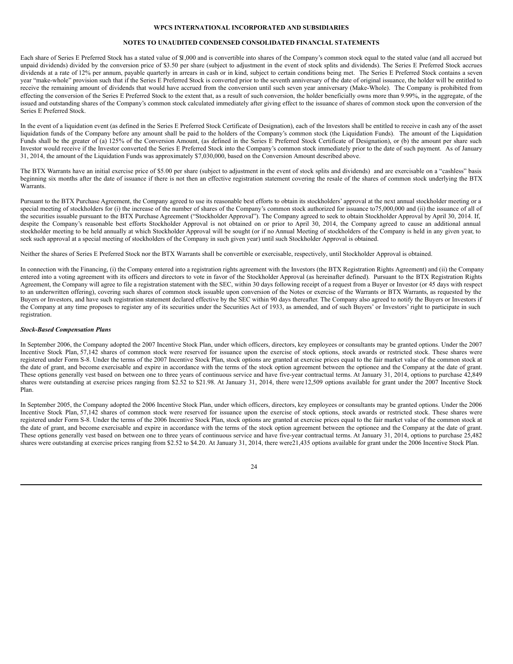### **NOTES TO UNAUDITED CONDENSED CONSOLIDATED FINANCIAL STATEMENTS**

Each share of Series E Preferred Stock has a stated value of \$1,000 and is convertible into shares of the Company's common stock equal to the stated value (and all accrued but unpaid dividends) divided by the conversion price of \$3.50 per share (subject to adjustment in the event of stock splits and dividends). The Series E Preferred Stock accrues dividends at a rate of 12% per annum, payable quarterly in arrears in cash or in kind, subject to certain conditions being met. The Series E Preferred Stock contains a seven year "make-whole" provision such that if the Series E Preferred Stock is converted prior to the seventh anniversary of the date of original issuance, the holder will be entitled to receive the remaining amount of dividends that would have accrued from the conversion until such seven year anniversary (Make-Whole). The Company is prohibited from effecting the conversion of the Series E Preferred Stock to the extent that, as a result of such conversion, the holder beneficially owns more than 9.99%, in the aggregate, of the issued and outstanding shares of the Company's common stock calculated immediately after giving effect to the issuance of shares of common stock upon the conversion of the Series E Preferred Stock.

In the event of a liquidation event (as defined in the Series E Preferred Stock Certificate of Designation), each of the Investors shall be entitled to receive in cash any of the asset liquidation funds of the Company before any amount shall be paid to the holders of the Company's common stock (the Liquidation Funds). The amount of the Liquidation Funds shall be the greater of (a) 125% of the Conversion Amount, (as defined in the Series E Preferred Stock Certificate of Designation), or (b) the amount per share such Investor would receive if the Investor converted the Series E Preferred Stock into the Company's common stock immediately prior to the date of such payment. As of January 31, 2014, the amount of the Liquidation Funds was approximately \$7,030,000, based on the Conversion Amount described above.

The BTX Warrants have an initial exercise price of \$5.00 per share (subject to adjustment in the event of stock splits and dividends) and are exercisable on a "cashless" basis beginning six months after the date of issuance if there is not then an effective registration statement covering the resale of the shares of common stock underlying the BTX Warrants.

Pursuant to the BTX Purchase Agreement, the Company agreed to use its reasonable best efforts to obtain its stockholders' approval at the next annual stockholder meeting or a special meeting of stockholders for (i) the increase of the number of shares of the Company's common stock authorized for issuance to75,000,000 and (ii) the issuance of all of the securities issuable pursuant to the BTX Purchase Agreement ("Stockholder Approval"). The Company agreed to seek to obtain Stockholder Approval by April 30, 2014. If, despite the Company's reasonable best efforts Stockholder Approval is not obtained on or prior to April 30, 2014, the Company agreed to cause an additional annual stockholder meeting to be held annually at which Stockholder Approval will be sought (or if no Annual Meeting of stockholders of the Company is held in any given year, to seek such approval at a special meeting of stockholders of the Company in such given year) until such Stockholder Approval is obtained.

Neither the shares of Series E Preferred Stock nor the BTX Warrants shall be convertible or exercisable, respectively, until Stockholder Approval is obtained.

In connection with the Financing, (i) the Company entered into a registration rights agreement with the Investors (the BTX Registration Rights Agreement) and (ii) the Company entered into a voting agreement with its officers and directors to vote in favor of the Stockholder Approval (as hereinafter defined). Pursuant to the BTX Registration Rights Agreement, the Company will agree to file a registration statement with the SEC, within 30 days following receipt of a request from a Buyer or Investor (or 45 days with respect to an underwritten offering), covering such shares of common stock issuable upon conversion of the Notes or exercise of the Warrants or BTX Warrants, as requested by the Buyers or Investors, and have such registration statement declared effective by the SEC within 90 days thereafter. The Company also agreed to notify the Buyers or Investors if the Company at any time proposes to register any of its securities under the Securities Act of 1933, as amended, and of such Buyers' or Investors' right to participate in such registration.

#### *Stock-Based Compensation Plans*

In September 2006, the Company adopted the 2007 Incentive Stock Plan, under which officers, directors, key employees or consultants may be granted options. Under the 2007 Incentive Stock Plan, 57,142 shares of common stock were reserved for issuance upon the exercise of stock options, stock awards or restricted stock. These shares were registered under Form S-8. Under the terms of the 2007 Incentive Stock Plan, stock options are granted at exercise prices equal to the fair market value of the common stock at the date of grant, and become exercisable and expire in accordance with the terms of the stock option agreement between the optionee and the Company at the date of grant. These options generally vest based on between one to three years of continuous service and have five-year contractual terms. At January 31, 2014, options to purchase 42,849 shares were outstanding at exercise prices ranging from \$2.52 to \$21.98. At January 31, 2014, there were 12,509 options available for grant under the 2007 Incentive Stock Plan.

In September 2005, the Company adopted the 2006 Incentive Stock Plan, under which officers, directors, key employees or consultants may be granted options. Under the 2006 Incentive Stock Plan, 57,142 shares of common stock were reserved for issuance upon the exercise of stock options, stock awards or restricted stock. These shares were registered under Form S-8. Under the terms of the 2006 Incentive Stock Plan, stock options are granted at exercise prices equal to the fair market value of the common stock at the date of grant, and become exercisable and expire in accordance with the terms of the stock option agreement between the optionee and the Company at the date of grant. These options generally vest based on between one to three years of continuous service and have five-year contractual terms. At January 31, 2014, options to purchase 25,482 shares were outstanding at exercise prices ranging from \$2.52 to \$4.20. At January 31, 2014, there were21,435 options available for grant under the 2006 Incentive Stock Plan.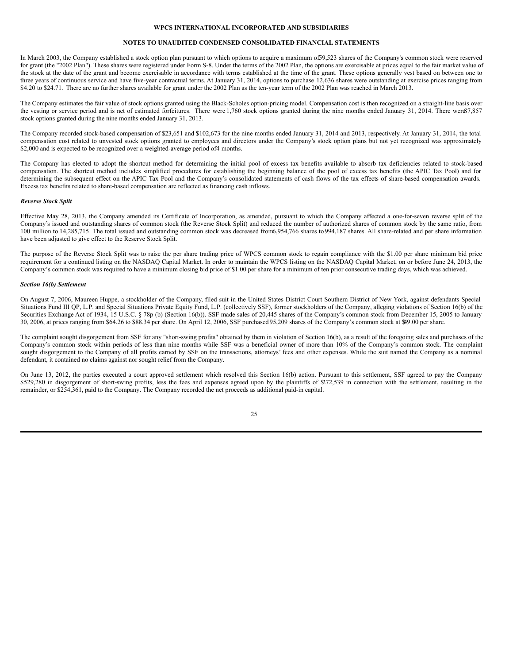# **NOTES TO UNAUDITED CONDENSED CONSOLIDATED FINANCIAL STATEMENTS**

In March 2003, the Company established a stock option plan pursuant to which options to acquire a maximum of59,523 shares of the Company's common stock were reserved for grant (the "2002 Plan"). These shares were registered under Form S-8. Under the terms of the 2002 Plan, the options are exercisable at prices equal to the fair market value of the stock at the date of the grant and become exercisable in accordance with terms established at the time of the grant. These options generally vest based on between one to three years of continuous service and have five-year contractual terms. At January 31, 2014, options to purchase 12,636 shares were outstanding at exercise prices ranging from \$4.20 to \$24.71. There are no further shares available for grant under the 2002 Plan as the ten-year term of the 2002 Plan was reached in March 2013.

The Company estimates the fair value of stock options granted using the Black-Scholes option-pricing model. Compensation cost is then recognized on a straight-line basis over the vesting or service period and is net of estimated forfeitures. There were 1,760 stock options granted during the nine months ended January 31, 2014. There were87,857 stock options granted during the nine months ended January 31, 2013.

The Company recorded stock-based compensation of \$23,651 and \$102,673 for the nine months ended January 31, 2014 and 2013, respectively. At January 31, 2014, the total compensation cost related to unvested stock options granted to employees and directors under the Company's stock option plans but not yet recognized was approximately \$2,000 and is expected to be recognized over a weighted-average period of4 months.

The Company has elected to adopt the shortcut method for determining the initial pool of excess tax benefits available to absorb tax deficiencies related to stock-based compensation. The shortcut method includes simplified procedures for establishing the beginning balance of the pool of excess tax benefits (the APIC Tax Pool) and for determining the subsequent effect on the APIC Tax Pool and the Company's consolidated statements of cash flows of the tax effects of share-based compensation awards. Excess tax benefits related to share-based compensation are reflected as financing cash inflows.

#### *Reverse Stock Split*

Effective May 28, 2013, the Company amended its Certificate of Incorporation, as amended, pursuant to which the Company affected a one-for-seven reverse split of the Company's issued and outstanding shares of common stock (the Reverse Stock Split) and reduced the number of authorized shares of common stock by the same ratio, from 100 million to 14,285,715. The total issued and outstanding common stock was decreased from6,954,766 shares to 994,187 shares. All share-related and per share information have been adjusted to give effect to the Reserve Stock Split.

The purpose of the Reverse Stock Split was to raise the per share trading price of WPCS common stock to regain compliance with the \$1.00 per share minimum bid price requirement for a continued listing on the NASDAQ Capital Market. In order to maintain the WPCS listing on the NASDAQ Capital Market, on or before June 24, 2013, the Company's common stock was required to have a minimum closing bid price of \$1.00 per share for a minimum of ten prior consecutive trading days, which was achieved.

#### *Section 16(b) Settlement*

On August 7, 2006, Maureen Huppe, a stockholder of the Company, filed suit in the United States District Court Southern District of New York, against defendants Special Situations Fund III QP, L.P. and Special Situations Private Equity Fund, L.P. (collectively SSF), former stockholders of the Company, alleging violations of Section 16(b) of the Securities Exchange Act of 1934, 15 U.S.C. § 78p (b) (Section 16(b)). SSF made sales of 20,445 shares of the Company's common stock from December 15, 2005 to January 30, 2006, at prices ranging from \$64.26 to \$88.34 per share. On April 12, 2006, SSF purchased 95,209 shares of the Company's common stock at \$49.00 per share.

The complaint sought disgorgement from SSF for any "short-swing profits" obtained by them in violation of Section 16(b), as a result of the foregoing sales and purchases of the Company's common stock within periods of less than nine months while SSF was a beneficial owner of more than 10% of the Company's common stock. The complaint sought disgorgement to the Company of all profits earned by SSF on the transactions, attorneys' fees and other expenses. While the suit named the Company as a nominal defendant, it contained no claims against nor sought relief from the Company.

On June 13, 2012, the parties executed a court approved settlement which resolved this Section 16(b) action. Pursuant to this settlement, SSF agreed to pay the Company \$529,280 in disgorgement of short-swing profits, less the fees and expenses agreed upon by the plaintiffs of \$272,539 in connection with the settlement, resulting in the remainder, or \$254,361, paid to the Company. The Company recorded the net proceeds as additional paid-in capital.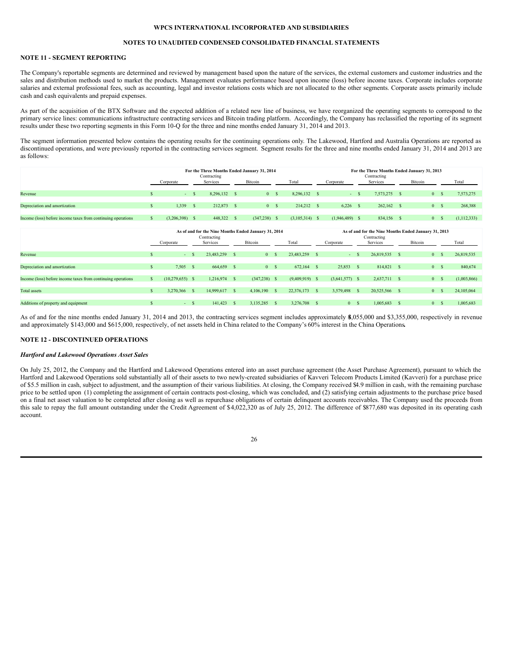# **NOTES TO UNAUDITED CONDENSED CONSOLIDATED FINANCIAL STATEMENTS**

## **NOTE 11 - SEGMENT REPORTING**

The Company's reportable segments are determined and reviewed by management based upon the nature of the services, the external customers and customer industries and the sales and distribution methods used to market the products. Management evaluates performance based upon income (loss) before income taxes. Corporate includes corporate salaries and external professional fees, such as accounting, legal and investor relations costs which are not allocated to the other segments. Corporate assets primarily include cash and cash equivalents and prepaid expenses.

As part of the acquisition of the BTX Software and the expected addition of a related new line of business, we have reorganized the operating segments to correspond to the primary service lines: communications infrastructure contracting services and Bitcoin trading platform. Accordingly, the Company has reclassified the reporting of its segment results under these two reporting segments in this Form 10-Q for the three and nine months ended January 31, 2014 and 2013.

The segment information presented below contains the operating results for the continuing operations only. The Lakewood, Hartford and Australia Operations are reported as discontinued operations, and were previously reported in the contracting services segment. Segment results for the three and nine months ended January 31, 2014 and 2013 are as follows:

|                                                              | Corporate   | Contracting<br>Services | For the Three Months Ended January 31, 2014<br>Bitcoin |                | Total            | Corporate        | Contracting<br>Services | For the Three Months Ended January 31, 2013<br>Bitcoin | Total         |
|--------------------------------------------------------------|-------------|-------------------------|--------------------------------------------------------|----------------|------------------|------------------|-------------------------|--------------------------------------------------------|---------------|
| Revenue                                                      | $-$ S       | 8.296.132               | $\mathbf{0}$                                           |                | 8.296.132 S      | $-$ S            | 7.573.275 \$            | $\mathbf{0}$                                           | 7,573,275     |
| Depreciation and amortization                                | 1,339       | 212.873 \$              |                                                        | 0 <sup>5</sup> | 214.212 \$       | $6.226$ \$       | 262,162 \$              | $\mathbf{0}$                                           | 268,388       |
| Income (loss) before income taxes from continuing operations | (3,206,398) | 448,322                 | $(347,238)$ \$                                         |                | $(3,105,314)$ \$ | $(1,946,489)$ \$ | 834,156 \$              | $\mathbf{0}$                                           | (1, 112, 333) |

|                                                              | As of and for the Nine Months Ended January 31, 2014<br>Contracting |  |                |  |                |     |                  | As of and for the Nine Months Ended January 31, 2013<br>Contracting |                  |      |                |      |                |     |             |  |
|--------------------------------------------------------------|---------------------------------------------------------------------|--|----------------|--|----------------|-----|------------------|---------------------------------------------------------------------|------------------|------|----------------|------|----------------|-----|-------------|--|
|                                                              | Corporate                                                           |  | Services       |  | Bitcoin        |     | Total            |                                                                     | Corporate        |      | Services       |      | Bitcoin        |     | Total       |  |
|                                                              |                                                                     |  |                |  |                |     |                  |                                                                     |                  |      |                |      |                |     |             |  |
| Revenue                                                      | $\sim$                                                              |  | 23,483,259 \$  |  | $\mathbf{0}$   |     | 23.483.259       |                                                                     | $-$ S            |      | 26,819,535     | - \$ | $\mathbf{0}$   |     | 26,819,535  |  |
|                                                              |                                                                     |  |                |  |                |     |                  |                                                                     |                  |      |                |      |                |     |             |  |
| Depreciation and amortization                                | 7,505                                                               |  | 664,659 \$     |  | 0 S            |     | 672.164          |                                                                     | 25,853           | - \$ | 814.821 \$     |      |                | 0 S | 840,674     |  |
|                                                              |                                                                     |  |                |  |                |     |                  |                                                                     |                  |      |                |      |                |     |             |  |
| Income (loss) before income taxes from continuing operations | $(10.279.655)$ \$                                                   |  | $1.216.974$ \$ |  | $(347,238)$ \$ |     | $(9,409,919)$ \$ |                                                                     | $(3,641,577)$ \$ |      | $2,637,711$ \$ |      | $\overline{0}$ | - 8 | (1,003,866) |  |
|                                                              |                                                                     |  |                |  |                |     |                  |                                                                     |                  |      |                |      |                |     |             |  |
| <b>Total assets</b>                                          | 3.270.366 \$                                                        |  | 14,999,617     |  | 4.106.190      | - 8 | 22.376.173       |                                                                     | 3.579.498 S      |      | 20,525,566 \$  |      | $\overline{0}$ |     | 24,105,064  |  |
|                                                              |                                                                     |  |                |  |                |     |                  |                                                                     |                  |      |                |      |                |     |             |  |
| Additions of property and equipment                          | - ১                                                                 |  | 141,423        |  | 3.135.285      | -8  | 3,276,708        |                                                                     | 0 S              |      | 1,005,683      | -8   | $\mathbf{0}$   | -S  | 1,005,683   |  |
|                                                              |                                                                     |  |                |  |                |     |                  |                                                                     |                  |      |                |      |                |     |             |  |

As of and for the nine months ended January 31, 2014 and 2013, the contracting services segment includes approximately \$,055,000 and \$3,355,000, respectively in revenue and approximately \$143,000 and \$615,000, respectively, of net assets held in China related to the Company's 60% interest in the China Operations**.**

#### **NOTE 12 - DISCONTINUED OPERATIONS**

### *Hartford and Lakewood Operations Asset Sales*

On July 25, 2012, the Company and the Hartford and Lakewood Operations entered into an asset purchase agreement (the Asset Purchase Agreement), pursuant to which the Hartford and Lakewood Operations sold substantially all of their assets to two newly-created subsidiaries of Kavveri Telecom Products Limited (Kavveri) for a purchase price of \$5.5 million in cash, subject to adjustment, and the assumption of their various liabilities. At closing, the Company received \$4.9 million in cash, with the remaining purchase price to be settled upon (1) completing the assignment of certain contracts post-closing, which was concluded, and (2) satisfying certain adjustments to the purchase price based on a final net asset valuation to be completed after closing as well as repurchase obligations of certain delinquent accounts receivables. The Company used the proceeds from this sale to repay the full amount outstanding under the Credit Agreement of \$4,022,320 as of July 25, 2012. The difference of \$877,680 was deposited in its operating cash account.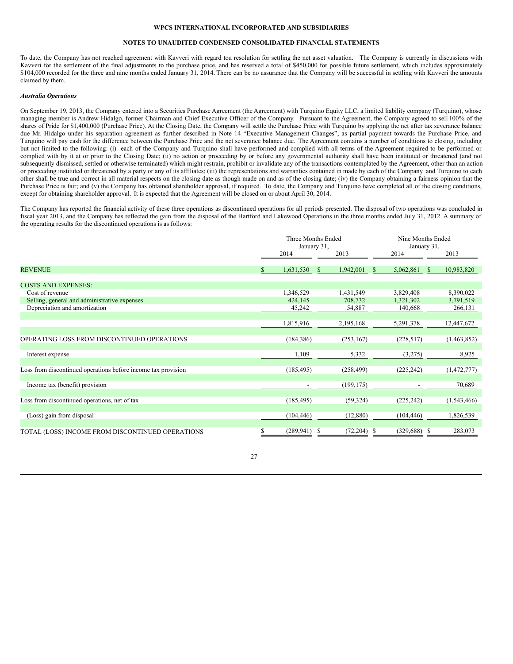### **NOTES TO UNAUDITED CONDENSED CONSOLIDATED FINANCIAL STATEMENTS**

To date, the Company has not reached agreement with Kavveri with regard toa resolution for settling the net asset valuation. The Company is currently in discussions with Kavveri for the settlement of the final adjustments to the purchase price, and has reserved a total of \$450,000 for possible future settlement, which includes approximately \$104,000 recorded for the three and nine months ended January 31, 2014. There can be no assurance that the Company will be successful in settling with Kavveri the amounts claimed by them.

# *Australia Operations*

On September 19, 2013, the Company entered into a Securities Purchase Agreement (the Agreement) with Turquino Equity LLC, a limited liability company (Turquino), whose managing member is Andrew Hidalgo, former Chairman and Chief Executive Officer of the Company. Pursuant to the Agreement, the Company agreed to sell 100% of the shares of Pride for \$1,400,000 (Purchase Price). At the Closing Date, the Company will settle the Purchase Price with Turquino by applying the net after tax severance balance due Mr. Hidalgo under his separation agreement as further described in Note 14 "Executive Management Changes", as partial payment towards the Purchase Price, and Turquino will pay cash for the difference between the Purchase Price and the net severance balance due. The Agreement contains a number of conditions to closing, including but not limited to the following: (i) each of the Company and Turquino shall have performed and complied with all terms of the Agreement required to be performed or complied with by it at or prior to the Closing Date; (ii) no action or proceeding by or before any governmental authority shall have been instituted or threatened (and not subsequently dismissed, settled or otherwise terminated) which might restrain, prohibit or invalidate any of the transactions contemplated by the Agreement, other than an action or proceeding instituted or threatened by a party or any of its affiliates; (iii) the representations and warranties contained in made by each of the Company and Turquino to each other shall be true and correct in all material respects on the closing date as though made on and as of the closing date; (iv) the Company obtaining a fairness opinion that the Purchase Price is fair; and (v) the Company has obtained shareholder approval, if required. To date, the Company and Turquino have completed all of the closing conditions, except for obtaining shareholder approval. It is expected that the Agreement will be closed on or about April 30, 2014.

The Company has reported the financial activity of these three operations as discontinued operations for all periods presented. The disposal of two operations was concluded in fiscal year 2013, and the Company has reflected the gain from the disposal of the Hartford and Lakewood Operations in the three months ended July 31, 2012. A summary of the operating results for the discontinued operations is as follows:

|                                                               |    | Three Months Ended<br>January 31, |              |            |               | Nine Months Ended<br>January 31, |               |             |  |  |
|---------------------------------------------------------------|----|-----------------------------------|--------------|------------|---------------|----------------------------------|---------------|-------------|--|--|
|                                                               |    | 2014                              |              | 2013       |               | 2014                             |               | 2013        |  |  |
| <b>REVENUE</b>                                                | S. | 1,631,530                         | <sup>S</sup> | 1,942,001  | <sup>\$</sup> | 5,062,861                        | <sup>\$</sup> | 10,983,820  |  |  |
| <b>COSTS AND EXPENSES:</b>                                    |    |                                   |              |            |               |                                  |               |             |  |  |
| Cost of revenue                                               |    | 1,346,529                         |              | 1,431,549  |               | 3,829,408                        |               | 8,390,022   |  |  |
| Selling, general and administrative expenses                  |    | 424,145                           |              | 708,732    |               | 1,321,302                        |               | 3,791,519   |  |  |
| Depreciation and amortization                                 |    | 45,242                            |              | 54,887     |               | 140,668                          |               | 266,131     |  |  |
|                                                               |    | 1,815,916                         |              | 2,195,168  |               | 5,291,378                        |               | 12,447,672  |  |  |
| OPERATING LOSS FROM DISCONTINUED OPERATIONS                   |    | (184, 386)                        |              | (253, 167) |               | (228, 517)                       |               | (1,463,852) |  |  |
| Interest expense                                              |    | 1,109                             |              | 5,332      |               | (3,275)                          |               | 8,925       |  |  |
| Loss from discontinued operations before income tax provision |    | (185, 495)                        |              | (258, 499) |               | (225, 242)                       |               | (1,472,777) |  |  |
| Income tax (benefit) provision                                |    |                                   |              | (199, 175) |               |                                  |               | 70,689      |  |  |
| Loss from discontinued operations, net of tax                 |    | (185, 495)                        |              | (59, 324)  |               | (225, 242)                       |               | (1,543,466) |  |  |
| (Loss) gain from disposal                                     |    | (104, 446)                        |              | (12,880)   |               | (104, 446)                       |               | 1,826,539   |  |  |
| TOTAL (LOSS) INCOME FROM DISCONTINUED OPERATIONS              | S  | (289, 941)                        | -S           | (72, 204)  | <sup>S</sup>  | (329, 688)                       | -S            | 283,073     |  |  |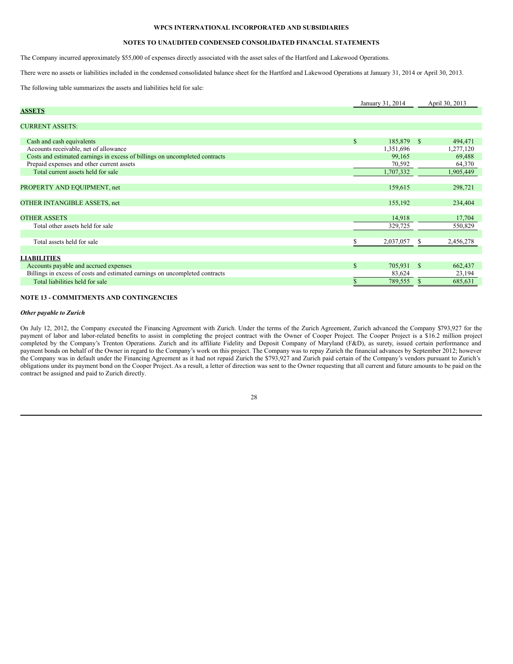# **NOTES TO UNAUDITED CONDENSED CONSOLIDATED FINANCIAL STATEMENTS**

The Company incurred approximately \$55,000 of expenses directly associated with the asset sales of the Hartford and Lakewood Operations.

There were no assets or liabilities included in the condensed consolidated balance sheet for the Hartford and Lakewood Operations at January 31, 2014 or April 30, 2013.

The following table summarizes the assets and liabilities held for sale:

|                                                                             |              | January 31, 2014 |               | April 30, 2013 |
|-----------------------------------------------------------------------------|--------------|------------------|---------------|----------------|
| <b>ASSETS</b>                                                               |              |                  |               |                |
|                                                                             |              |                  |               |                |
| <b>CURRENT ASSETS:</b>                                                      |              |                  |               |                |
|                                                                             |              |                  |               |                |
| Cash and cash equivalents                                                   | $\mathbb{S}$ | 185,879 \$       |               | 494,471        |
| Accounts receivable, net of allowance                                       |              | 1,351,696        |               | 1,277,120      |
| Costs and estimated earnings in excess of billings on uncompleted contracts |              | 99,165           |               | 69,488         |
| Prepaid expenses and other current assets                                   |              | 70,592           |               | 64,370         |
| Total current assets held for sale                                          |              | 1,707,332        |               | 1,905,449      |
|                                                                             |              |                  |               |                |
| PROPERTY AND EQUIPMENT, net                                                 |              | 159,615          |               | 298,721        |
|                                                                             |              |                  |               |                |
| OTHER INTANGIBLE ASSETS, net                                                |              | 155,192          |               | 234,404        |
|                                                                             |              |                  |               |                |
| <b>OTHER ASSETS</b>                                                         |              | 14,918           |               | 17,704         |
| Total other assets held for sale                                            |              | 329,725          |               | 550,829        |
|                                                                             |              |                  |               |                |
| Total assets held for sale                                                  | S            | 2,037,057        |               | 2,456,278      |
|                                                                             |              |                  |               |                |
| <b>LIABILITIES</b>                                                          |              |                  |               |                |
| Accounts payable and accrued expenses                                       | $\mathbb{S}$ | 705,931 \$       |               | 662,437        |
| Billings in excess of costs and estimated earnings on uncompleted contracts |              | 83,624           |               | 23,194         |
| Total liabilities held for sale                                             | \$           | 789,555          | <sup>\$</sup> | 685,631        |

## **NOTE 13 - COMMITMENTS AND CONTINGENCIES**

### *Other payable to Zurich*

On July 12, 2012, the Company executed the Financing Agreement with Zurich. Under the terms of the Zurich Agreement, Zurich advanced the Company \$793,927 for the payment of labor and labor-related benefits to assist in completing the project contract with the Owner of Cooper Project. The Cooper Project is a \$16.2 million project completed by the Company's Trenton Operations. Zurich and its affiliate Fidelity and Deposit Company of Maryland (F&D), as surety, issued certain performance and payment bonds on behalf of the Owner in regard to the Company's work on this project. The Company was to repay Zurich the financial advances by September 2012; however the Company was in default under the Financing Agreement as it had not repaid Zurich the \$793,927 and Zurich paid certain of the Company's vendors pursuant to Zurich's obligations under its payment bond on the Cooper Project. As a result, a letter of direction was sent to the Owner requesting that all current and future amounts to be paid on the contract be assigned and paid to Zurich directly.

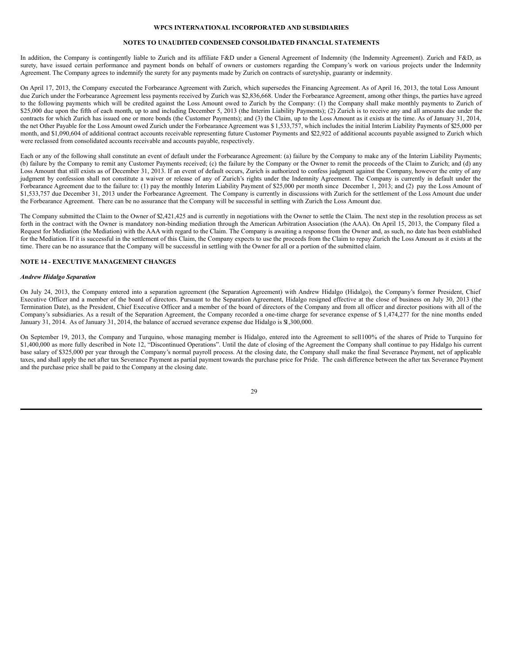### **NOTES TO UNAUDITED CONDENSED CONSOLIDATED FINANCIAL STATEMENTS**

In addition, the Company is contingently liable to Zurich and its affiliate F&D under a General Agreement of Indemnity (the Indemnity Agreement). Zurich and F&D, as surety, have issued certain performance and payment bonds on behalf of owners or customers regarding the Company's work on various projects under the Indemnity Agreement. The Company agrees to indemnify the surety for any payments made by Zurich on contracts of suretyship, guaranty or indemnity.

On April 17, 2013, the Company executed the Forbearance Agreement with Zurich, which supersedes the Financing Agreement. As of April 16, 2013, the total Loss Amount due Zurich under the Forbearance Agreement less payments received by Zurich was \$2,836,668. Under the Forbearance Agreement, among other things, the parties have agreed to the following payments which will be credited against the Loss Amount owed to Zurich by the Company: (1) the Company shall make monthly payments to Zurich of \$25,000 due upon the fifth of each month, up to and including December 5, 2013 (the Interim Liability Payments); (2) Zurich is to receive any and all amounts due under the contracts for which Zurich has issued one or more bonds (the Customer Payments); and (3) the Claim, up to the Loss Amount as it exists at the time. As of January 31, 2014, the net Other Payable for the Loss Amount owed Zurich under the Forbearance Agreement was \$1,533,757, which includes the initial Interim Liability Payments of \$25,000 per month, and \$1,090,604 of additional contract accounts receivable representing future Customer Payments and \$22,922 of additional accounts payable assigned to Zurich which were reclassed from consolidated accounts receivable and accounts payable, respectively.

Each or any of the following shall constitute an event of default under the Forbearance Agreement: (a) failure by the Company to make any of the Interim Liability Payments; (b) failure by the Company to remit any Customer Payments received; (c) the failure by the Company or the Owner to remit the proceeds of the Claim to Zurich; and (d) any Loss Amount that still exists as of December 31, 2013. If an event of default occurs, Zurich is authorized to confess judgment against the Company, however the entry of any judgment by confession shall not constitute a waiver or release of any of Zurich's rights under the Indemnity Agreement. The Company is currently in default under the Forbearance Agreement due to the failure to: (1) pay the monthly Interim Liability Payment of \$25,000 per month since December 1, 2013; and (2) pay the Loss Amount of \$1,533,757 due December 31, 2013 under the Forbearance Agreement. The Company is currently in discussions with Zurich for the settlement of the Loss Amount due under the Forbearance Agreement. There can be no assurance that the Company will be successful in settling with Zurich the Loss Amount due.

The Company submitted the Claim to the Owner of \$2,421,425 and is currently in negotiations with the Owner to settle the Claim. The next step in the resolution process as set forth in the contract with the Owner is mandatory non-binding mediation through the American Arbitration Association (the AAA). On April 15, 2013, the Company filed a Request for Mediation (the Mediation) with the AAA with regard to the Claim. The Company is awaiting a response from the Owner and, as such, no date has been established for the Mediation. If it is successful in the settlement of this Claim, the Company expects to use the proceeds from the Claim to repay Zurich the Loss Amount as it exists at the time. There can be no assurance that the Company will be successful in settling with the Owner for all or a portion of the submitted claim.

## **NOTE 14 - EXECUTIVE MANAGEMENT CHANGES**

## *Andrew Hidalgo Separation*

On July 24, 2013, the Company entered into a separation agreement (the Separation Agreement) with Andrew Hidalgo (Hidalgo), the Company's former President, Chief Executive Officer and a member of the board of directors. Pursuant to the Separation Agreement, Hidalgo resigned effective at the close of business on July 30, 2013 (the Termination Date), as the President, Chief Executive Officer and a member of the board of directors of the Company and from all officer and director positions with all of the Company's subsidiaries. As a result of the Separation Agreement, the Company recorded a one-time charge for severance expense of \$ 1,474,277 for the nine months ended January 31, 2014. As of January 31, 2014, the balance of accrued severance expense due Hidalgo is \$1,300,000.

On September 19, 2013, the Company and Turquino, whose managing member is Hidalgo, entered into the Agreement to sell100% of the shares of Pride to Turquino for \$1,400,000 as more fully described in Note 12, "Discontinued Operations". Until the date of closing of the Agreement the Company shall continue to pay Hidalgo his current base salary of \$325,000 per year through the Company's normal payroll process. At the closing date, the Company shall make the final Severance Payment, net of applicable taxes, and shall apply the net after tax Severance Payment as partial payment towards the purchase price for Pride. The cash difference between the after tax Severance Payment and the purchase price shall be paid to the Company at the closing date.

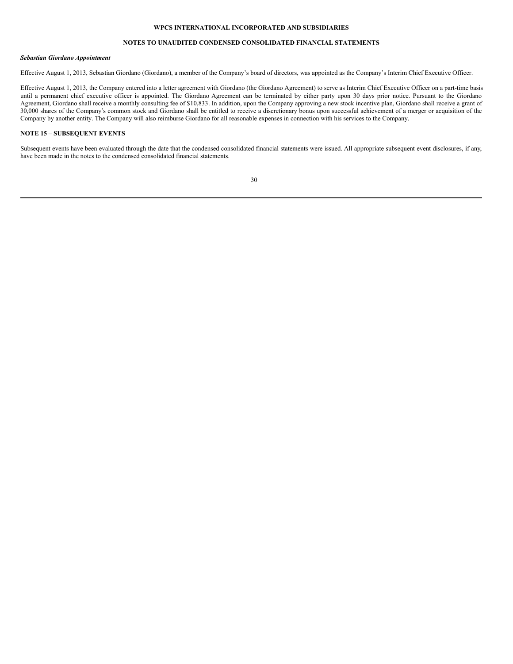# **NOTES TO UNAUDITED CONDENSED CONSOLIDATED FINANCIAL STATEMENTS**

#### *Sebastian Giordano Appointment*

Effective August 1, 2013, Sebastian Giordano (Giordano), a member of the Company's board of directors, was appointed as the Company's Interim Chief Executive Officer.

Effective August 1, 2013, the Company entered into a letter agreement with Giordano (the Giordano Agreement) to serve as Interim Chief Executive Officer on a part-time basis until a permanent chief executive officer is appointed. The Giordano Agreement can be terminated by either party upon 30 days prior notice. Pursuant to the Giordano Agreement, Giordano shall receive a monthly consulting fee of \$10,833. In addition, upon the Company approving a new stock incentive plan, Giordano shall receive a grant of 30,000 shares of the Company's common stock and Giordano shall be entitled to receive a discretionary bonus upon successful achievement of a merger or acquisition of the Company by another entity. The Company will also reimburse Giordano for all reasonable expenses in connection with his services to the Company.

# **NOTE 15 – SUBSEQUENT EVENTS**

Subsequent events have been evaluated through the date that the condensed consolidated financial statements were issued. All appropriate subsequent event disclosures, if any, have been made in the notes to the condensed consolidated financial statements.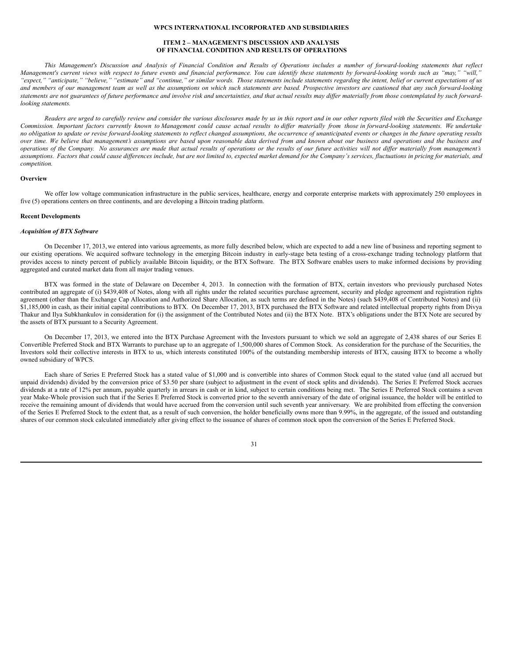### **ITEM 2 – MANAGEMENT'S DISCUSSION AND ANALYSIS OF FINANCIAL CONDITION AND RESULTS OF OPERATIONS**

This Management's Discussion and Analysis of Financial Condition and Results of Operations includes a number of forward-looking statements that reflect Management's current views with respect to future events and financial performance. You can identify these statements by forward-looking words such as "may," "will," "expect," "anticipate," "believe," "estimate" and "continue," or similar words. Those statements include statements regarding the intent, belief or current expectations of us and members of our management team as well as the assumptions on which such statements are based. Prospective investors are cautioned that any such forward-looking statements are not guarantees of future performance and involve risk and uncertainties, and that actual results may differ materially from those contemplated by such forward*looking statements.*

Readers are urged to carefully review and consider the various disclosures made by us in this report and in our other reports filed with the Securities and Exchange Commission. Important factors currently known to Management could cause actual results to differ materially from those in forward-looking statements. We undertake no obligation to update or revise forward-looking statements to reflect changed assumptions, the occurrence of unanticipated events or changes in the future operating results over time. We believe that management's assumptions are based upon reasonable data derived from and known about our business and operations and the business and operations of the Company. No assurances are made that actual results of operations or the results of our future activities will not differ materially from management's assumptions. Factors that could cause differences include, but are not limited to, expected market demand for the Company's services, fluctuations in pricing for materials, and *competition.*

### **Overview**

We offer low voltage communication infrastructure in the public services, healthcare, energy and corporate enterprise markets with approximately 250 employees in five (5) operations centers on three continents, and are developing a Bitcoin trading platform.

### **Recent Developments**

### *Acquisition of BTX Software*

On December 17, 2013,we entered into various agreements, as more fully described below, which are expected to add a new line of business and reporting segment to our existing operations. We acquired software technology in the emerging Bitcoin industry in early-stage beta testing of a cross-exchange trading technology platform that provides access to ninety percent of publicly available Bitcoin liquidity, or the BTX Software. The BTX Software enables users to make informed decisions by providing aggregated and curated market data from all major trading venues.

BTX was formed in the state of Delaware on December 4, 2013. In connection with the formation of BTX, certain investors who previously purchased Notes contributed an aggregate of (i) \$439,408 of Notes, along with all rights under the related securities purchase agreement, security and pledge agreement and registration rights agreement (other than the Exchange Cap Allocation and Authorized Share Allocation, as such terms are defined in the Notes) (such \$439,408 of Contributed Notes) and (ii) \$1,185,000 in cash, as their initial capital contributions to BTX. On December 17, 2013, BTX purchased the BTX Software and related intellectual property rights from Divya Thakur and Ilya Subkhankulov in consideration for (i) the assignment of the Contributed Notes and (ii) the BTX Note. BTX's obligations under the BTX Note are secured by the assets of BTX pursuant to a Security Agreement.

On December 17, 2013, we entered into the BTX Purchase Agreement with the Investors pursuant to which we sold an aggregate of 2,438 shares of our Series E Convertible Preferred Stock and BTX Warrants to purchase up to an aggregate of 1,500,000 shares of Common Stock. As consideration for the purchase of the Securities, the Investors sold their collective interests in BTX to us, which interests constituted 100% of the outstanding membership interests of BTX, causing BTX to become a wholly owned subsidiary of WPCS.

Each share of Series E Preferred Stock has a stated value of \$1,000 and is convertible into shares of Common Stock equal to the stated value (and all accrued but unpaid dividends) divided by the conversion price of \$3.50 per share (subject to adjustment in the event of stock splits and dividends). The Series E Preferred Stock accrues dividends at a rate of 12% per annum, payable quarterly in arrears in cash or in kind, subject to certain conditions being met. The Series E Preferred Stock contains a seven year Make-Whole provision such that if the Series E Preferred Stock is converted prior to the seventh anniversary of the date of original issuance, the holder will be entitled to receive the remaining amount of dividends that would have accrued from the conversion until such seventh year anniversary. We are prohibited from effecting the conversion of the Series E Preferred Stock to the extent that, as a result of such conversion, the holder beneficially owns more than 9.99%, in the aggregate, of the issued and outstanding shares of our common stock calculated immediately after giving effect to the issuance of shares of common stock upon the conversion of the Series E Preferred Stock.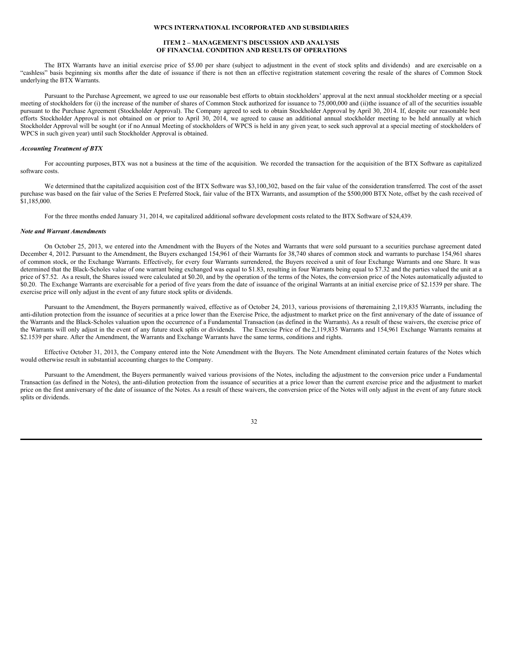### **ITEM 2 – MANAGEMENT'S DISCUSSION AND ANALYSIS OF FINANCIAL CONDITION AND RESULTS OF OPERATIONS**

The BTX Warrants have an initial exercise price of \$5.00 per share (subject to adjustment in the event of stock splits and dividends) and are exercisable on a "cashless" basis beginning six months after the date of issuance if there is not then an effective registration statement covering the resale of the shares of Common Stock underlying the BTX Warrants.

Pursuant to the Purchase Agreement, we agreed to use our reasonable best efforts to obtain stockholders' approval at the next annual stockholder meeting or a special meeting of stockholders for (i) the increase of the number of shares of Common Stock authorized for issuance to 75,000,000 and (ii)the issuance of all of the securities issuable pursuant to the Purchase Agreement (Stockholder Approval). The Company agreed to seek to obtain Stockholder Approval by April 30, 2014. If, despite our reasonable best efforts Stockholder Approval is not obtained on or prior to April 30, 2014, we agreed to cause an additional annual stockholder meeting to be held annually at which Stockholder Approval will be sought (or if no Annual Meeting of stockholders of WPCS is held in any given year, to seek such approval at a special meeting of stockholders of WPCS in such given year) until such Stockholder Approval is obtained.

## *Accounting Treatment of BTX*

For accounting purposes, BTX was not a business at the time of the acquisition. We recorded the transaction for the acquisition of the BTX Software as capitalized software costs.

We determined that the capitalized acquisition cost of the BTX Software was \$3,100,302, based on the fair value of the consideration transferred. The cost of the asset purchase was based on the fair value of the Series E Preferred Stock, fair value of the BTX Warrants, and assumption of the \$500,000 BTX Note, offset by the cash received of \$1,185,000.

For the three months ended January 31, 2014, we capitalized additional software development costs related to the BTX Software of \$24,439.

#### *Note and Warrant Amendments*

On October 25, 2013, we entered into the Amendment with the Buyers of the Notes and Warrants that were sold pursuant to a securities purchase agreement dated December 4, 2012. Pursuant to the Amendment, the Buyers exchanged 154,961 of their Warrants for 38,740 shares of common stock and warrants to purchase 154,961 shares of common stock, or the Exchange Warrants. Effectively, for every four Warrants surrendered, the Buyers received a unit of four Exchange Warrants and one Share. It was determined that the Black-Scholes value of one warrant being exchanged was equal to \$1.83, resulting in four Warrants being equal to \$7.32 and the parties valued the unit at a price of \$7.52. As a result, the Shares issued were calculated at \$0.20, and by the operation of the terms of the Notes, the conversion price of the Notes automatically adjusted to \$0.20. The Exchange Warrants are exercisable for a period of five years from the date of issuance of the original Warrants at an initial exercise price of \$2.1539 per share. The exercise price will only adjust in the event of any future stock splits or dividends.

Pursuant to the Amendment, the Buyers permanently waived, effective as of October 24, 2013, various provisions of theremaining 2,119,835 Warrants, including the anti-dilution protection from the issuance of securities at a price lower than the Exercise Price, the adjustment to market price on the first anniversary of the date of issuance of the Warrants and the Black-Scholes valuation upon the occurrence of a Fundamental Transaction (as defined in the Warrants). As a result of these waivers, the exercise price of the Warrants will only adjust in the event of any future stock splits or dividends. The Exercise Price of the 2,119,835 Warrants and 154,961 Exchange Warrants remains at \$2.1539 per share. After the Amendment, the Warrants and Exchange Warrants have the same terms, conditions and rights.

Effective October 31, 2013, the Company entered into the Note Amendment with the Buyers. The Note Amendment eliminated certain features of the Notes which would otherwise result in substantial accounting charges to the Company.

Pursuant to the Amendment, the Buyers permanently waived various provisions of the Notes, including the adjustment to the conversion price under a Fundamental Transaction (as defined in the Notes), the anti-dilution protection from the issuance of securities at a price lower than the current exercise price and the adjustment to market price on the first anniversary of the date of issuance of the Notes. As a result of these waivers, the conversion price of the Notes will only adjust in the event of any future stock splits or dividends.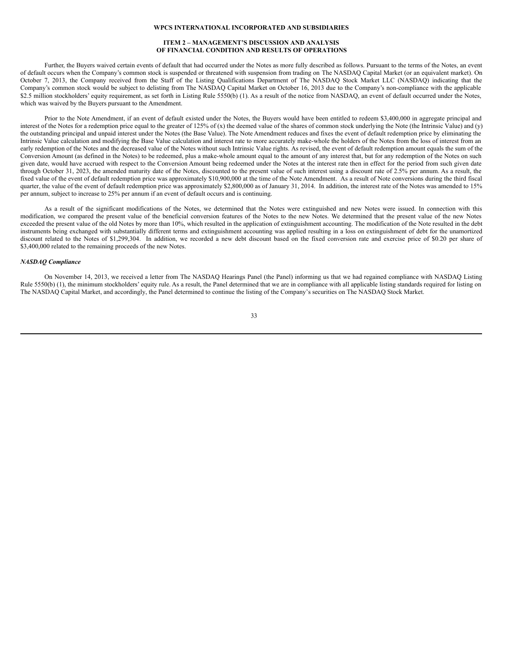### **ITEM 2 – MANAGEMENT'S DISCUSSION AND ANALYSIS OF FINANCIAL CONDITION AND RESULTS OF OPERATIONS**

Further, the Buyers waived certain events of default that had occurred under the Notes as more fully described as follows. Pursuant to the terms of the Notes, an event of default occurs when the Company's common stock is suspended or threatened with suspension from trading on The NASDAQ Capital Market (or an equivalent market). On October 7, 2013, the Company received from the Staff of the Listing Qualifications Department of The NASDAQ Stock Market LLC (NASDAQ) indicating that the Company's common stock would be subject to delisting from The NASDAQ Capital Market on October 16, 2013 due to the Company's non-compliance with the applicable \$2.5 million stockholders' equity requirement, as set forth in Listing Rule 5550(b) (1). As a result of the notice from NASDAQ, an event of default occurred under the Notes, which was waived by the Buyers pursuant to the Amendment.

Prior to the Note Amendment, if an event of default existed under the Notes, the Buyers would have been entitled to redeem \$3,400,000 in aggregate principal and interest of the Notes for a redemption price equal to the greater of 125% of (x) the deemed value of the shares of common stock underlying the Note (the Intrinsic Value) and (y) the outstanding principal and unpaid interest under the Notes (the Base Value). The Note Amendment reduces and fixes the event of default redemption price by eliminating the Intrinsic Value calculation and modifying the Base Value calculation and interest rate to more accurately make-whole the holders of the Notes from the loss of interest from an early redemption of the Notes and the decreased value of the Notes without such Intrinsic Value rights. As revised, the event of default redemption amount equals the sum of the Conversion Amount (as defined in the Notes) to be redeemed, plus a make-whole amount equal to the amount of any interest that, but for any redemption of the Notes on such given date, would have accrued with respect to the Conversion Amount being redeemed under the Notes at the interest rate then in effect for the period from such given date through October 31, 2023, the amended maturity date of the Notes, discounted to the present value of such interest using a discount rate of 2.5% per annum. As a result, the fixed value of the event of default redemption price was approximately \$10,900,000 at the time of the Note Amendment. As a result of Note conversions during the third fiscal quarter, the value of the event of default redemption price was approximately \$2,800,000 as of January 31, 2014. In addition, the interest rate of the Notes was amended to 15% per annum, subject to increase to 25% per annum if an event of default occurs and is continuing.

As a result of the significant modifications of the Notes, we determined that the Notes were extinguished and new Notes were issued. In connection with this modification, we compared the present value of the beneficial conversion features of the Notes to the new Notes. We determined that the present value of the new Notes exceeded the present value of the old Notes by more than 10%, which resulted in the application of extinguishment accounting. The modification of the Note resulted in the debt instruments being exchanged with substantially different terms and extinguishment accounting was applied resulting in a loss on extinguishment of debt for the unamortized discount related to the Notes of \$1,299,304. In addition, we recorded a new debt discount based on the fixed conversion rate and exercise price of \$0.20 per share of \$3,400,000 related to the remaining proceeds of the new Notes.

## *NASDAQ Compliance*

On November 14, 2013, we received a letter from The NASDAQ Hearings Panel (the Panel) informing us that we had regained compliance with NASDAQ Listing Rule 5550(b) (1), the minimum stockholders' equity rule. As a result, the Panel determined that we are in compliance with all applicable listing standards required for listing on The NASDAQ Capital Market, and accordingly, the Panel determined to continue the listing of the Company's securities on The NASDAQ Stock Market.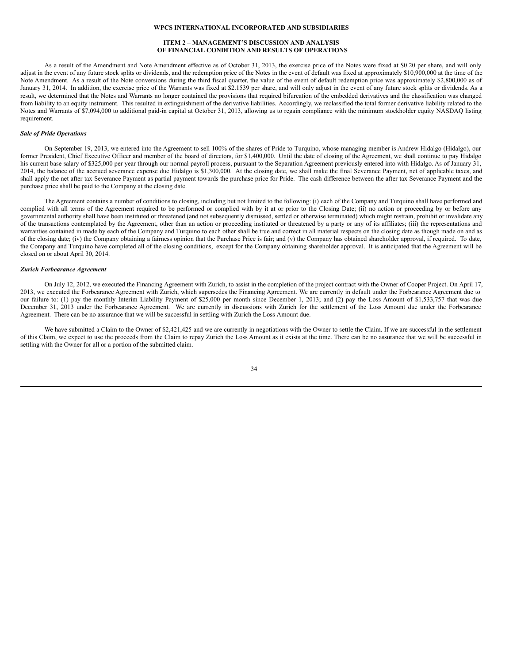### **ITEM 2 – MANAGEMENT'S DISCUSSION AND ANALYSIS OF FINANCIAL CONDITION AND RESULTS OF OPERATIONS**

As a result of the Amendment and Note Amendment effective as of October 31, 2013, the exercise price of the Notes were fixed at \$0.20 per share, and will only adjust in the event of any future stock splits or dividends, and the redemption price of the Notes in the event of default was fixed at approximately \$10,900,000 at the time of the Note Amendment. As a result of the Note conversions during the third fiscal quarter, the value of the event of default redemption price was approximately \$2,800,000 as of January 31, 2014. In addition, the exercise price of the Warrants was fixed at \$2.1539 per share, and will only adjust in the event of any future stock splits or dividends. As a result, we determined that the Notes and Warrants no longer contained the provisions that required bifurcation of the embedded derivatives and the classification was changed from liability to an equity instrument. This resulted in extinguishment of the derivative liabilities. Accordingly, we reclassified the total former derivative liability related to the Notes and Warrants of \$7,094,000 to additional paid-in capital at October 31, 2013, allowing us to regain compliance with the minimum stockholder equity NASDAQ listing requirement.

### *Sale of Pride Operations*

On September 19, 2013, we entered into the Agreement to sell 100% of the shares of Pride to Turquino, whose managing member is Andrew Hidalgo (Hidalgo), our former President, Chief Executive Officer and member of the board of directors, for \$1,400,000. Until the date of closing of the Agreement, we shall continue to pay Hidalgo his current base salary of \$325,000 per year through our normal payroll process, pursuant to the Separation Agreement previously entered into with Hidalgo. As of January 31, 2014, the balance of the accrued severance expense due Hidalgo is \$1,300,000. At the closing date, we shall make the final Severance Payment, net of applicable taxes, and shall apply the net after tax Severance Payment as partial payment towards the purchase price for Pride. The cash difference between the after tax Severance Payment and the purchase price shall be paid to the Company at the closing date.

The Agreement contains a number of conditions to closing, including but not limited to the following: (i) each of the Company and Turquino shall have performed and complied with all terms of the Agreement required to be performed or complied with by it at or prior to the Closing Date; (ii) no action or proceeding by or before any governmental authority shall have been instituted or threatened (and not subsequently dismissed, settled or otherwise terminated) which might restrain, prohibit or invalidate any of the transactions contemplated by the Agreement, other than an action or proceeding instituted or threatened by a party or any of its affiliates; (iii) the representations and warranties contained in made by each of the Company and Turquino to each other shall be true and correct in all material respects on the closing date as though made on and as of the closing date; (iv) the Company obtaining a fairness opinion that the Purchase Price is fair; and (v) the Company has obtained shareholder approval, if required. To date, the Company and Turquino have completed all of the closing conditions, except for the Company obtaining shareholder approval. It is anticipated that the Agreement will be closed on or about April 30, 2014.

#### *Zurich Forbearance Agreement*

On July 12, 2012, we executed the Financing Agreement with Zurich, to assist in the completion of the project contract with the Owner of Cooper Project. On April 17, 2013, we executed the Forbearance Agreement with Zurich, which supersedes the Financing Agreement. We are currently in default under the Forbearance Agreement due to our failure to: (1) pay the monthly Interim Liability Payment of \$25,000 per month since December 1, 2013; and (2) pay the Loss Amount of \$1,533,757 that was due December 31, 2013 under the Forbearance Agreement. We are currently in discussions with Zurich for the settlement of the Loss Amount due under the Forbearance Agreement. There can be no assurance that we will be successful in settling with Zurich the Loss Amount due.

We have submitted a Claim to the Owner of \$2,421,425 and we are currently in negotiations with the Owner to settle the Claim. If we are successful in the settlement of this Claim, we expect to use the proceeds from the Claim to repay Zurich the Loss Amount as it exists at the time. There can be no assurance that we will be successful in settling with the Owner for all or a portion of the submitted claim.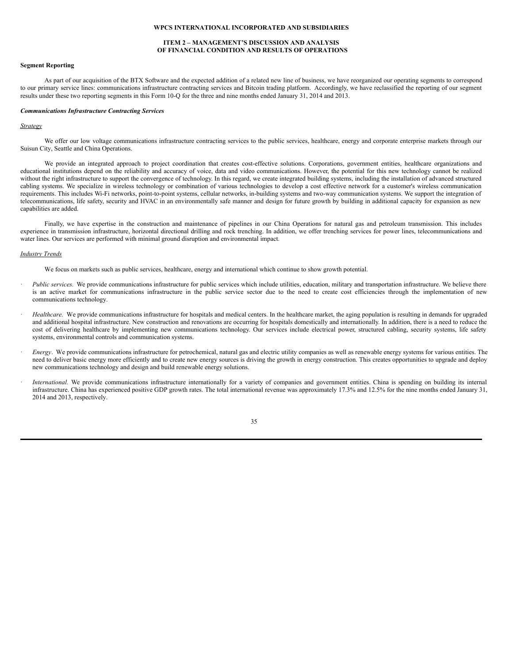## **ITEM 2 – MANAGEMENT'S DISCUSSION AND ANALYSIS OF FINANCIAL CONDITION AND RESULTS OF OPERATIONS**

#### **Segment Reporting**

As part of our acquisition of the BTX Software and the expected addition of a related new line of business, we have reorganized our operating segments to correspond to our primary service lines: communications infrastructure contracting services and Bitcoin trading platform. Accordingly, we have reclassified the reporting of our segment results under these two reporting segments in this Form 10-Q for the three and nine months ended January 31, 2014 and 2013.

## *Communications Infrastructure Contracting Services*

#### *Strategy*

We offer our low voltage communications infrastructure contracting services to the public services, healthcare, energy and corporate enterprise markets through our Suisun City, Seattle and China Operations.

We provide an integrated approach to project coordination that creates cost-effective solutions. Corporations, government entities, healthcare organizations and educational institutions depend on the reliability and accuracy of voice, data and video communications. However, the potential for this new technology cannot be realized without the right infrastructure to support the convergence of technology. In this regard, we create integrated building systems, including the installation of advanced structured cabling systems. We specialize in wireless technology or combination of various technologies to develop a cost effective network for a customer's wireless communication requirements. This includes Wi-Fi networks, point-to-point systems, cellular networks, in-building systems and two-way communication systems. We support the integration of telecommunications, life safety, security and HVAC in an environmentally safe manner and design for future growth by building in additional capacity for expansion as new capabilities are added.

Finally, we have expertise in the construction and maintenance of pipelines in our China Operations for natural gas and petroleum transmission. This includes experience in transmission infrastructure, horizontal directional drilling and rock trenching. In addition, we offer trenching services for power lines, telecommunications and water lines. Our services are performed with minimal ground disruption and environmental impact.

## *Industry Trends*

We focus on markets such as public services, healthcare, energy and international which continue to show growth potential.

- · *Public services.* We provide communications infrastructure for public services which include utilities, education, military and transportation infrastructure. We believe there is an active market for communications infrastructure in the public service sector due to the need to create cost efficiencies through the implementation of new communications technology.
- Healthcare. We provide communications infrastructure for hospitals and medical centers. In the healthcare market, the aging population is resulting in demands for upgraded and additional hospital infrastructure. New construction and renovations are occurring for hospitals domestically and internationally. In addition, there is a need to reduce the cost of delivering healthcare by implementing new communications technology. Our services include electrical power, structured cabling, security systems, life safety systems, environmental controls and communication systems.
- · *Energy*. We provide communications infrastructure for petrochemical, natural gas and electric utility companies as well as renewable energy systems for various entities. The need to deliver basic energy more efficiently and to create new energy sources is driving the growth in energy construction. This creates opportunities to upgrade and deploy new communications technology and design and build renewable energy solutions.
- International. We provide communications infrastructure internationally for a variety of companies and government entities. China is spending on building its internal infrastructure. China has experienced positive GDP growth rates. The total international revenue was approximately 17.3% and 12.5% for the nine months ended January 31, 2014 and 2013, respectively.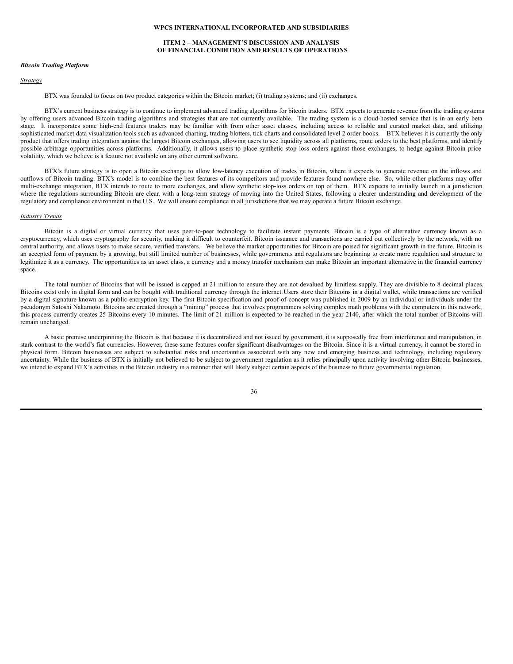## **ITEM 2 – MANAGEMENT'S DISCUSSION AND ANALYSIS OF FINANCIAL CONDITION AND RESULTS OF OPERATIONS**

#### *Bitcoin Trading Platform*

### *Strategy*

BTX was founded to focus on two product categories within the Bitcoin market; (i) trading systems; and (ii) exchanges.

BTX's current business strategy is to continue to implement advanced trading algorithms for bitcoin traders. BTX expects to generate revenue from the trading systems by offering users advanced Bitcoin trading algorithms and strategies that are not currently available. The trading system is a cloud-hosted service that is in an early beta stage. It incorporates some high-end features traders may be familiar with from other asset classes, including access to reliable and curated market data, and utilizing sophisticated market data visualization tools such as advanced charting, trading blotters, tick charts and consolidated level 2 order books. BTX believes it is currently the only product that offers trading integration against the largest Bitcoin exchanges, allowing users to see liquidity across all platforms, route orders to the best platforms, and identify possible arbitrage opportunities across platforms. Additionally, it allows users to place synthetic stop loss orders against those exchanges, to hedge against Bitcoin price volatility, which we believe is a feature not available on any other current software.

BTX's future strategy is to open a Bitcoin exchange to allow low-latency execution of trades in Bitcoin, where it expects to generate revenue on the inflows and outflows of Bitcoin trading. BTX's model is to combine the best features of its competitors and provide features found nowhere else. So, while other platforms may offer multi-exchange integration, BTX intends to route to more exchanges, and allow synthetic stop-loss orders on top of them. BTX expects to initially launch in a jurisdiction where the regulations surrounding Bitcoin are clear, with a long-term strategy of moving into the United States, following a clearer understanding and development of the regulatory and compliance environment in the U.S. We will ensure compliance in all jurisdictions that we may operate a future Bitcoin exchange.

## *Industry Trends*

Bitcoin is a digital or virtual currency that uses peer-to-peer technology to facilitate instant payments. Bitcoin is a type of alternative currency known as a cryptocurrency, which uses cryptography for security, making it difficult to counterfeit. Bitcoin issuance and transactions are carried out collectively by the network, with no central authority, and allows users to make secure, verified transfers. We believe the market opportunities for Bitcoin are poised for significant growth in the future. Bitcoin is an accepted form of payment by a growing, but still limited number of businesses, while governments and regulators are beginning to create more regulation and structure to legitimize it as a currency. The opportunities as an asset class, a currency and a money transfer mechanism can make Bitcoin an important alternative in the financial currency space.

The total number of Bitcoins that will be issued is capped at 21 million to ensure they are not devalued by limitless supply. They are divisible to 8 decimal places. Bitcoins exist only in digital form and can be bought with traditional currency through the internet.Users store their Bitcoins in a digital wallet, while transactions are verified by a digital signature known as a public-encryption key. The first Bitcoin specification and proof-of-concept was published in 2009 by an individual or individuals under the pseudonym Satoshi Nakamoto. Bitcoins are created through a "mining" process that involves programmers solving complex math problems with the computers in this network; this process currently creates 25 Bitcoins every 10 minutes. The limit of 21 million is expected to be reached in the year 2140, after which the total number of Bitcoins will remain unchanged.

A basic premise underpinning the Bitcoin is that because it is decentralized and not issued by government, it is supposedly free from interference and manipulation, in stark contrast to the world's fiat currencies. However, these same features confer significant disadvantages on the Bitcoin. Since it is a virtual currency, it cannot be stored in physical form. Bitcoin businesses are subject to substantial risks and uncertainties associated with any new and emerging business and technology, including regulatory uncertainty. While the business of BTX is initially not believed to be subject to government regulation as it relies principally upon activity involving other Bitcoin businesses, we intend to expand BTX's activities in the Bitcoin industry in a manner that will likely subject certain aspects of the business to future governmental regulation.

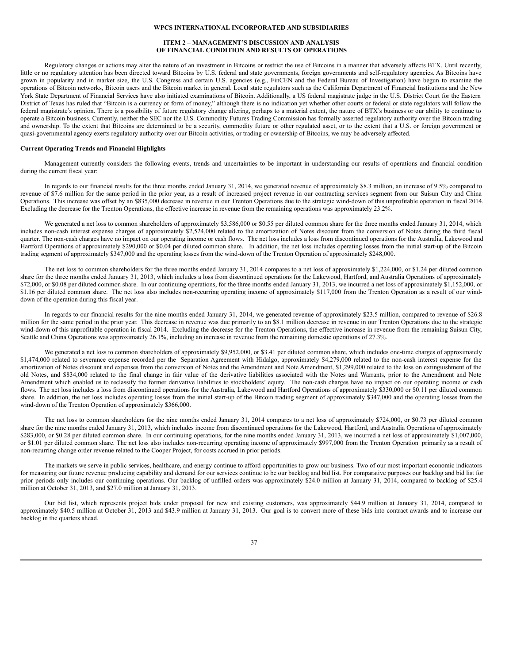### **ITEM 2 – MANAGEMENT'S DISCUSSION AND ANALYSIS OF FINANCIAL CONDITION AND RESULTS OF OPERATIONS**

Regulatory changes or actions may alter the nature of an investment in Bitcoins or restrict the use of Bitcoins in a manner that adversely affects BTX. Until recently, little or no regulatory attention has been directed toward Bitcoins by U.S. federal and state governments, foreign governments and self-regulatory agencies. As Bitcoins have grown in popularity and in market size, the U.S. Congress and certain U.S. agencies (e.g., FinCEN and the Federal Bureau of Investigation) have begun to examine the operations of Bitcoin networks, Bitcoin users and the Bitcoin market in general. Local state regulators such as the California Department of Financial Institutions and the New York State Department of Financial Services have also initiated examinations of Bitcoin. Additionally, a US federal magistrate judge in the U.S. District Court for the Eastern District of Texas has ruled that "Bitcoin is a currency or form of money," although there is no indication yet whether other courts or federal or state regulators will follow the federal magistrate's opinion. There is a possibility of future regulatory change altering, perhaps to a material extent, the nature of BTX's business or our ability to continue to operate a Bitcoin business. Currently, neither the SEC nor the U.S. Commodity Futures Trading Commission has formally asserted regulatory authority over the Bitcoin trading and ownership. To the extent that Bitcoins are determined to be a security, commodity future or other regulated asset, or to the extent that a U.S. or foreign government or quasi-governmental agency exerts regulatory authority over our Bitcoin activities, or trading or ownership of Bitcoins, we may be adversely affected.

#### **Current Operating Trends and Financial Highlights**

Management currently considers the following events, trends and uncertainties to be important in understanding our results of operations and financial condition during the current fiscal year:

In regards to our financial results for the three months ended January 31, 2014, we generated revenue of approximately \$8.3 million, an increase of 9.5% compared to revenue of \$7.6 million for the same period in the prior year, as a result of increased project revenue in our contracting services segment from our Suisun City and China Operations. This increase was offset by an \$835,000 decrease in revenue in our Trenton Operations due to the strategic wind-down of this unprofitable operation in fiscal 2014. Excluding the decrease for the Trenton Operations, the effective increase in revenue from the remaining operations was approximately 23.2%.

We generated a net loss to common shareholders of approximately \$3,586,000 or \$0.55 per diluted common share for the three months ended January 31, 2014, which includes non-cash interest expense charges of approximately \$2,524,000 related to the amortization of Notes discount from the conversion of Notes during the third fiscal quarter. The non-cash charges have no impact on our operating income or cash flows. The net loss includes a loss from discontinued operations for the Australia, Lakewood and Hartford Operations of approximately \$290,000 or \$0.04 per diluted common share. In addition, the net loss includes operating losses from the initial start-up of the Bitcoin trading segment of approximately \$347,000 and the operating losses from the wind-down of the Trenton Operation of approximately \$248,000.

The net loss to common shareholders for the three months ended January 31, 2014 compares to a net loss of approximately \$1,224,000, or \$1.24 per diluted common share for the three months ended January 31, 2013, which includes a loss from discontinued operations for the Lakewood, Hartford, and Australia Operations of approximately \$72,000, or \$0.08 per diluted common share. In our continuing operations, for the three months ended January 31, 2013, we incurred a net loss of approximately \$1,152,000, or \$1.16 per diluted common share. The net loss also includes non-recurring operating income of approximately \$117,000 from the Trenton Operation as a result of our winddown of the operation during this fiscal year.

In regards to our financial results for the nine months ended January 31, 2014, we generated revenue of approximately \$23.5 million, compared to revenue of \$26.8 million for the same period in the prior year. This decrease in revenue was due primarily to an \$8.1 million decrease in revenue in our Trenton Operations due to the strategic wind-down of this unprofitable operation in fiscal 2014. Excluding the decrease for the Trenton Operations, the effective increase in revenue from the remaining Suisun City, Seattle and China Operations was approximately 26.1%, including an increase in revenue from the remaining domestic operations of 27.3%.

We generated a net loss to common shareholders of approximately \$9,952,000, or \$3.41 per diluted common share, which includes one-time charges of approximately \$1,474,000 related to severance expense recorded per the Separation Agreement with Hidalgo, approximately \$4,279,000 related to the non-cash interest expense for the amortization of Notes discount and expenses from the conversion of Notes and the Amendment and Note Amendment, \$1,299,000 related to the loss on extinguishment of the old Notes, and \$834,000 related to the final change in fair value of the derivative liabilities associated with the Notes and Warrants, prior to the Amendment and Note Amendment which enabled us to reclassify the former derivative liabilities to stockholders' equity. The non-cash charges have no impact on our operating income or cash flows. The net loss includes a loss from discontinued operations for the Australia, Lakewood and Hartford Operations of approximately \$330,000 or \$0.11 per diluted common share. In addition, the net loss includes operating losses from the initial start-up of the Bitcoin trading segment of approximately \$347,000 and the operating losses from the wind-down of the Trenton Operation of approximately \$366,000.

The net loss to common shareholders for the nine months ended January 31, 2014 compares to a net loss of approximately \$724,000, or \$0.73 per diluted common share for the nine months ended January 31, 2013, which includes income from discontinued operations for the Lakewood, Hartford, and Australia Operations of approximately \$283,000, or \$0.28 per diluted common share. In our continuing operations, for the nine months ended January 31, 2013, we incurred a net loss of approximately \$1,007,000, or \$1.01 per diluted common share. The net loss also includes non-recurring operating income of approximately \$997,000 from the Trenton Operation primarily as a result of non-recurring change order revenue related to the Cooper Project, for costs accrued in prior periods.

The markets we serve in public services, healthcare, and energy continue to afford opportunities to grow our business. Two of our most important economic indicators for measuring our future revenue producing capability and demand for our services continue to be our backlog and bid list. For comparative purposes our backlog and bid list for prior periods only includes our continuing operations. Our backlog of unfilled orders was approximately \$24.0 million at January 31, 2014, compared to backlog of \$25.4 million at October 31, 2013, and \$27.0 million at January 31, 2013.

Our bid list, which represents project bids under proposal for new and existing customers, was approximately \$44.9 million at January 31, 2014, compared to approximately \$40.5 million at October 31, 2013 and \$43.9 million at January 31, 2013. Our goal is to convert more of these bids into contract awards and to increase our backlog in the quarters ahead.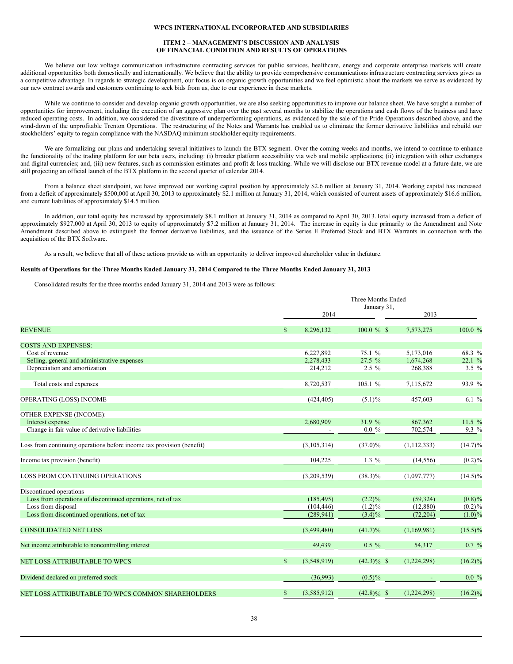### **ITEM 2 – MANAGEMENT'S DISCUSSION AND ANALYSIS OF FINANCIAL CONDITION AND RESULTS OF OPERATIONS**

We believe our low voltage communication infrastructure contracting services for public services, healthcare, energy and corporate enterprise markets will create additional opportunities both domestically and internationally. We believe that the ability to provide comprehensive communications infrastructure contracting services gives us a competitive advantage. In regards to strategic development, our focus is on organic growth opportunities and we feel optimistic about the markets we serve as evidenced by our new contract awards and customers continuing to seek bids from us, due to our experience in these markets.

While we continue to consider and develop organic growth opportunities, we are also seeking opportunities to improve our balance sheet. We have sought a number of opportunities for improvement, including the execution of an aggressive plan over the past several months to stabilize the operations and cash flows of the business and have reduced operating costs. In addition, we considered the divestiture of underperforming operations, as evidenced by the sale of the Pride Operations described above, and the wind-down of the unprofitable Trenton Operations. The restructuring of the Notes and Warrants has enabled us to eliminate the former derivative liabilities and rebuild our stockholders' equity to regain compliance with the NASDAQ minimum stockholder equity requirements.

We are formalizing our plans and undertaking several initiatives to launch the BTX segment. Over the coming weeks and months, we intend to continue to enhance the functionality of the trading platform for our beta users, including: (i) broader platform accessibility via web and mobile applications; (ii) integration with other exchanges and digital currencies; and, (iii) new features, such as commission estimates and profit & loss tracking. While we will disclose our BTX revenue model at a future date, we are still projecting an official launch of the BTX platform in the second quarter of calendar 2014.

From a balance sheet standpoint, we have improved our working capital position by approximately \$2.6 million at January 31, 2014. Working capital has increased from a deficit of approximately \$500,000 at April 30, 2013 to approximately \$2.1 million at January 31, 2014, which consisted of current assets of approximately \$16.6 million, and current liabilities of approximately \$14.5 million.

In addition, our total equity has increased by approximately \$8.1 million at January 31, 2014 as compared to April 30, 2013.Total equity increased from a deficit of approximately \$927,000 at April 30, 2013 to equity of approximately \$7.2 million at January 31, 2014. The increase in equity is due primarily to the Amendment and Note Amendment described above to extinguish the former derivative liabilities, and the issuance of the Series E Preferred Stock and BTX Warrants in connection with the acquisition of the BTX Software.

Three Months Ended

As a result, we believe that all of these actions provide us with an opportunity to deliver improved shareholder value in thefuture.

#### Results of Operations for the Three Months Ended January 31, 2014 Compared to the Three Months Ended January 31, 2013

Consolidated results for the three months ended January 31, 2014 and 2013 were as follows:

|                                                                       | тиге риониз ендеч |               |               |            |  |  |  |  |  |  |
|-----------------------------------------------------------------------|-------------------|---------------|---------------|------------|--|--|--|--|--|--|
|                                                                       | 2014              | January 31,   | 2013          |            |  |  |  |  |  |  |
|                                                                       |                   |               |               |            |  |  |  |  |  |  |
| <b>REVENUE</b>                                                        | 8,296,132         | $100.0 \%$ \$ | 7,573,275     | 100.0 %    |  |  |  |  |  |  |
| <b>COSTS AND EXPENSES:</b>                                            |                   |               |               |            |  |  |  |  |  |  |
| Cost of revenue                                                       | 6,227,892         | 75.1 %        | 5,173,016     | 68.3 %     |  |  |  |  |  |  |
| Selling, general and administrative expenses                          | 2,278,433         | 27.5 %        | 1,674,268     | 22.1 %     |  |  |  |  |  |  |
| Depreciation and amortization                                         | 214,212           | 2.5 %         | 268,388       | 3.5 %      |  |  |  |  |  |  |
| Total costs and expenses                                              | 8,720,537         | 105.1 %       | 7,115,672     | 93.9 %     |  |  |  |  |  |  |
| OPERATING (LOSS) INCOME                                               | (424, 405)        | $(5.1)\%$     | 457,603       | 6.1 $%$    |  |  |  |  |  |  |
| OTHER EXPENSE (INCOME):                                               |                   |               |               |            |  |  |  |  |  |  |
| Interest expense                                                      | 2.680.909         | 31.9%         | 867.362       | 11.5 $%$   |  |  |  |  |  |  |
| Change in fair value of derivative liabilities                        |                   | $0.0 \%$      | 702,574       | 9.3 %      |  |  |  |  |  |  |
| Loss from continuing operations before income tax provision (benefit) | (3,105,314)       | $(37.0)\%$    | (1, 112, 333) | $(14.7)\%$ |  |  |  |  |  |  |
| Income tax provision (benefit)                                        | 104,225           | 1.3 $%$       | (14, 556)     | $(0.2)\%$  |  |  |  |  |  |  |
| LOSS FROM CONTINUING OPERATIONS                                       | (3,209,539)       | $(38.3)\%$    | (1,097,777)   | $(14.5)\%$ |  |  |  |  |  |  |
| Discontinued operations                                               |                   |               |               |            |  |  |  |  |  |  |
| Loss from operations of discontinued operations, net of tax           | (185, 495)        | $(2.2)\%$     | (59, 324)     | $(0.8)\%$  |  |  |  |  |  |  |
| Loss from disposal                                                    | (104, 446)        | $(1.2)\%$     | (12,880)      | $(0.2)\%$  |  |  |  |  |  |  |
| Loss from discontinued operations, net of tax                         | (289, 941)        | $(3.4)\%$     | (72, 204)     | $(1.0)\%$  |  |  |  |  |  |  |
| <b>CONSOLIDATED NET LOSS</b>                                          | (3,499,480)       | $(41.7)\%$    | (1,169,981)   | $(15.5)\%$ |  |  |  |  |  |  |
| Net income attributable to noncontrolling interest                    | 49,439            | $0.5\%$       | 54,317        | $0.7 \%$   |  |  |  |  |  |  |
| NET LOSS ATTRIBUTABLE TO WPCS                                         | \$<br>(3,548,919) | $(42.3)\%$ \$ | (1,224,298)   | $(16.2)\%$ |  |  |  |  |  |  |
| Dividend declared on preferred stock                                  | (36,993)          | $(0.5)\%$     |               | $0.0 \%$   |  |  |  |  |  |  |
| NET LOSS ATTRIBUTABLE TO WPCS COMMON SHAREHOLDERS                     | \$<br>(3,585,912) | $(42.8)\%$ \$ | (1,224,298)   | $(16.2)\%$ |  |  |  |  |  |  |
|                                                                       |                   |               |               |            |  |  |  |  |  |  |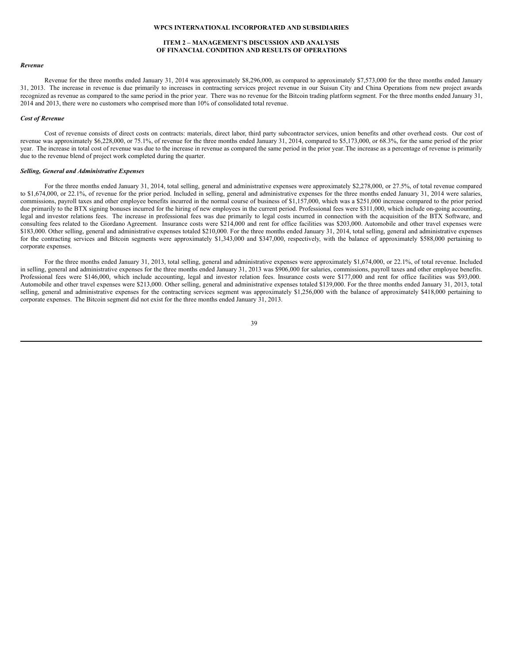## **ITEM 2 – MANAGEMENT'S DISCUSSION AND ANALYSIS OF FINANCIAL CONDITION AND RESULTS OF OPERATIONS**

#### *Revenue*

Revenue for the three months ended January 31, 2014 was approximately \$8,296,000, as compared to approximately \$7,573,000 for the three months ended January 31, 2013. The increase in revenue is due primarily to increases in contracting services project revenue in our Suisun City and China Operations from new project awards recognized as revenue as compared to the same period in the prior year. There was no revenue for the Bitcoin trading platform segment. For the three months ended January 31, 2014 and 2013, there were no customers who comprised more than 10% of consolidated total revenue.

#### *Cost of Revenue*

Cost of revenue consists of direct costs on contracts: materials, direct labor, third party subcontractor services, union benefits and other overhead costs. Our cost of revenue was approximately \$6,228,000, or 75.1%, of revenue for the three months ended January 31, 2014, compared to \$5,173,000, or 68.3%, for the same period of the prior year. The increase in total cost of revenue was due to the increase in revenue as compared the same period in the prior year. The increase as a percentage of revenue is primarily due to the revenue blend of project work completed during the quarter.

### *Selling, General and Administrative Expenses*

For the three months ended January 31, 2014, total selling, general and administrative expenses were approximately \$2,278,000, or 27.5%, of total revenue compared to \$1,674,000, or 22.1%, of revenue for the prior period. Included in selling, general and administrative expenses for the three months ended January 31, 2014 were salaries, commissions, payroll taxes and other employee benefits incurred in the normal course of business of \$1,157,000, which was a \$251,000 increase compared to the prior period due primarily to the BTX signing bonuses incurred for the hiring of new employees in the current period. Professional fees were \$311,000, which include on-going accounting, legal and investor relations fees. The increase in professional fees was due primarily to legal costs incurred in connection with the acquisition of the BTX Software, and consulting fees related to the Giordano Agreement. Insurance costs were \$214,000 and rent for office facilities was \$203,000. Automobile and other travel expenses were \$183,000. Other selling, general and administrative expenses totaled \$210,000. For the three months ended January 31, 2014, total selling, general and administrative expenses for the contracting services and Bitcoin segments were approximately \$1,343,000 and \$347,000, respectively, with the balance of approximately \$588,000 pertaining to corporate expenses.

For the three months ended January 31, 2013, total selling, general and administrative expenses were approximately \$1,674,000, or 22.1%, of total revenue. Included in selling, general and administrative expenses for the three months ended January 31, 2013 was \$906,000 for salaries, commissions, payroll taxes and other employee benefits. Professional fees were \$146,000, which include accounting, legal and investor relation fees. Insurance costs were \$177,000 and rent for office facilities was \$93,000. Automobile and other travel expenses were \$213,000. Other selling, general and administrative expenses totaled \$139,000. For the three months ended January 31, 2013, total selling, general and administrative expenses for the contracting services segment was approximately \$1,256,000 with the balance of approximately \$418,000 pertaining to corporate expenses. The Bitcoin segment did not exist for the three months ended January 31, 2013.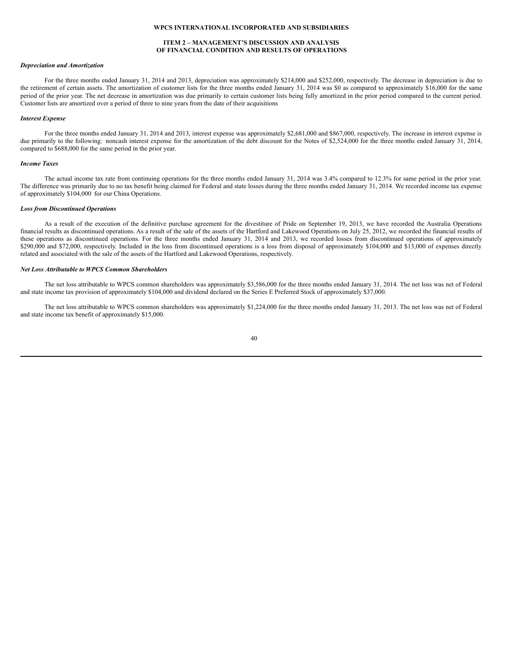## **ITEM 2 – MANAGEMENT'S DISCUSSION AND ANALYSIS OF FINANCIAL CONDITION AND RESULTS OF OPERATIONS**

#### *Depreciation and Amortization*

For the three months ended January 31, 2014 and 2013, depreciation was approximately \$214,000 and \$252,000, respectively. The decrease in depreciation is due to the retirement of certain assets. The amortization of customer lists for the three months ended January 31, 2014 was \$0 as compared to approximately \$16,000 for the same period of the prior year. The net decrease in amortization was due primarily to certain customer lists being fully amortized in the prior period compared to the current period. Customer lists are amortized over a period of three to nine years from the date of their acquisitions

# *Interest Expense*

For the three months ended January 31, 2014 and 2013, interest expense was approximately \$2,681,000 and \$867,000, respectively. The increase in interest expense is due primarily to the following: noncash interest expense for the amortization of the debt discount for the Notes of \$2,524,000 for the three months ended January 31, 2014, compared to \$688,000 for the same period in the prior year.

### *Income Taxes*

The actual income tax rate from continuing operations for the three months ended January 31, 2014 was 3.4% compared to 12.3% for same period in the prior year. The difference was primarily due to no tax benefit being claimed for Federal and state losses during the three months ended January 31, 2014. We recorded income tax expense of approximately \$104,000 for our China Operations.

#### *Loss from Discontinued Operations*

As a result of the execution of the definitive purchase agreement for the divestiture of Pride on September 19, 2013, we have recorded the Australia Operations financial results as discontinued operations. As a result of the sale of the assets of the Hartford and Lakewood Operations on July 25, 2012, we recorded the financial results of these operations as discontinued operations. For the three months ended January 31, 2014 and 2013, we recorded losses from discontinued operations of approximately \$290,000 and \$72,000, respectively. Included in the loss from discontinued operations is a loss from disposal of approximately \$104,000 and \$13,000 of expenses directly related and associated with the sale of the assets of the Hartford and Lakewood Operations, respectively.

#### *Net Loss Attributable to WPCS Common Shareholders*

The net loss attributable to WPCS common shareholders was approximately \$3,586,000 for the three months ended January 31, 2014. The net loss was net of Federal and state income tax provision of approximately \$104,000 and dividend declared on the Series E Preferred Stock of approximately \$37,000.

The net loss attributable to WPCS common shareholders was approximately \$1,224,000 for the three months ended January 31, 2013. The net loss was net of Federal and state income tax benefit of approximately \$15,000.

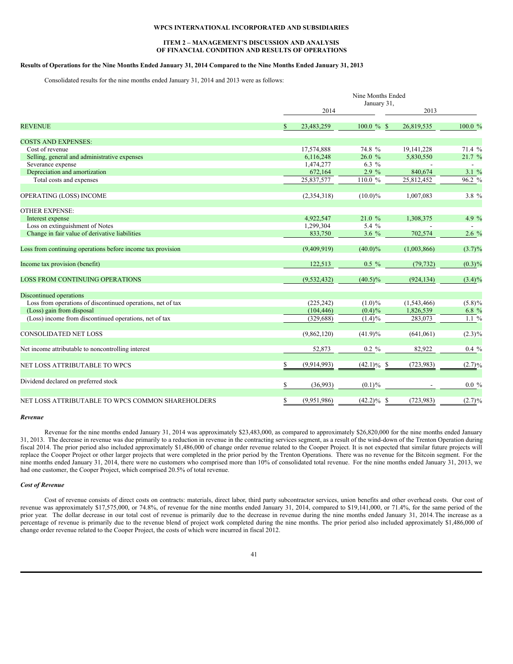## **ITEM 2 – MANAGEMENT'S DISCUSSION AND ANALYSIS OF FINANCIAL CONDITION AND RESULTS OF OPERATIONS**

#### Results of Operations for the Nine Months Ended January 31, 2014 Compared to the Nine Months Ended January 31, 2013

Consolidated results for the nine months ended January 31, 2014 and 2013 were as follows:

|                                                             | Nine Months Ended<br>January 31, |               |               |              |           |  |  |  |  |  |  |  |
|-------------------------------------------------------------|----------------------------------|---------------|---------------|--------------|-----------|--|--|--|--|--|--|--|
|                                                             |                                  | 2014          |               | 2013         |           |  |  |  |  |  |  |  |
| <b>REVENUE</b>                                              |                                  |               | $100.0 \%$ \$ | 26,819,535   | 100.0 %   |  |  |  |  |  |  |  |
|                                                             |                                  | 23,483,259    |               |              |           |  |  |  |  |  |  |  |
| <b>COSTS AND EXPENSES:</b>                                  |                                  |               |               |              |           |  |  |  |  |  |  |  |
| Cost of revenue                                             |                                  | 17,574,888    | 74.8 %        | 19, 141, 228 | 71.4 %    |  |  |  |  |  |  |  |
| Selling, general and administrative expenses                |                                  | 6,116,248     | 26.0 %        | 5,830,550    | 21.7 %    |  |  |  |  |  |  |  |
| Severance expense                                           |                                  | 1,474,277     | 6.3 $%$       |              |           |  |  |  |  |  |  |  |
| Depreciation and amortization                               |                                  | 672,164       | 2.9 %         | 840,674      | $3.1 \%$  |  |  |  |  |  |  |  |
| Total costs and expenses                                    |                                  | 25,837,577    | 110.0 $%$     | 25,812,452   | 96.2 %    |  |  |  |  |  |  |  |
| OPERATING (LOSS) INCOME                                     |                                  | (2,354,318)   | $(10.0)\%$    | 1,007,083    | 3.8 %     |  |  |  |  |  |  |  |
|                                                             |                                  |               |               |              |           |  |  |  |  |  |  |  |
| <b>OTHER EXPENSE:</b>                                       |                                  |               |               |              |           |  |  |  |  |  |  |  |
| Interest expense                                            |                                  | 4,922,547     | 21.0 %        | 1,308,375    | 4.9 %     |  |  |  |  |  |  |  |
| Loss on extinguishment of Notes                             |                                  | 1,299,304     | 5.4 %         |              |           |  |  |  |  |  |  |  |
| Change in fair value of derivative liabilities              |                                  | 833,750       | 3.6 $%$       | 702,574      | 2.6 %     |  |  |  |  |  |  |  |
| Loss from continuing operations before income tax provision |                                  | (9,409,919)   | $(40.0)\%$    | (1,003,866)  | $(3.7)\%$ |  |  |  |  |  |  |  |
| Income tax provision (benefit)                              |                                  | 122,513       | $0.5\%$       | (79, 732)    | $(0.3)\%$ |  |  |  |  |  |  |  |
| <b>LOSS FROM CONTINUING OPERATIONS</b>                      |                                  | (9, 532, 432) | $(40.5)\%$    | (924, 134)   | $(3.4)\%$ |  |  |  |  |  |  |  |
| Discontinued operations                                     |                                  |               |               |              |           |  |  |  |  |  |  |  |
| Loss from operations of discontinued operations, net of tax |                                  | (225, 242)    | $(1.0)\%$     | (1,543,466)  | $(5.8)\%$ |  |  |  |  |  |  |  |
| (Loss) gain from disposal                                   |                                  | (104, 446)    | $(0.4)\%$     | 1,826,539    | 6.8 %     |  |  |  |  |  |  |  |
| (Loss) income from discontinued operations, net of tax      |                                  | (329, 688)    | $(1.4)\%$     | 283,073      | $1.1\%$   |  |  |  |  |  |  |  |
| <b>CONSOLIDATED NET LOSS</b>                                |                                  | (9,862,120)   | $(41.9)\%$    | (641,061)    | $(2.3)\%$ |  |  |  |  |  |  |  |
| Net income attributable to noncontrolling interest          |                                  | 52,873        | $0.2 \%$      | 82,922       | $0.4\%$   |  |  |  |  |  |  |  |
| NET LOSS ATTRIBUTABLE TO WPCS                               | \$                               | (9,914,993)   | $(42.1)\%$ \$ | (723, 983)   | $(2.7)\%$ |  |  |  |  |  |  |  |
| Dividend declared on preferred stock                        | \$                               | (36,993)      | $(0.1)\%$     |              | $0.0 \%$  |  |  |  |  |  |  |  |
| NET LOSS ATTRIBUTABLE TO WPCS COMMON SHAREHOLDERS           | \$                               | (9,951,986)   | $(42.2)\%$ \$ | (723, 983)   | $(2.7)\%$ |  |  |  |  |  |  |  |

#### *Revenue*

Revenue for the nine months ended January 31, 2014 was approximately \$23,483,000, as compared to approximately \$26,820,000 for the nine months ended January 31, 2013. The decrease in revenue was due primarily to a reduction in revenue in the contracting services segment, as a result of the wind-down of the Trenton Operation during fiscal 2014. The prior period also included approximately \$1,486,000 of change order revenue related to the Cooper Project. It is not expected that similar future projects will replace the Cooper Project or other larger projects that were completed in the prior period by the Trenton Operations. There was no revenue for the Bitcoin segment. For the nine months ended January 31, 2014, there were no customers who comprised more than 10% of consolidated total revenue. For the nine months ended January 31, 2013, we had one customer, the Cooper Project, which comprised 20.5% of total revenue.

### *Cost of Revenue*

Cost of revenue consists of direct costs on contracts: materials, direct labor, third party subcontractor services, union benefits and other overhead costs. Our cost of revenue was approximately \$17,575,000, or 74.8%, of revenue for the nine months ended January 31, 2014, compared to \$19,141,000, or 71.4%, for the same period of the prior year. The dollar decrease in our total cost of revenue is primarily due to the decrease in revenue during the nine months ended January 31, 2014. The increase as a percentage of revenue is primarily due to the revenue blend of project work completed during the nine months. The prior period also included approximately \$1,486,000 of change order revenue related to the Cooper Project, the costs of which were incurred in fiscal 2012.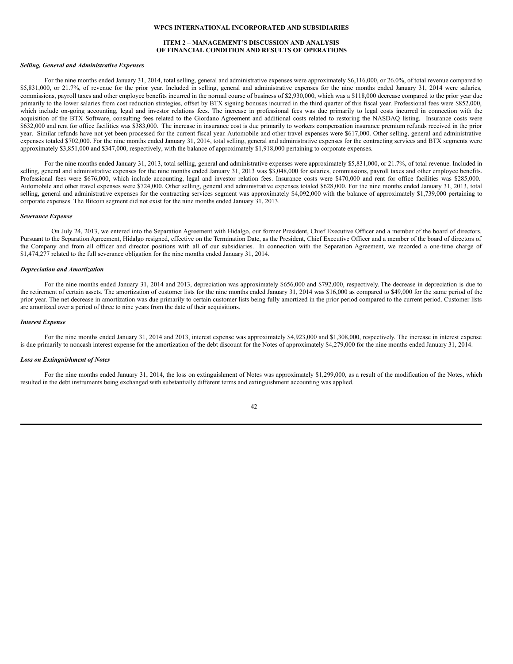## **ITEM 2 – MANAGEMENT'S DISCUSSION AND ANALYSIS OF FINANCIAL CONDITION AND RESULTS OF OPERATIONS**

#### *Selling, General and Administrative Expenses*

For the nine months ended January 31, 2014, total selling, general and administrative expenses were approximately \$6,116,000, or 26.0%, of total revenue compared to \$5,831,000, or 21.7%, of revenue for the prior year. Included in selling, general and administrative expenses for the nine months ended January 31, 2014 were salaries, commissions, payroll taxes and other employee benefits incurred in the normal course of business of \$2,930,000, which was a \$118,000 decrease compared to the prior year due primarily to the lower salaries from cost reduction strategies, offset by BTX signing bonuses incurred in the third quarter of this fiscal year. Professional fees were \$852,000, which include on-going accounting, legal and investor relations fees. The increase in professional fees was due primarily to legal costs incurred in connection with the acquisition of the BTX Software, consulting fees related to the Giordano Agreement and additional costs related to restoring the NASDAQ listing. Insurance costs were \$632,000 and rent for office facilities was \$383,000. The increase in insurance cost is due primarily to workers compensation insurance premium refunds received in the prior year. Similar refunds have not yet been processed for the current fiscal year. Automobile and other travel expenses were \$617,000. Other selling, general and administrative expenses totaled \$702,000. For the nine months ended January 31, 2014, total selling, general and administrative expenses for the contracting services and BTX segments were approximately \$3,851,000 and \$347,000, respectively, with the balance of approximately \$1,918,000 pertaining to corporate expenses.

For the nine months ended January 31, 2013, total selling, general and administrative expenses were approximately \$5,831,000, or 21.7%, of total revenue. Included in selling, general and administrative expenses for the nine months ended January 31, 2013 was \$3,048,000 for salaries, commissions, payroll taxes and other employee benefits. Professional fees were \$676,000, which include accounting, legal and investor relation fees. Insurance costs were \$470,000 and rent for office facilities was \$285,000. Automobile and other travel expenses were \$724,000. Other selling, general and administrative expenses totaled \$628,000. For the nine months ended January 31, 2013, total selling, general and administrative expenses for the contracting services segment was approximately \$4,092,000 with the balance of approximately \$1,739,000 pertaining to corporate expenses. The Bitcoin segment did not exist for the nine months ended January 31, 2013.

### *Severance Expense*

On July 24, 2013, we entered into the Separation Agreement with Hidalgo, our former President, Chief Executive Officer and a member of the board of directors. Pursuant to the Separation Agreement, Hidalgo resigned, effective on the Termination Date, as the President, Chief Executive Officer and a member of the board of directors of the Company and from all officer and director positions with all of our subsidiaries. In connection with the Separation Agreement, we recorded a one-time charge of \$1,474,277 related to the full severance obligation for the nine months ended January 31, 2014.

#### *Depreciation and Amortization*

For the nine months ended January 31, 2014 and 2013, depreciation was approximately \$656,000 and \$792,000, respectively. The decrease in depreciation is due to the retirement of certain assets. The amortization of customer lists for the nine months ended January 31, 2014 was \$16,000 as compared to \$49,000 for the same period of the prior year. The net decrease in amortization was due primarily to certain customer lists being fully amortized in the prior period compared to the current period. Customer lists are amortized over a period of three to nine years from the date of their acquisitions.

### *Interest Expense*

For the nine months ended January 31, 2014 and 2013, interest expense was approximately \$4,923,000 and \$1,308,000, respectively. The increase in interest expense is due primarily to noncash interest expense for the amortization of the debt discount for the Notes of approximately \$4,279,000 for the nine months ended January 31, 2014.

### *Loss on Extinguishment of Notes*

For the nine months ended January 31, 2014, the loss on extinguishment of Notes was approximately \$1,299,000, as a result of the modification of the Notes, which resulted in the debt instruments being exchanged with substantially different terms and extinguishment accounting was applied.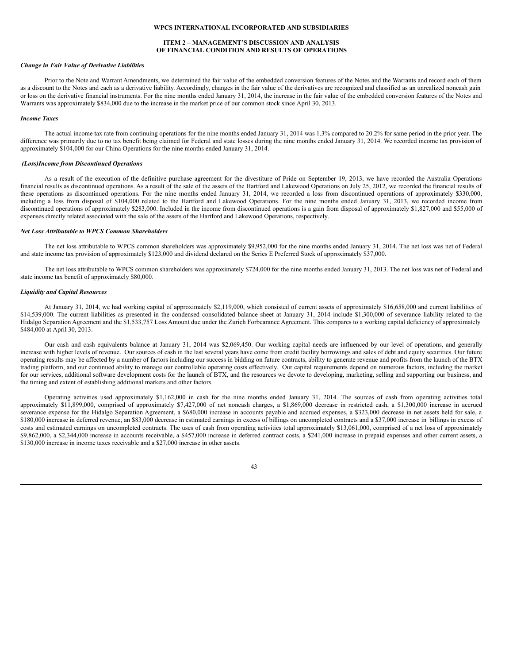## **ITEM 2 – MANAGEMENT'S DISCUSSION AND ANALYSIS OF FINANCIAL CONDITION AND RESULTS OF OPERATIONS**

#### *Change in Fair Value of Derivative Liabilities*

Prior to the Note and Warrant Amendments, we determined the fair value of the embedded conversion features of the Notes and the Warrants and record each of them as a discount to the Notes and each as a derivative liability. Accordingly, changes in the fair value of the derivatives are recognized and classified as an unrealized noncash gain or loss on the derivative financial instruments. For the nine months ended January 31, 2014, the increase in the fair value of the embedded conversion features of the Notes and Warrants was approximately \$834,000 due to the increase in the market price of our common stock since April 30, 2013.

#### *Income Taxes*

The actual income tax rate from continuing operations for the nine months ended January 31, 2014 was 1.3% compared to 20.2% for same period in the prior year. The difference was primarily due to no tax benefit being claimed for Federal and state losses during the nine months ended January 31, 2014. We recorded income tax provision of approximately \$104,000 for our China Operations for the nine months ended January 31, 2014.

### *(Loss)Income from Discontinued Operations*

As a result of the execution of the definitive purchase agreement for the divestiture of Pride on September 19, 2013, we have recorded the Australia Operations financial results as discontinued operations. As a result of the sale of the assets of the Hartford and Lakewood Operations on July 25, 2012, we recorded the financial results of these operations as discontinued operations. For the nine months ended January 31, 2014, we recorded a loss from discontinued operations of approximately \$330,000, including a loss from disposal of \$104,000 related to the Hartford and Lakewood Operations. For the nine months ended January 31, 2013, we recorded income from discontinued operations of approximately \$283,000. Included in the income from discontinued operations is a gain from disposal of approximately \$1,827,000 and \$55,000 of expenses directly related associated with the sale of the assets of the Hartford and Lakewood Operations, respectively.

## *Net Loss Attributable to WPCS Common Shareholders*

The net loss attributable to WPCS common shareholders was approximately \$9,952,000 for the nine months ended January 31, 2014. The net loss was net of Federal and state income tax provision of approximately \$123,000 and dividend declared on the Series E Preferred Stock of approximately \$37,000.

The net loss attributable to WPCS common shareholders was approximately \$724,000 for the nine months ended January 31, 2013. The net loss was net of Federal and state income tax benefit of approximately \$80,000.

### *Liquidity and Capital Resources*

At January 31, 2014, we had working capital of approximately \$2,119,000, which consisted of current assets of approximately \$16,658,000 and current liabilities of \$14,539,000. The current liabilities as presented in the condensed consolidated balance sheet at January 31, 2014 include \$1,300,000 of severance liability related to the Hidalgo Separation Agreement and the \$1,533,757 Loss Amount due under the Zurich Forbearance Agreement. This compares to a working capital deficiency of approximately \$484,000 at April 30, 2013.

Our cash and cash equivalents balance at January 31, 2014 was \$2,069,450. Our working capital needs are influenced by our level of operations, and generally increase with higher levels of revenue. Our sources of cash in the last several years have come from credit facility borrowings and sales of debt and equity securities. Our future operating results may be affected by a number of factors including our success in bidding on future contracts, ability to generate revenue and profits from the launch of the BTX trading platform, and our continued ability to manage our controllable operating costs effectively. Our capital requirements depend on numerous factors, including the market for our services, additional software development costs for the launch of BTX, and the resources we devote to developing, marketing, selling and supporting our business, and the timing and extent of establishing additional markets and other factors.

Operating activities used approximately \$1,162,000 in cash for the nine months ended January 31, 2014. The sources of cash from operating activities total approximately \$11,899,000, comprised of approximately \$7,427,000 of net noncash charges, a \$1,869,000 decrease in restricted cash, a \$1,300,000 increase in accrued severance expense for the Hidalgo Separation Agreement, a \$680,000 increase in accounts payable and accrued expenses, a \$323,000 decrease in net assets held for sale, a \$180,000 increase in deferred revenue, an \$83,000 decrease in estimated earnings in excess of billings on uncompleted contracts and a \$37,000 increase in billings in excess of costs and estimated earnings on uncompleted contracts. The uses of cash from operating activities total approximately \$13,061,000, comprised of a net loss of approximately \$9,862,000, a \$2,344,000 increase in accounts receivable, a \$457,000 increase in deferred contract costs, a \$241,000 increase in prepaid expenses and other current assets, a \$130,000 increase in income taxes receivable and a \$27,000 increase in other assets.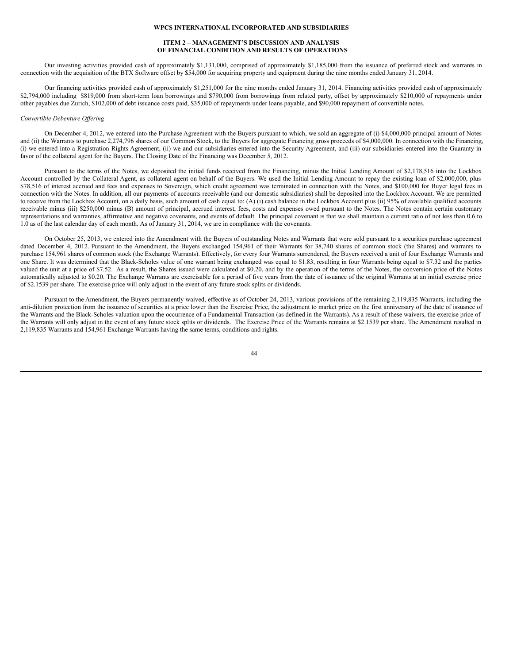### **ITEM 2 – MANAGEMENT'S DISCUSSION AND ANALYSIS OF FINANCIAL CONDITION AND RESULTS OF OPERATIONS**

Our investing activities provided cash of approximately \$1,131,000, comprised of approximately \$1,185,000 from the issuance of preferred stock and warrants in connection with the acquisition of the BTX Software offset by \$54,000 for acquiring property and equipment during the nine months ended January 31, 2014.

Our financing activities provided cash of approximately \$1,251,000 for the nine months ended January 31, 2014. Financing activities provided cash of approximately \$2,794,000 including \$819,000 from short-term loan borrowings and \$790,000 from borrowings from related party, offset by approximately \$210,000 of repayments under other payables due Zurich, \$102,000 of debt issuance costs paid, \$35,000 of repayments under loans payable, and \$90,000 repayment of convertible notes.

## *Convertible Debenture Of ering*

On December 4, 2012, we entered into the Purchase Agreement with the Buyers pursuant to which, we sold an aggregate of (i) \$4,000,000 principal amount of Notes and (ii) the Warrants to purchase 2,274,796 shares of our Common Stock, to the Buyers for aggregate Financing gross proceeds of \$4,000,000. In connection with the Financing, (i) we entered into a Registration Rights Agreement, (ii) we and our subsidiaries entered into the Security Agreement, and (iii) our subsidiaries entered into the Guaranty in favor of the collateral agent for the Buyers. The Closing Date of the Financing was December 5, 2012.

Pursuant to the terms of the Notes, we deposited the initial funds received from the Financing, minus the Initial Lending Amount of \$2,178,516 into the Lockbox Account controlled by the Collateral Agent, as collateral agent on behalf of the Buyers. We used the Initial Lending Amount to repay the existing loan of \$2,000,000, plus \$78,516 of interest accrued and fees and expenses to Sovereign, which credit agreement was terminated in connection with the Notes, and \$100,000 for Buyer legal fees in connection with the Notes. In addition, all our payments of accounts receivable (and our domestic subsidiaries) shall be deposited into the Lockbox Account. We are permitted to receive from the Lockbox Account, on a daily basis, such amount of cash equal to: (A) (i) cash balance in the Lockbox Account plus (ii) 95% of available qualified accounts receivable minus (iii) \$250,000 minus (B) amount of principal, accrued interest, fees, costs and expenses owed pursuant to the Notes. The Notes contain certain customary representations and warranties, affirmative and negative covenants, and events of default. The principal covenant is that we shall maintain a current ratio of not less than 0.6 to 1.0 as of the last calendar day of each month. As of January 31, 2014, we are in compliance with the covenants.

On October 25, 2013, we entered into the Amendment with the Buyers of outstanding Notes and Warrants that were sold pursuant to a securities purchase agreement dated December 4, 2012. Pursuant to the Amendment, the Buyers exchanged 154,961 of their Warrants for 38,740 shares of common stock (the Shares) and warrants to purchase 154,961 shares of common stock (the Exchange Warrants). Effectively, for every four Warrants surrendered, the Buyers received a unit of four Exchange Warrants and one Share. It was determined that the Black-Scholes value of one warrant being exchanged was equal to \$1.83, resulting in four Warrants being equal to \$7.32 and the parties valued the unit at a price of \$7.52. As a result, the Shares issued were calculated at \$0.20, and by the operation of the terms of the Notes, the conversion price of the Notes automatically adjusted to \$0.20. The Exchange Warrants are exercisable for a period of five years from the date of issuance of the original Warrants at an initial exercise price of \$2.1539 per share. The exercise price will only adjust in the event of any future stock splits or dividends.

Pursuant to the Amendment, the Buyers permanently waived, effective as of October 24, 2013, various provisions of the remaining 2,119,835 Warrants, including the anti-dilution protection from the issuance of securities at a price lower than the Exercise Price, the adjustment to market price on the first anniversary of the date of issuance of the Warrants and the Black-Scholes valuation upon the occurrence of a Fundamental Transaction (as defined in the Warrants). As a result of these waivers, the exercise price of the Warrants will only adjust in the event of any future stock splits or dividends. The Exercise Price of the Warrants remains at \$2.1539 per share. The Amendment resulted in 2,119,835 Warrants and 154,961 Exchange Warrants having the same terms, conditions and rights.

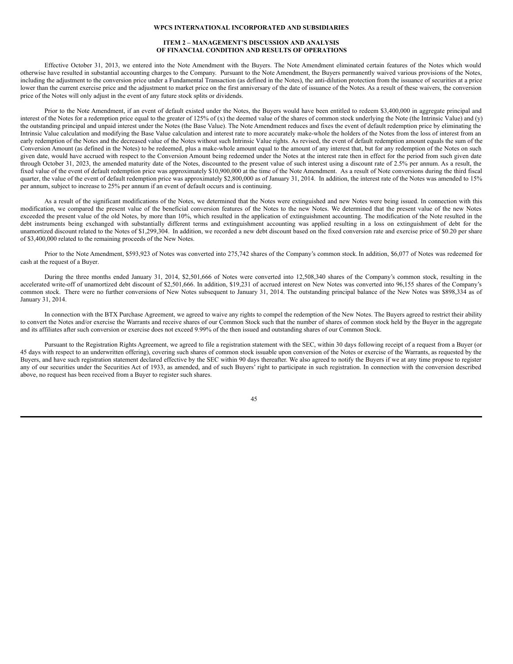### **ITEM 2 – MANAGEMENT'S DISCUSSION AND ANALYSIS OF FINANCIAL CONDITION AND RESULTS OF OPERATIONS**

Effective October 31, 2013, we entered into the Note Amendment with the Buyers. The Note Amendment eliminated certain features of the Notes which would otherwise have resulted in substantial accounting charges to the Company. Pursuant to the Note Amendment, the Buyers permanently waived various provisions of the Notes, including the adjustment to the conversion price under a Fundamental Transaction (as defined in the Notes), the anti-dilution protection from the issuance of securities at a price lower than the current exercise price and the adjustment to market price on the first anniversary of the date of issuance of the Notes. As a result of these waivers, the conversion price of the Notes will only adjust in the event of any future stock splits or dividends.

Prior to the Note Amendment, if an event of default existed under the Notes, the Buyers would have been entitled to redeem \$3,400,000 in aggregate principal and interest of the Notes for a redemption price equal to the greater of 125% of (x) the deemed value of the shares of common stock underlying the Note (the Intrinsic Value) and (y) the outstanding principal and unpaid interest under the Notes (the Base Value). The Note Amendment reduces and fixes the event of default redemption price by eliminating the Intrinsic Value calculation and modifying the Base Value calculation and interest rate to more accurately make-whole the holders of the Notes from the loss of interest from an early redemption of the Notes and the decreased value of the Notes without such Intrinsic Value rights. As revised, the event of default redemption amount equals the sum of the Conversion Amount (as defined in the Notes) to be redeemed, plus a make-whole amount equal to the amount of any interest that, but for any redemption of the Notes on such given date, would have accrued with respect to the Conversion Amount being redeemed under the Notes at the interest rate then in effect for the period from such given date through October 31, 2023, the amended maturity date of the Notes, discounted to the present value of such interest using a discount rate of 2.5% per annum. As a result, the fixed value of the event of default redemption price was approximately \$10,900,000 at the time of the Note Amendment. As a result of Note conversions during the third fiscal quarter, the value of the event of default redemption price was approximately \$2,800,000 as of January 31, 2014. In addition, the interest rate of the Notes was amended to 15% per annum, subject to increase to 25% per annum if an event of default occurs and is continuing.

As a result of the significant modifications of the Notes, we determined that the Notes were extinguished and new Notes were being issued. In connection with this modification, we compared the present value of the beneficial conversion features of the Notes to the new Notes. We determined that the present value of the new Notes exceeded the present value of the old Notes, by more than 10%, which resulted in the application of extinguishment accounting. The modification of the Note resulted in the debt instruments being exchanged with substantially different terms and extinguishment accounting was applied resulting in a loss on extinguishment of debt for the unamortized discount related to the Notes of \$1,299,304. In addition, we recorded a new debt discount based on the fixed conversion rate and exercise price of \$0.20 per share of \$3,400,000 related to the remaining proceeds of the New Notes.

Prior to the Note Amendment, \$593,923 of Notes was converted into 275,742 shares of the Company's common stock.In addition, \$6,077 of Notes was redeemed for cash at the request of a Buyer.

During the three months ended January 31, 2014, \$2,501,666 of Notes were converted into 12,508,340 shares of the Company's common stock, resulting in the accelerated write-off of unamortized debt discount of \$2,501,666. In addition, \$19,231 of accrued interest on New Notes was converted into 96,155 shares of the Company's common stock. There were no further conversions of New Notes subsequent to January 31, 2014. The outstanding principal balance of the New Notes was \$898,334 as of January 31, 2014.

In connection with the BTX Purchase Agreement, we agreed to waive any rights to compel the redemption of the New Notes. The Buyers agreed to restrict their ability to convert the Notes and/or exercise the Warrants and receive shares of our Common Stock such that the number of shares of common stock held by the Buyer in the aggregate and its affiliates after such conversion or exercise does not exceed 9.99% of the then issued and outstanding shares of our Common Stock.

Pursuant to the Registration Rights Agreement, we agreed to file a registration statement with the SEC, within 30 days following receipt of a request from a Buyer (or 45 days with respect to an underwritten offering), covering such shares of common stock issuable upon conversion of the Notes or exercise of the Warrants, as requested by the Buyers, and have such registration statement declared effective by the SEC within 90 days thereafter. We also agreed to notify the Buyers if we at any time propose to register any of our securities under the Securities Act of 1933, as amended, and of such Buyers' right to participate in such registration. In connection with the conversion described above, no request has been received from a Buyer to register such shares.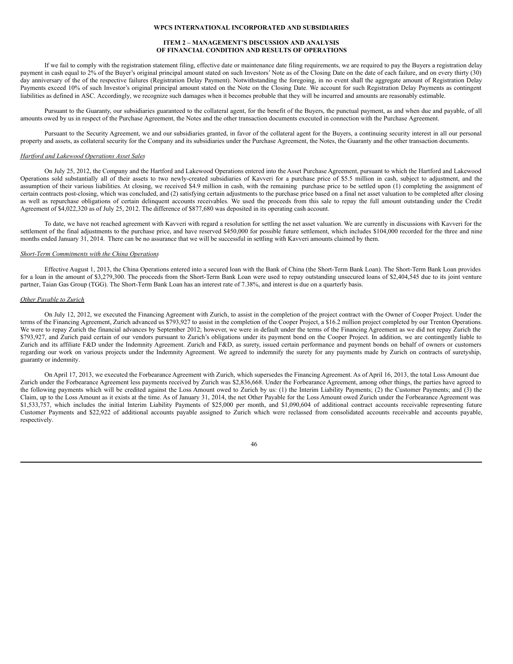### **ITEM 2 – MANAGEMENT'S DISCUSSION AND ANALYSIS OF FINANCIAL CONDITION AND RESULTS OF OPERATIONS**

If we fail to comply with the registration statement filing, effective date or maintenance date filing requirements, we are required to pay the Buyers a registration delay payment in cash equal to 2% of the Buyer's original principal amount stated on such Investors' Note as of the Closing Date on the date of each failure, and on every thirty (30) day anniversary of the of the respective failures (Registration Delay Payment). Notwithstanding the foregoing, in no event shall the aggregate amount of Registration Delay Payments exceed 10% of such Investor's original principal amount stated on the Note on the Closing Date. We account for such Registration Delay Payments as contingent liabilities as defined in ASC. Accordingly, we recognize such damages when it becomes probable that they will be incurred and amounts are reasonably estimable.

Pursuant to the Guaranty, our subsidiaries guaranteed to the collateral agent, for the benefit of the Buyers, the punctual payment, as and when due and payable, of all amounts owed by us in respect of the Purchase Agreement, the Notes and the other transaction documents executed in connection with the Purchase Agreement.

Pursuant to the Security Agreement, we and our subsidiaries granted, in favor of the collateral agent for the Buyers, a continuing security interest in all our personal property and assets, as collateral security for the Company and its subsidiaries under the Purchase Agreement, the Notes, the Guaranty and the other transaction documents.

#### *Hartford and Lakewood Operations Asset Sales*

On July 25, 2012, the Company and the Hartford and Lakewood Operations entered into the Asset Purchase Agreement, pursuant to which the Hartford and Lakewood Operations sold substantially all of their assets to two newly-created subsidiaries of Kavveri for a purchase price of \$5.5 million in cash, subject to adjustment, and the assumption of their various liabilities. At closing, we received \$4.9 million in cash, with the remaining purchase price to be settled upon (1) completing the assignment of certain contracts post-closing, which was concluded, and (2) satisfying certain adjustments to the purchase price based on a final net asset valuation to be completed after closing as well as repurchase obligations of certain delinquent accounts receivables. We used the proceeds from this sale to repay the full amount outstanding under the Credit Agreement of \$4,022,320 as of July 25, 2012. The difference of \$877,680 was deposited in its operating cash account.

To date, we have not reached agreement with Kavveri with regard a resolution for settling the net asset valuation. We are currently in discussions with Kavveri for the settlement of the final adjustments to the purchase price, and have reserved \$450,000 for possible future settlement, which includes \$104,000 recorded for the three and nine months ended January 31, 2014. There can be no assurance that we will be successful in settling with Kavveri amounts claimed by them.

## *Short-Term Commitments with the China Operations*

Effective August 1, 2013, the China Operations entered into a secured loan with the Bank of China (the Short-Term Bank Loan). The Short-Term Bank Loan provides for a loan in the amount of \$3,279,300. The proceeds from the Short-Term Bank Loan were used to repay outstanding unsecured loans of \$2,404,545 due to its joint venture partner, Taian Gas Group (TGG). The Short-Term Bank Loan has an interest rate of 7.38%, and interest is due on a quarterly basis.

### *Other Payable to Zurich*

On July 12, 2012, we executed the Financing Agreement with Zurich, to assist in the completion of the project contract with the Owner of Cooper Project. Under the terms of the Financing Agreement, Zurich advanced us \$793,927 to assist in the completion of the Cooper Project, a \$16.2 million project completed by our Trenton Operations. We were to repay Zurich the financial advances by September 2012; however, we were in default under the terms of the Financing Agreement as we did not repay Zurich the \$793,927, and Zurich paid certain of our vendors pursuant to Zurich's obligations under its payment bond on the Cooper Project. In addition, we are contingently liable to Zurich and its affiliate F&D under the Indemnity Agreement. Zurich and F&D, as surety, issued certain performance and payment bonds on behalf of owners or customers regarding our work on various projects under the Indemnity Agreement. We agreed to indemnify the surety for any payments made by Zurich on contracts of suretyship, guaranty or indemnity.

On April 17, 2013, we executed the Forbearance Agreement with Zurich, which supersedes the Financing Agreement. As of April 16, 2013, the total Loss Amount due Zurich under the Forbearance Agreement less payments received by Zurich was \$2,836,668. Under the Forbearance Agreement, among other things, the parties have agreed to the following payments which will be credited against the Loss Amount owed to Zurich by us: (1) the Interim Liability Payments; (2) the Customer Payments; and (3) the Claim, up to the Loss Amount as it exists at the time. As of January 31, 2014, the net Other Payable for the Loss Amount owed Zurich under the Forbearance Agreement was \$1,533,757, which includes the initial Interim Liability Payments of \$25,000 per month, and \$1,090,604 of additional contract accounts receivable representing future Customer Payments and \$22,922 of additional accounts payable assigned to Zurich which were reclassed from consolidated accounts receivable and accounts payable, respectively.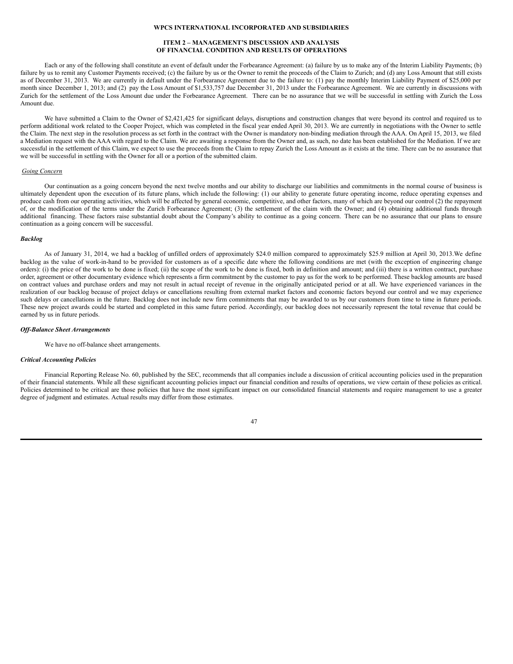### **ITEM 2 – MANAGEMENT'S DISCUSSION AND ANALYSIS OF FINANCIAL CONDITION AND RESULTS OF OPERATIONS**

Each or any of the following shall constitute an event of default under the Forbearance Agreement: (a) failure by us to make any of the Interim Liability Payments; (b) failure by us to remit any Customer Payments received; (c) the failure by us or the Owner to remit the proceeds of the Claim to Zurich; and (d) any Loss Amount that still exists as of December 31, 2013. We are currently in default under the Forbearance Agreement due to the failure to: (1) pay the monthly Interim Liability Payment of \$25,000 per month since December 1, 2013; and (2) pay the Loss Amount of \$1,533,757 due December 31, 2013 under the Forbearance Agreement. We are currently in discussions with Zurich for the settlement of the Loss Amount due under the Forbearance Agreement. There can be no assurance that we will be successful in settling with Zurich the Loss Amount due.

We have submitted a Claim to the Owner of \$2,421,425 for significant delays, disruptions and construction changes that were beyond its control and required us to perform additional work related to the Cooper Project, which was completed in the fiscal year ended April 30, 2013. We are currently in negotiations with the Owner to settle the Claim. The next step in the resolution process as set forth in the contract with the Owner is mandatory non-binding mediation through the AAA. On April 15, 2013, we filed a Mediation request with the AAA with regard to the Claim. We are awaiting a response from the Owner and, as such, no date has been established for the Mediation. If we are successful in the settlement of this Claim, we expect to use the proceeds from the Claim to repay Zurich the Loss Amount as it exists at the time. There can be no assurance that we will be successful in settling with the Owner for all or a portion of the submitted claim.

### *Going Concern*

Our continuation as a going concern beyond the next twelve months and our ability to discharge our liabilities and commitments in the normal course of business is ultimately dependent upon the execution of its future plans, which include the following: (1) our ability to generate future operating income, reduce operating expenses and produce cash from our operating activities, which will be affected by general economic, competitive, and other factors, many of which are beyond our control (2) the repayment of, or the modification of the terms under the Zurich Forbearance Agreement; (3) the settlement of the claim with the Owner; and (4) obtaining additional funds through additional financing. These factors raise substantial doubt about the Company's ability to continue as a going concern. There can be no assurance that our plans to ensure continuation as a going concern will be successful.

### *Backlog*

As of January 31, 2014, we had a backlog of unfilled orders of approximately \$24.0 million compared to approximately \$25.9 million at April 30, 2013.We define backlog as the value of work-in-hand to be provided for customers as of a specific date where the following conditions are met (with the exception of engineering change orders): (i) the price of the work to be done is fixed; (ii) the scope of the work to be done is fixed, both in definition and amount; and (iii) there is a written contract, purchase order, agreement or other documentary evidence which represents a firm commitment by the customer to pay us for the work to be performed. These backlog amounts are based on contract values and purchase orders and may not result in actual receipt of revenue in the originally anticipated period or at all. We have experienced variances in the realization of our backlog because of project delays or cancellations resulting from external market factors and economic factors beyond our control and we may experience such delays or cancellations in the future. Backlog does not include new firm commitments that may be awarded to us by our customers from time to time in future periods. These new project awards could be started and completed in this same future period. Accordingly, our backlog does not necessarily represent the total revenue that could be earned by us in future periods.

#### *Of -Balance Sheet Arrangements*

We have no off-balance sheet arrangements.

#### *Critical Accounting Policies*

Financial Reporting Release No. 60, published by the SEC, recommends that all companies include a discussion of critical accounting policies used in the preparation of their financial statements. While all these significant accounting policies impact our financial condition and results of operations, we view certain of these policies as critical. Policies determined to be critical are those policies that have the most significant impact on our consolidated financial statements and require management to use a greater degree of judgment and estimates. Actual results may differ from those estimates.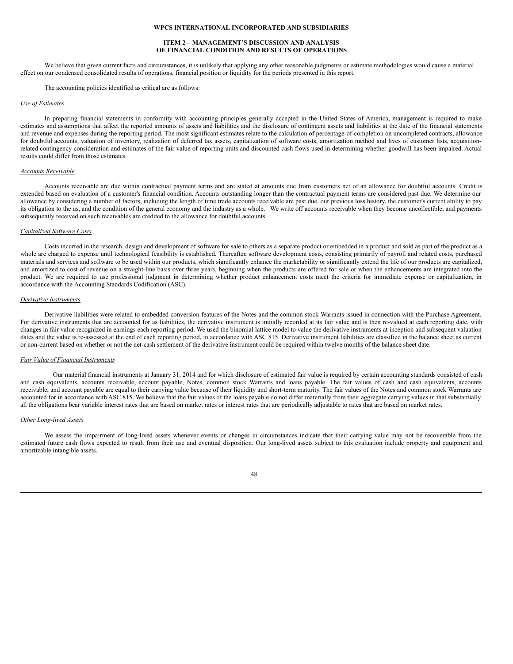## **ITEM 2 – MANAGEMENT'S DISCUSSION AND ANALYSIS OF FINANCIAL CONDITION AND RESULTS OF OPERATIONS**

We believe that given current facts and circumstances, it is unlikely that applying any other reasonable judgments or estimate methodologies would cause a material effect on our condensed consolidated results of operations, financial position or liquidity for the periods presented in this report.

The accounting policies identified as critical are as follows:

#### *Use of Estimates*

In preparing financial statements in conformity with accounting principles generally accepted in the United States of America, management is required to make estimates and assumptions that affect the reported amounts of assets and liabilities and the disclosure of contingent assets and liabilities at the date of the financial statements and revenue and expenses during the reporting period. The most significant estimates relate to the calculation of percentage-of-completion on uncompleted contracts, allowance for doubtful accounts, valuation of inventory, realization of deferred tax assets, capitalization of software costs, amortization method and lives of customer lists, acquisitionrelated contingency consideration and estimates of the fair value of reporting units and discounted cash flows used in determining whether goodwill has been impaired. Actual results could differ from those estimates.

## *Accounts Receivable*

Accounts receivable are due within contractual payment terms and are stated at amounts due from customers net of an allowance for doubtful accounts. Credit is extended based on evaluation of a customer's financial condition. Accounts outstanding longer than the contractual payment terms are considered past due. We determine our allowance by considering a number of factors, including the length of time trade accounts receivable are past due, our previous loss history, the customer's current ability to pay its obligation to the us, and the condition of the general economy and the industry as a whole. We write off accounts receivable when they become uncollectible, and payments subsequently received on such receivables are credited to the allowance for doubtful accounts.

#### *Capitalized Software Costs*

Costs incurred in the research, design and development of software for sale to others as a separate product or embedded in a product and sold as part of the product as a whole are charged to expense until technological feasibility is established. Thereafter, software development costs, consisting primarily of payroll and related costs, purchased materials and services and software to be used within our products, which significantly enhance the marketability or significantly extend the life of our products are capitalized, and amortized to cost of revenue on a straight-line basis over three years, beginning when the products are offered for sale or when the enhancements are integrated into the product. We are required to use professional judgment in determining whether product enhancement costs meet the criteria for immediate expense or capitalization, in accordance with the Accounting Standards Codification (ASC).

#### *Derivative Instruments*

Derivative liabilities were related to embedded conversion features of the Notes and the common stock Warrants issued in connection with the Purchase Agreement. For derivative instruments that are accounted for as liabilities, the derivative instrument is initially recorded at its fair value and is then re-valued at each reporting date, with changes in fair value recognized in earnings each reporting period. We used the binomial lattice model to value the derivative instruments at inception and subsequent valuation dates and the value is re-assessed at the end of each reporting period, in accordance with ASC 815. Derivative instrument liabilities are classified in the balance sheet as current or non-current based on whether or not the net-cash settlement of the derivative instrument could be required within twelve months of the balance sheet date.

#### *Fair Value of Financial Instruments*

Our material financial instruments at January 31, 2014 and for which disclosure of estimated fair value is required by certain accounting standards consisted of cash and cash equivalents, accounts receivable, account payable, Notes, common stock Warrants and loans payable. The fair values of cash and cash equivalents, accounts receivable, and account payable are equal to their carrying value because of their liquidity and short-term maturity. The fair values of the Notes and common stock Warrants are accounted for in accordance with ASC 815. We believe that the fair values of the loans payable do not differ materially from their aggregate carrying values in that substantially all the obligations bear variable interest rates that are based on market rates or interest rates that are periodically adjustable to rates that are based on market rates.

## *Other Long-lived Assets*

We assess the impairment of long-lived assets whenever events or changes in circumstances indicate that their carrying value may not be recoverable from the estimated future cash flows expected to result from their use and eventual disposition. Our long-lived assets subject to this evaluation include property and equipment and amortizable intangible assets.

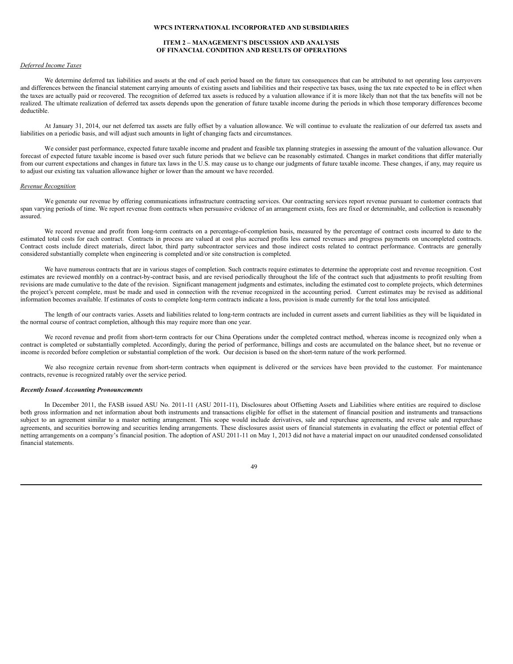## **ITEM 2 – MANAGEMENT'S DISCUSSION AND ANALYSIS OF FINANCIAL CONDITION AND RESULTS OF OPERATIONS**

#### *Deferred Income Taxes*

We determine deferred tax liabilities and assets at the end of each period based on the future tax consequences that can be attributed to net operating loss carryovers and differences between the financial statement carrying amounts of existing assets and liabilities and their respective tax bases, using the tax rate expected to be in effect when the taxes are actually paid or recovered. The recognition of deferred tax assets is reduced by a valuation allowance if it is more likely than not that the tax benefits will not be realized. The ultimate realization of deferred tax assets depends upon the generation of future taxable income during the periods in which those temporary differences become deductible.

At January 31, 2014, our net deferred tax assets are fully offset by a valuation allowance. We will continue to evaluate the realization of our deferred tax assets and liabilities on a periodic basis, and will adjust such amounts in light of changing facts and circumstances.

We consider past performance, expected future taxable income and prudent and feasible tax planning strategies in assessing the amount of the valuation allowance. Our forecast of expected future taxable income is based over such future periods that we believe can be reasonably estimated. Changes in market conditions that differ materially from our current expectations and changes in future tax laws in the U.S. may cause us to change our judgments of future taxable income. These changes, if any, may require us to adjust our existing tax valuation allowance higher or lower than the amount we have recorded.

#### *Revenue Recognition*

We generate our revenue by offering communications infrastructure contracting services. Our contracting services report revenue pursuant to customer contracts that span varying periods of time. We report revenue from contracts when persuasive evidence of an arrangement exists, fees are fixed or determinable, and collection is reasonably assured.

We record revenue and profit from long-term contracts on a percentage-of-completion basis, measured by the percentage of contract costs incurred to date to the estimated total costs for each contract. Contracts in process are valued at cost plus accrued profits less earned revenues and progress payments on uncompleted contracts. Contract costs include direct materials, direct labor, third party subcontractor services and those indirect costs related to contract performance. Contracts are generally considered substantially complete when engineering is completed and/or site construction is completed.

We have numerous contracts that are in various stages of completion. Such contracts require estimates to determine the appropriate cost and revenue recognition. Cost estimates are reviewed monthly on a contract-by-contract basis, and are revised periodically throughout the life of the contract such that adjustments to profit resulting from revisions are made cumulative to the date of the revision. Significant management judgments and estimates, including the estimated cost to complete projects, which determines the project's percent complete, must be made and used in connection with the revenue recognized in the accounting period. Current estimates may be revised as additional information becomes available. If estimates of costs to complete long-term contracts indicate a loss, provision is made currently for the total loss anticipated.

The length of our contracts varies. Assets and liabilities related to long-term contracts are included in current assets and current liabilities as they will be liquidated in the normal course of contract completion, although this may require more than one year.

We record revenue and profit from short-term contracts for our China Operations under the completed contract method, whereas income is recognized only when a contract is completed or substantially completed. Accordingly, during the period of performance, billings and costs are accumulated on the balance sheet, but no revenue or income is recorded before completion or substantial completion of the work. Our decision is based on the short-term nature of the work performed.

We also recognize certain revenue from short-term contracts when equipment is delivered or the services have been provided to the customer. For maintenance contracts, revenue is recognized ratably over the service period.

## *Recently Issued Accounting Pronouncements*

In December 2011, the FASB issued ASU No. 2011-11 (ASU 2011-11), Disclosures about Offsetting Assets and Liabilities where entities are required to disclose both gross information and net information about both instruments and transactions eligible for offset in the statement of financial position and instruments and transactions subject to an agreement similar to a master netting arrangement. This scope would include derivatives, sale and repurchase agreements, and reverse sale and repurchase agreements, and securities borrowing and securities lending arrangements. These disclosures assist users of financial statements in evaluating the effect or potential effect of netting arrangements on a company's financial position. The adoption of ASU 2011-11 on May 1, 2013 did not have a material impact on our unaudited condensed consolidated financial statements.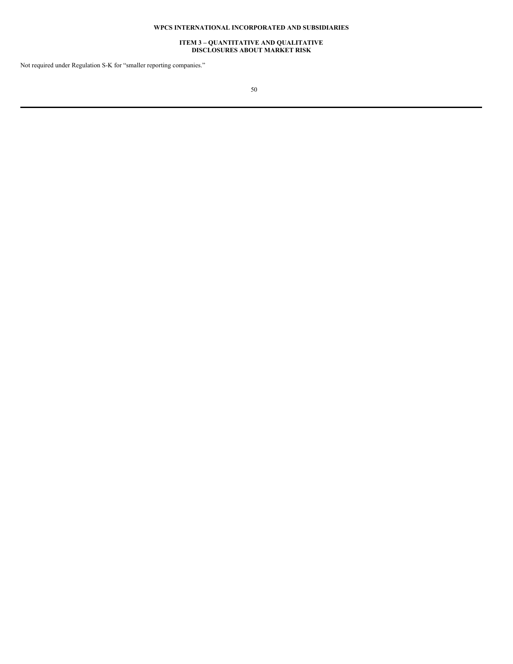#### **ITEM 3 – QUANTITATIVE AND QUALITATIVE DISCLOSURES ABOUT MARKET RISK**

Not required under Regulation S-K for "smaller reporting companies."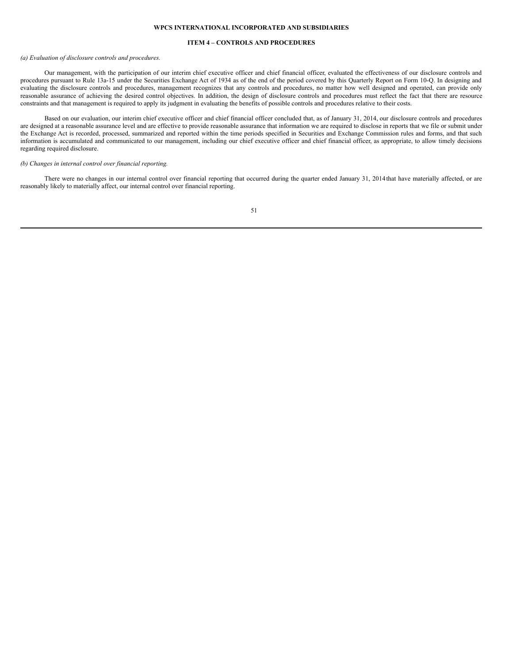# **ITEM 4 – CONTROLS AND PROCEDURES**

## *(a) Evaluation of disclosure controls and procedures.*

Our management, with the participation of our interim chief executive officer and chief financial officer, evaluated the effectiveness of our disclosure controls and procedures pursuant to Rule 13a-15 under the Securities Exchange Act of 1934 as of the end of the period covered by this Quarterly Report on Form 10-Q. In designing and evaluating the disclosure controls and procedures, management recognizes that any controls and procedures, no matter how well designed and operated, can provide only reasonable assurance of achieving the desired control objectives. In addition, the design of disclosure controls and procedures must reflect the fact that there are resource constraints and that management is required to apply its judgment in evaluating the benefits of possible controls and procedures relative to their costs.

Based on our evaluation, our interim chief executive officer and chief financial officer concluded that, as of January 31, 2014, our disclosure controls and procedures are designed at a reasonable assurance level and are effective to provide reasonable assurance that information we are required to disclose in reports that we file or submit under the Exchange Act is recorded, processed, summarized and reported within the time periods specified in Securities and Exchange Commission rules and forms, and that such information is accumulated and communicated to our management, including our chief executive officer and chief financial officer, as appropriate, to allow timely decisions regarding required disclosure.

## *(b) Changes in internal control over financial reporting.*

There were no changes in our internal control over financial reporting that occurred during the quarter ended January 31, 2014that have materially affected, or are reasonably likely to materially affect, our internal control over financial reporting.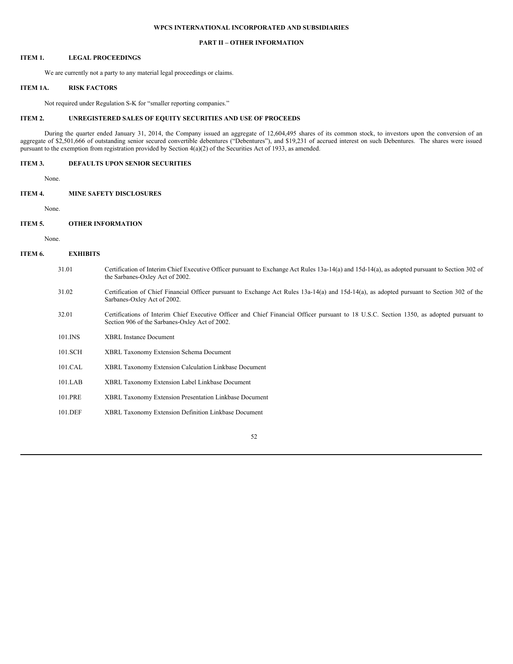## **PART II – OTHER INFORMATION**

## **ITEM 1. LEGAL PROCEEDINGS**

We are currently not a party to any material legal proceedings or claims.

### **ITEM 1A. RISK FACTORS**

Not required under Regulation S-K for "smaller reporting companies."

### **ITEM 2. UNREGISTERED SALES OF EQUITY SECURITIES AND USE OF PROCEEDS**

During the quarter ended January 31, 2014, the Company issued an aggregate of 12,604,495 shares of its common stock, to investors upon the conversion of an aggregate of \$2,501,666 of outstanding senior secured convertible debentures ("Debentures"), and \$19,231 of accrued interest on such Debentures. The shares were issued pursuant to the exemption from registration provided by Section 4(a)(2) of the Securities Act of 1933, as amended.

#### **ITEM 3. DEFAULTS UPON SENIOR SECURITIES**

None.

**ITEM 4. MINE SAFETY DISCLOSURES**

None.

## **ITEM 5. OTHER INFORMATION**

None.

### **ITEM 6. EXHIBITS**

- 31.01 Certification of Interim Chief Executive Officer pursuant to Exchange Act Rules 13a-14(a) and 15d-14(a), as adopted pursuant to Section 302 of the Sarbanes-Oxley Act of 2002.
	- 31.02 Certification of Chief Financial Officer pursuant to Exchange Act Rules 13a-14(a) and 15d-14(a), as adopted pursuant to Section 302 of the Sarbanes-Oxley Act of 2002.
	- 32.01 Certifications of Interim Chief Executive Officer and Chief Financial Officer pursuant to 18 U.S.C. Section 1350, as adopted pursuant to Section 906 of the Sarbanes-Oxley Act of 2002.
	- 101.INS XBRL Instance Document
	- 101.SCH XBRL Taxonomy Extension Schema Document
	- 101.CAL XBRL Taxonomy Extension Calculation Linkbase Document
	- 101.LAB XBRL Taxonomy Extension Label Linkbase Document
	- 101.PRE XBRL Taxonomy Extension Presentation Linkbase Document
	- 101.DEF XBRL Taxonomy Extension Definition Linkbase Document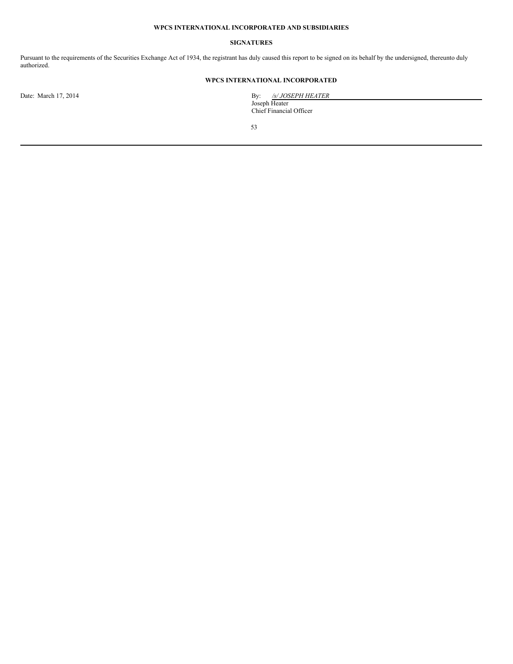# **SIGNATURES**

Pursuant to the requirements of the Securities Exchange Act of 1934, the registrant has duly caused this report to be signed on its behalf by the undersigned, thereunto duly authorized.

# **WPCS INTERNATIONAL INCORPORATED**

Date: March 17, 2014 **By:** */s/ JOSEPH HEATER* Joseph Heater Chief Financial Officer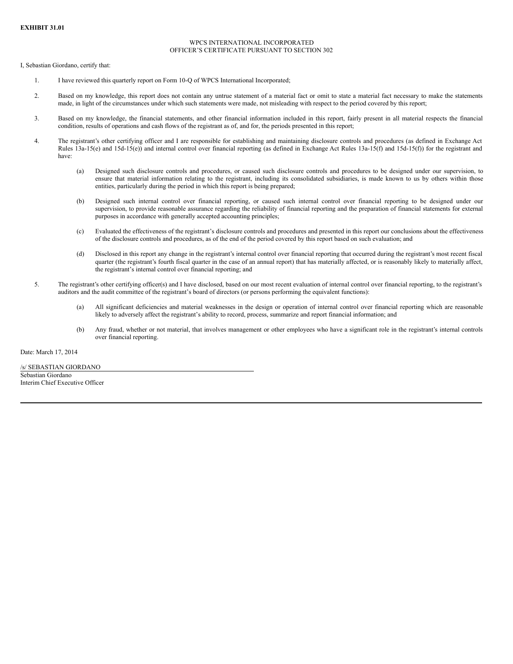## WPCS INTERNATIONAL INCORPORATED OFFICER'S CERTIFICATE PURSUANT TO SECTION 302

I, Sebastian Giordano, certify that:

- 1. I have reviewed this quarterly report on Form 10-Q of WPCS International Incorporated;
- 2. Based on my knowledge, this report does not contain any untrue statement of a material fact or omit to state a material fact necessary to make the statements made, in light of the circumstances under which such statements were made, not misleading with respect to the period covered by this report;
- 3. Based on my knowledge, the financial statements, and other financial information included in this report, fairly present in all material respects the financial condition, results of operations and cash flows of the registrant as of, and for, the periods presented in this report;
- 4. The registrant's other certifying officer and I are responsible for establishing and maintaining disclosure controls and procedures (as defined in Exchange Act Rules 13a-15(e) and 15d-15(e)) and internal control over financial reporting (as defined in Exchange Act Rules 13a-15(f) and 15d-15(f)) for the registrant and have:
	- (a) Designed such disclosure controls and procedures, or caused such disclosure controls and procedures to be designed under our supervision, to ensure that material information relating to the registrant, including its consolidated subsidiaries, is made known to us by others within those entities, particularly during the period in which this report is being prepared;
	- (b) Designed such internal control over financial reporting, or caused such internal control over financial reporting to be designed under our supervision, to provide reasonable assurance regarding the reliability of financial reporting and the preparation of financial statements for external purposes in accordance with generally accepted accounting principles;
	- (c) Evaluated the effectiveness of the registrant's disclosure controls and procedures and presented in this report our conclusions about the effectiveness of the disclosure controls and procedures, as of the end of the period covered by this report based on such evaluation; and
	- (d) Disclosed in this report any change in the registrant's internal control over financial reporting that occurred during the registrant's most recent fiscal quarter (the registrant's fourth fiscal quarter in the case of an annual report) that has materially affected, or is reasonably likely to materially affect, the registrant's internal control over financial reporting; and
- 5. The registrant's other certifying officer(s) and I have disclosed, based on our most recent evaluation of internal control over financial reporting, to the registrant's auditors and the audit committee of the registrant's board of directors (or persons performing the equivalent functions):
	- (a) All significant deficiencies and material weaknesses in the design or operation of internal control over financial reporting which are reasonable likely to adversely affect the registrant's ability to record, process, summarize and report financial information; and
	- (b) Any fraud, whether or not material, that involves management or other employees who have a significant role in the registrant's internal controls over financial reporting.

Date: March 17, 2014

/s/ SEBASTIAN GIORDANO Sebastian Giordano Interim Chief Executive Officer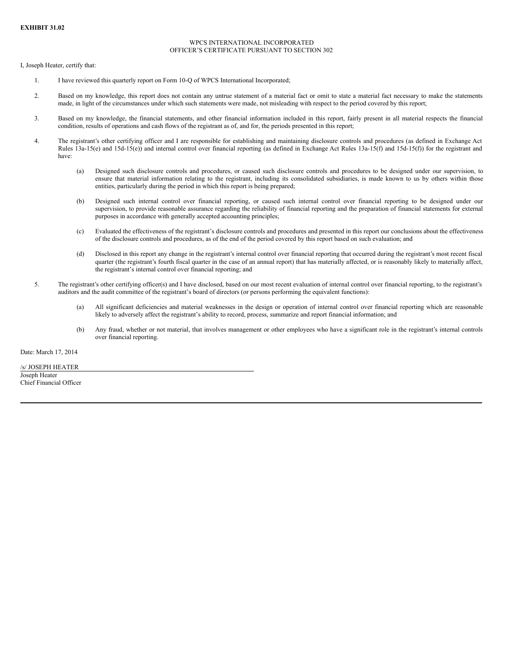## WPCS INTERNATIONAL INCORPORATED OFFICER'S CERTIFICATE PURSUANT TO SECTION 302

I, Joseph Heater, certify that:

- 1. I have reviewed this quarterly report on Form 10-Q of WPCS International Incorporated;
- 2. Based on my knowledge, this report does not contain any untrue statement of a material fact or omit to state a material fact necessary to make the statements made, in light of the circumstances under which such statements were made, not misleading with respect to the period covered by this report;
- 3. Based on my knowledge, the financial statements, and other financial information included in this report, fairly present in all material respects the financial condition, results of operations and cash flows of the registrant as of, and for, the periods presented in this report;
- 4. The registrant's other certifying officer and I are responsible for establishing and maintaining disclosure controls and procedures (as defined in Exchange Act Rules 13a-15(e) and 15d-15(e)) and internal control over financial reporting (as defined in Exchange Act Rules 13a-15(f) and 15d-15(f)) for the registrant and have:
	- (a) Designed such disclosure controls and procedures, or caused such disclosure controls and procedures to be designed under our supervision, to ensure that material information relating to the registrant, including its consolidated subsidiaries, is made known to us by others within those entities, particularly during the period in which this report is being prepared;
	- (b) Designed such internal control over financial reporting, or caused such internal control over financial reporting to be designed under our supervision, to provide reasonable assurance regarding the reliability of financial reporting and the preparation of financial statements for external purposes in accordance with generally accepted accounting principles;
	- (c) Evaluated the effectiveness of the registrant's disclosure controls and procedures and presented in this report our conclusions about the effectiveness of the disclosure controls and procedures, as of the end of the period covered by this report based on such evaluation; and
	- (d) Disclosed in this report any change in the registrant's internal control over financial reporting that occurred during the registrant's most recent fiscal quarter (the registrant's fourth fiscal quarter in the case of an annual report) that has materially affected, or is reasonably likely to materially affect, the registrant's internal control over financial reporting; and
- 5. The registrant's other certifying officer(s) and I have disclosed, based on our most recent evaluation of internal control over financial reporting, to the registrant's auditors and the audit committee of the registrant's board of directors (or persons performing the equivalent functions):
	- (a) All significant deficiencies and material weaknesses in the design or operation of internal control over financial reporting which are reasonable likely to adversely affect the registrant's ability to record, process, summarize and report financial information; and
	- (b) Any fraud, whether or not material, that involves management or other employees who have a significant role in the registrant's internal controls over financial reporting.

Date: March 17, 2014

/s/ JOSEPH HEATER Joseph Heater Chief Financial Officer